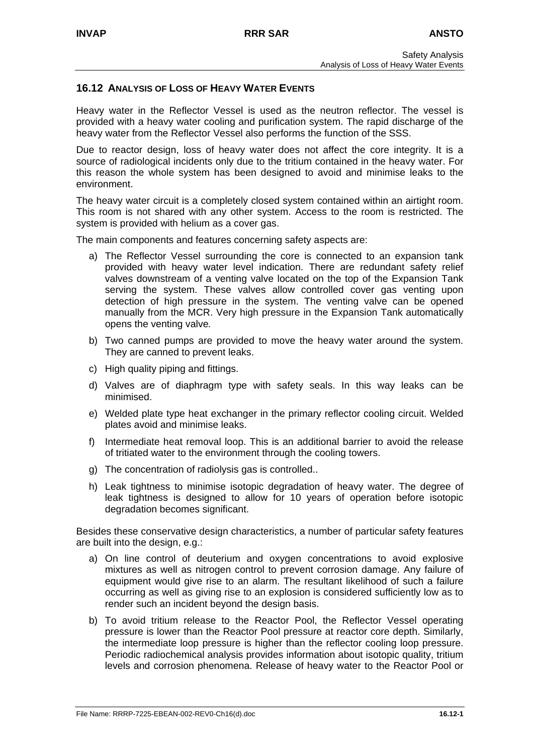### **16.12 ANALYSIS OF LOSS OF HEAVY WATER EVENTS**

Heavy water in the Reflector Vessel is used as the neutron reflector. The vessel is provided with a heavy water cooling and purification system. The rapid discharge of the heavy water from the Reflector Vessel also performs the function of the SSS.

Due to reactor design, loss of heavy water does not affect the core integrity. It is a source of radiological incidents only due to the tritium contained in the heavy water. For this reason the whole system has been designed to avoid and minimise leaks to the environment.

The heavy water circuit is a completely closed system contained within an airtight room. This room is not shared with any other system. Access to the room is restricted. The system is provided with helium as a cover gas.

The main components and features concerning safety aspects are:

- a) The Reflector Vessel surrounding the core is connected to an expansion tank provided with heavy water level indication. There are redundant safety relief valves downstream of a venting valve located on the top of the Expansion Tank serving the system. These valves allow controlled cover gas venting upon detection of high pressure in the system. The venting valve can be opened manually from the MCR. Very high pressure in the Expansion Tank automatically opens the venting valve*.*
- b) Two canned pumps are provided to move the heavy water around the system. They are canned to prevent leaks.
- c) High quality piping and fittings.
- d) Valves are of diaphragm type with safety seals. In this way leaks can be minimised.
- e) Welded plate type heat exchanger in the primary reflector cooling circuit. Welded plates avoid and minimise leaks.
- f) Intermediate heat removal loop. This is an additional barrier to avoid the release of tritiated water to the environment through the cooling towers.
- g) The concentration of radiolysis gas is controlled..
- h) Leak tightness to minimise isotopic degradation of heavy water. The degree of leak tightness is designed to allow for 10 years of operation before isotopic degradation becomes significant.

Besides these conservative design characteristics, a number of particular safety features are built into the design, e.g.:

- a) On line control of deuterium and oxygen concentrations to avoid explosive mixtures as well as nitrogen control to prevent corrosion damage. Any failure of equipment would give rise to an alarm. The resultant likelihood of such a failure occurring as well as giving rise to an explosion is considered sufficiently low as to render such an incident beyond the design basis.
- b) To avoid tritium release to the Reactor Pool, the Reflector Vessel operating pressure is lower than the Reactor Pool pressure at reactor core depth. Similarly, the intermediate loop pressure is higher than the reflector cooling loop pressure. Periodic radiochemical analysis provides information about isotopic quality, tritium levels and corrosion phenomena. Release of heavy water to the Reactor Pool or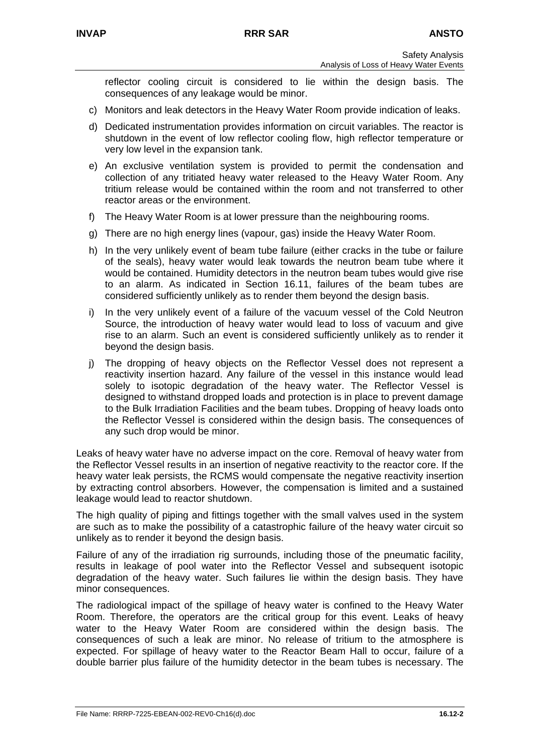reflector cooling circuit is considered to lie within the design basis. The consequences of any leakage would be minor.

- c) Monitors and leak detectors in the Heavy Water Room provide indication of leaks.
- d) Dedicated instrumentation provides information on circuit variables. The reactor is shutdown in the event of low reflector cooling flow, high reflector temperature or very low level in the expansion tank.
- e) An exclusive ventilation system is provided to permit the condensation and collection of any tritiated heavy water released to the Heavy Water Room. Any tritium release would be contained within the room and not transferred to other reactor areas or the environment.
- f) The Heavy Water Room is at lower pressure than the neighbouring rooms.
- g) There are no high energy lines (vapour, gas) inside the Heavy Water Room.
- h) In the very unlikely event of beam tube failure (either cracks in the tube or failure of the seals), heavy water would leak towards the neutron beam tube where it would be contained. Humidity detectors in the neutron beam tubes would give rise to an alarm. As indicated in Section 16.11, failures of the beam tubes are considered sufficiently unlikely as to render them beyond the design basis.
- i) In the very unlikely event of a failure of the vacuum vessel of the Cold Neutron Source, the introduction of heavy water would lead to loss of vacuum and give rise to an alarm. Such an event is considered sufficiently unlikely as to render it beyond the design basis.
- j) The dropping of heavy objects on the Reflector Vessel does not represent a reactivity insertion hazard. Any failure of the vessel in this instance would lead solely to isotopic degradation of the heavy water. The Reflector Vessel is designed to withstand dropped loads and protection is in place to prevent damage to the Bulk Irradiation Facilities and the beam tubes. Dropping of heavy loads onto the Reflector Vessel is considered within the design basis. The consequences of any such drop would be minor.

Leaks of heavy water have no adverse impact on the core. Removal of heavy water from the Reflector Vessel results in an insertion of negative reactivity to the reactor core. If the heavy water leak persists, the RCMS would compensate the negative reactivity insertion by extracting control absorbers. However, the compensation is limited and a sustained leakage would lead to reactor shutdown.

The high quality of piping and fittings together with the small valves used in the system are such as to make the possibility of a catastrophic failure of the heavy water circuit so unlikely as to render it beyond the design basis.

Failure of any of the irradiation rig surrounds, including those of the pneumatic facility, results in leakage of pool water into the Reflector Vessel and subsequent isotopic degradation of the heavy water. Such failures lie within the design basis. They have minor consequences.

The radiological impact of the spillage of heavy water is confined to the Heavy Water Room. Therefore, the operators are the critical group for this event. Leaks of heavy water to the Heavy Water Room are considered within the design basis. The consequences of such a leak are minor. No release of tritium to the atmosphere is expected. For spillage of heavy water to the Reactor Beam Hall to occur, failure of a double barrier plus failure of the humidity detector in the beam tubes is necessary. The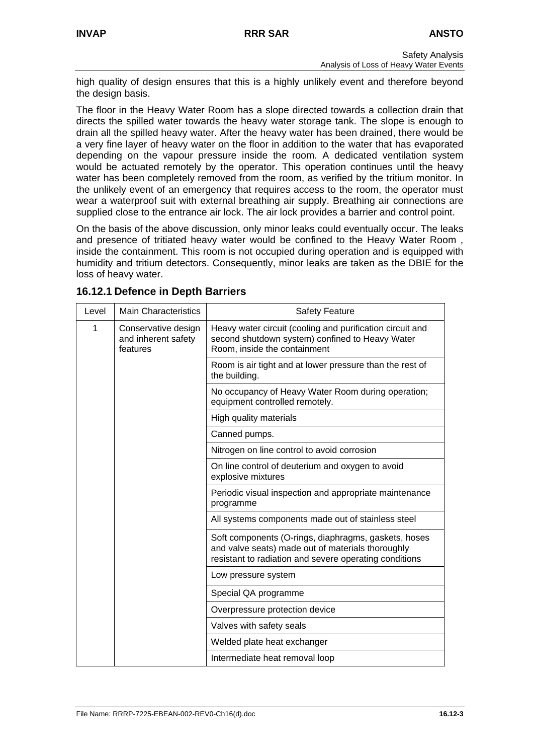high quality of design ensures that this is a highly unlikely event and therefore beyond the design basis.

The floor in the Heavy Water Room has a slope directed towards a collection drain that directs the spilled water towards the heavy water storage tank. The slope is enough to drain all the spilled heavy water. After the heavy water has been drained, there would be a very fine layer of heavy water on the floor in addition to the water that has evaporated depending on the vapour pressure inside the room. A dedicated ventilation system would be actuated remotely by the operator. This operation continues until the heavy water has been completely removed from the room, as verified by the tritium monitor. In the unlikely event of an emergency that requires access to the room, the operator must wear a waterproof suit with external breathing air supply. Breathing air connections are supplied close to the entrance air lock. The air lock provides a barrier and control point.

On the basis of the above discussion, only minor leaks could eventually occur. The leaks and presence of tritiated heavy water would be confined to the Heavy Water Room , inside the containment. This room is not occupied during operation and is equipped with humidity and tritium detectors. Consequently, minor leaks are taken as the DBIE for the loss of heavy water.

| Level | <b>Main Characteristics</b>                            | <b>Safety Feature</b>                                                                                                                                               |
|-------|--------------------------------------------------------|---------------------------------------------------------------------------------------------------------------------------------------------------------------------|
| 1     | Conservative design<br>and inherent safety<br>features | Heavy water circuit (cooling and purification circuit and<br>second shutdown system) confined to Heavy Water<br>Room, inside the containment                        |
|       |                                                        | Room is air tight and at lower pressure than the rest of<br>the building.                                                                                           |
|       |                                                        | No occupancy of Heavy Water Room during operation;<br>equipment controlled remotely.                                                                                |
|       |                                                        | High quality materials                                                                                                                                              |
|       |                                                        | Canned pumps.                                                                                                                                                       |
|       |                                                        | Nitrogen on line control to avoid corrosion                                                                                                                         |
|       |                                                        | On line control of deuterium and oxygen to avoid<br>explosive mixtures                                                                                              |
|       |                                                        | Periodic visual inspection and appropriate maintenance<br>programme                                                                                                 |
|       |                                                        | All systems components made out of stainless steel                                                                                                                  |
|       |                                                        | Soft components (O-rings, diaphragms, gaskets, hoses<br>and valve seats) made out of materials thoroughly<br>resistant to radiation and severe operating conditions |
|       |                                                        | Low pressure system                                                                                                                                                 |
|       |                                                        | Special QA programme                                                                                                                                                |
|       |                                                        | Overpressure protection device                                                                                                                                      |
|       |                                                        | Valves with safety seals                                                                                                                                            |
|       |                                                        | Welded plate heat exchanger                                                                                                                                         |
|       |                                                        | Intermediate heat removal loop                                                                                                                                      |

### **16.12.1 Defence in Depth Barriers**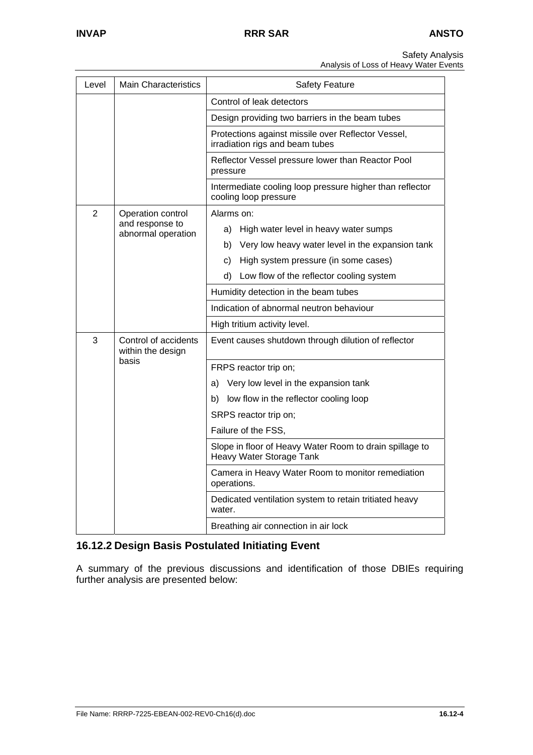Analysis of Loss of Heavy Water Events

| Level | <b>Main Characteristics</b>                     | <b>Safety Feature</b>                                                                 |
|-------|-------------------------------------------------|---------------------------------------------------------------------------------------|
|       |                                                 | Control of leak detectors                                                             |
|       | Design providing two barriers in the beam tubes |                                                                                       |
|       |                                                 | Protections against missile over Reflector Vessel,<br>irradiation rigs and beam tubes |
|       |                                                 | Reflector Vessel pressure lower than Reactor Pool<br>pressure                         |
|       |                                                 | Intermediate cooling loop pressure higher than reflector<br>cooling loop pressure     |
| 2     | Operation control                               | Alarms on:                                                                            |
|       | and response to<br>abnormal operation           | a) High water level in heavy water sumps                                              |
|       |                                                 | b) Very low heavy water level in the expansion tank                                   |
|       |                                                 | c)<br>High system pressure (in some cases)                                            |
|       |                                                 | d)<br>Low flow of the reflector cooling system                                        |
|       |                                                 | Humidity detection in the beam tubes                                                  |
|       |                                                 | Indication of abnormal neutron behaviour                                              |
|       |                                                 | High tritium activity level.                                                          |
| 3     | Control of accidents<br>within the design       | Event causes shutdown through dilution of reflector                                   |
|       | basis                                           | FRPS reactor trip on;                                                                 |
|       |                                                 | Very low level in the expansion tank<br>a)                                            |
|       |                                                 | b) low flow in the reflector cooling loop                                             |
|       |                                                 | SRPS reactor trip on;                                                                 |
|       |                                                 | Failure of the FSS,                                                                   |
|       |                                                 | Slope in floor of Heavy Water Room to drain spillage to<br>Heavy Water Storage Tank   |
|       |                                                 | Camera in Heavy Water Room to monitor remediation<br>operations.                      |
|       |                                                 | Dedicated ventilation system to retain tritiated heavy<br>water.                      |
|       |                                                 | Breathing air connection in air lock                                                  |

# **16.12.2 Design Basis Postulated Initiating Event**

A summary of the previous discussions and identification of those DBIEs requiring further analysis are presented below: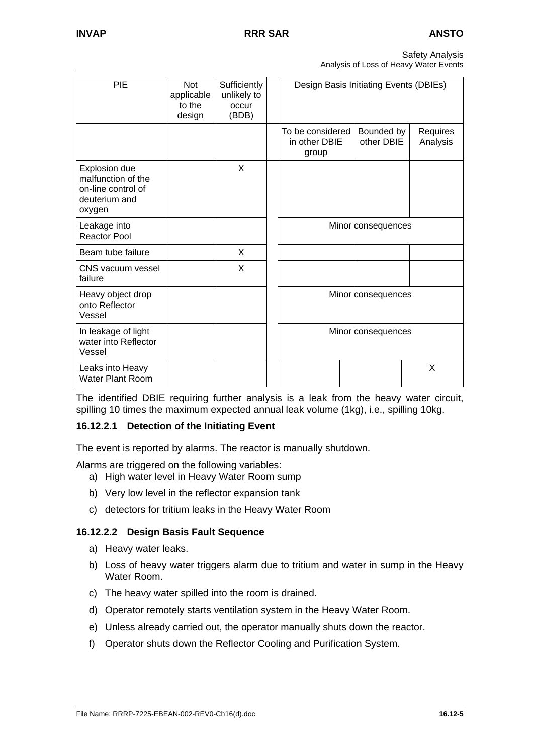| <b>Safety Analysis</b>                 |  |
|----------------------------------------|--|
| Analysis of Loss of Heavy Water Events |  |

| PIE                                                                                  | <b>Not</b><br>applicable<br>to the<br>design | Sufficiently<br>unlikely to<br>occur<br>(BDB) |                                            | Design Basis Initiating Events (DBIEs) |                      |
|--------------------------------------------------------------------------------------|----------------------------------------------|-----------------------------------------------|--------------------------------------------|----------------------------------------|----------------------|
|                                                                                      |                                              |                                               | To be considered<br>in other DBIE<br>group | Bounded by<br>other DBIE               | Requires<br>Analysis |
| Explosion due<br>malfunction of the<br>on-line control of<br>deuterium and<br>oxygen |                                              | X                                             |                                            |                                        |                      |
| Leakage into<br><b>Reactor Pool</b>                                                  |                                              |                                               |                                            | Minor consequences                     |                      |
| Beam tube failure                                                                    |                                              | X                                             |                                            |                                        |                      |
| CNS vacuum vessel<br>failure                                                         |                                              | X                                             |                                            |                                        |                      |
| Heavy object drop<br>onto Reflector<br>Vessel                                        |                                              |                                               |                                            | Minor consequences                     |                      |
| In leakage of light<br>water into Reflector<br>Vessel                                |                                              |                                               |                                            | Minor consequences                     |                      |
| Leaks into Heavy<br><b>Water Plant Room</b>                                          |                                              |                                               |                                            |                                        | X                    |

The identified DBIE requiring further analysis is a leak from the heavy water circuit, spilling 10 times the maximum expected annual leak volume (1kg), i.e., spilling 10kg.

### **16.12.2.1 Detection of the Initiating Event**

The event is reported by alarms. The reactor is manually shutdown.

Alarms are triggered on the following variables:

- a) High water level in Heavy Water Room sump
- b) Very low level in the reflector expansion tank
- c) detectors for tritium leaks in the Heavy Water Room

### **16.12.2.2 Design Basis Fault Sequence**

- a) Heavy water leaks.
- b) Loss of heavy water triggers alarm due to tritium and water in sump in the Heavy Water Room.
- c) The heavy water spilled into the room is drained.
- d) Operator remotely starts ventilation system in the Heavy Water Room.
- e) Unless already carried out, the operator manually shuts down the reactor.
- f) Operator shuts down the Reflector Cooling and Purification System.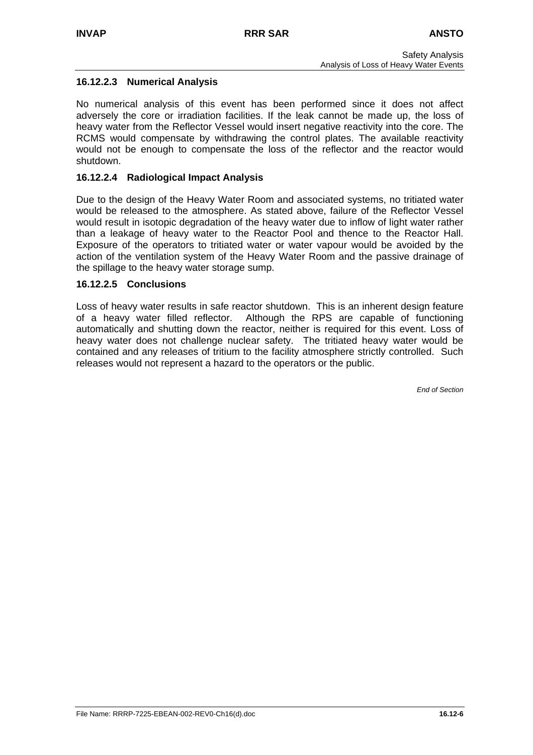### **16.12.2.3 Numerical Analysis**

No numerical analysis of this event has been performed since it does not affect adversely the core or irradiation facilities. If the leak cannot be made up, the loss of heavy water from the Reflector Vessel would insert negative reactivity into the core. The RCMS would compensate by withdrawing the control plates. The available reactivity would not be enough to compensate the loss of the reflector and the reactor would shutdown.

### **16.12.2.4 Radiological Impact Analysis**

Due to the design of the Heavy Water Room and associated systems, no tritiated water would be released to the atmosphere. As stated above, failure of the Reflector Vessel would result in isotopic degradation of the heavy water due to inflow of light water rather than a leakage of heavy water to the Reactor Pool and thence to the Reactor Hall. Exposure of the operators to tritiated water or water vapour would be avoided by the action of the ventilation system of the Heavy Water Room and the passive drainage of the spillage to the heavy water storage sump.

### **16.12.2.5 Conclusions**

Loss of heavy water results in safe reactor shutdown. This is an inherent design feature of a heavy water filled reflector. Although the RPS are capable of functioning automatically and shutting down the reactor, neither is required for this event. Loss of heavy water does not challenge nuclear safety. The tritiated heavy water would be contained and any releases of tritium to the facility atmosphere strictly controlled. Such releases would not represent a hazard to the operators or the public.

*End of Section*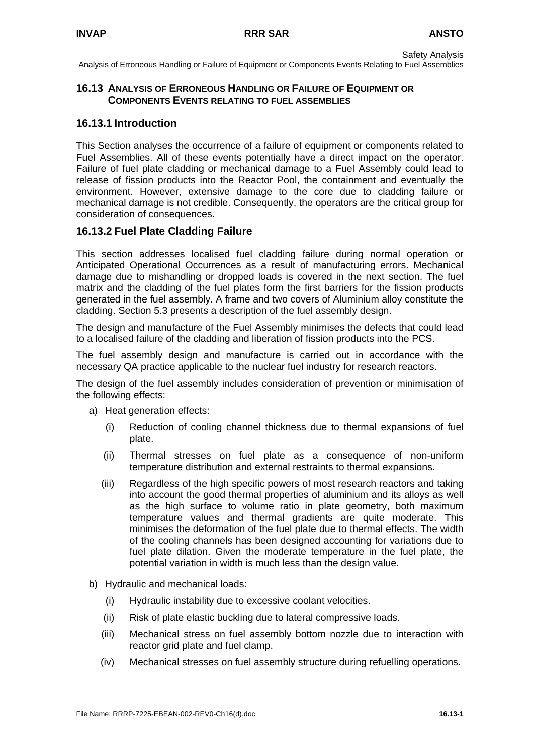## **16.13 ANALYSIS OF ERRONEOUS HANDLING OR FAILURE OF EQUIPMENT OR COMPONENTS EVENTS RELATING TO FUEL ASSEMBLIES**

## **16.13.1 Introduction**

This Section analyses the occurrence of a failure of equipment or components related to Fuel Assemblies. All of these events potentially have a direct impact on the operator. Failure of fuel plate cladding or mechanical damage to a Fuel Assembly could lead to release of fission products into the Reactor Pool, the containment and eventually the environment. However, extensive damage to the core due to cladding failure or mechanical damage is not credible. Consequently, the operators are the critical group for consideration of consequences.

# **16.13.2 Fuel Plate Cladding Failure**

This section addresses localised fuel cladding failure during normal operation or Anticipated Operational Occurrences as a result of manufacturing errors. Mechanical damage due to mishandling or dropped loads is covered in the next section. The fuel matrix and the cladding of the fuel plates form the first barriers for the fission products generated in the fuel assembly. A frame and two covers of Aluminium alloy constitute the cladding. Section 5.3 presents a description of the fuel assembly design.

The design and manufacture of the Fuel Assembly minimises the defects that could lead to a localised failure of the cladding and liberation of fission products into the PCS.

The fuel assembly design and manufacture is carried out in accordance with the necessary QA practice applicable to the nuclear fuel industry for research reactors.

The design of the fuel assembly includes consideration of prevention or minimisation of the following effects:

- a) Heat generation effects:
	- (i) Reduction of cooling channel thickness due to thermal expansions of fuel plate.
	- (ii) Thermal stresses on fuel plate as a consequence of non-uniform temperature distribution and external restraints to thermal expansions.
	- (iii) Regardless of the high specific powers of most research reactors and taking into account the good thermal properties of aluminium and its alloys as well as the high surface to volume ratio in plate geometry, both maximum temperature values and thermal gradients are quite moderate. This minimises the deformation of the fuel plate due to thermal effects. The width of the cooling channels has been designed accounting for variations due to fuel plate dilation. Given the moderate temperature in the fuel plate, the potential variation in width is much less than the design value.
- b) Hydraulic and mechanical loads:
	- (i) Hydraulic instability due to excessive coolant velocities.
	- (ii) Risk of plate elastic buckling due to lateral compressive loads.
	- (iii) Mechanical stress on fuel assembly bottom nozzle due to interaction with reactor grid plate and fuel clamp.
	- (iv) Mechanical stresses on fuel assembly structure during refuelling operations.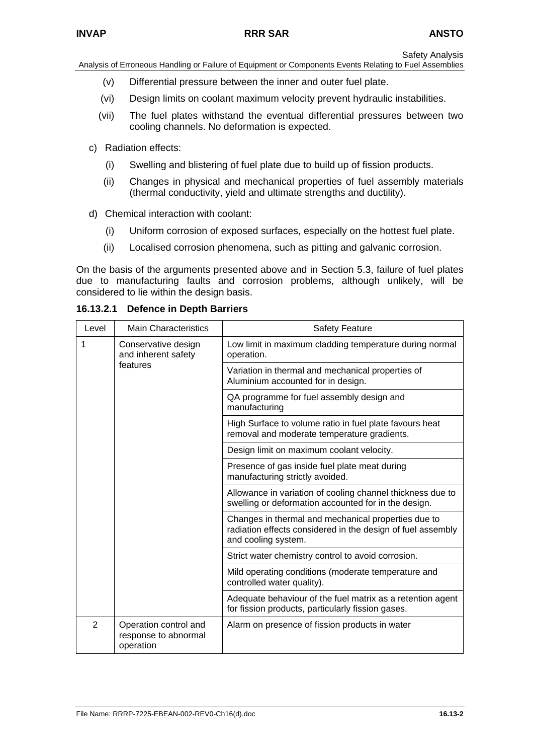Analysis of Erroneous Handling or Failure of Equipment or Components Events Relating to Fuel Assemblies

- (v) Differential pressure between the inner and outer fuel plate.
- (vi) Design limits on coolant maximum velocity prevent hydraulic instabilities.
- (vii) The fuel plates withstand the eventual differential pressures between two cooling channels. No deformation is expected.
- c) Radiation effects:
	- (i) Swelling and blistering of fuel plate due to build up of fission products.
	- (ii) Changes in physical and mechanical properties of fuel assembly materials (thermal conductivity, yield and ultimate strengths and ductility).
- d) Chemical interaction with coolant:
	- (i) Uniform corrosion of exposed surfaces, especially on the hottest fuel plate.
	- (ii) Localised corrosion phenomena, such as pitting and galvanic corrosion.

On the basis of the arguments presented above and in Section 5.3, failure of fuel plates due to manufacturing faults and corrosion problems, although unlikely, will be considered to lie within the design basis.

| Level          | <b>Main Characteristics</b>                                | <b>Safety Feature</b>                                                                                                                     |
|----------------|------------------------------------------------------------|-------------------------------------------------------------------------------------------------------------------------------------------|
| 1              | Conservative design<br>and inherent safety<br>features     | Low limit in maximum cladding temperature during normal<br>operation.                                                                     |
|                |                                                            | Variation in thermal and mechanical properties of<br>Aluminium accounted for in design.                                                   |
|                |                                                            | QA programme for fuel assembly design and<br>manufacturing                                                                                |
|                |                                                            | High Surface to volume ratio in fuel plate favours heat<br>removal and moderate temperature gradients.                                    |
|                |                                                            | Design limit on maximum coolant velocity.                                                                                                 |
|                |                                                            | Presence of gas inside fuel plate meat during<br>manufacturing strictly avoided.                                                          |
|                |                                                            | Allowance in variation of cooling channel thickness due to<br>swelling or deformation accounted for in the design.                        |
|                |                                                            | Changes in thermal and mechanical properties due to<br>radiation effects considered in the design of fuel assembly<br>and cooling system. |
|                |                                                            | Strict water chemistry control to avoid corrosion.                                                                                        |
|                |                                                            | Mild operating conditions (moderate temperature and<br>controlled water quality).                                                         |
|                |                                                            | Adequate behaviour of the fuel matrix as a retention agent<br>for fission products, particularly fission gases.                           |
| $\overline{2}$ | Operation control and<br>response to abnormal<br>operation | Alarm on presence of fission products in water                                                                                            |

**16.13.2.1 Defence in Depth Barriers**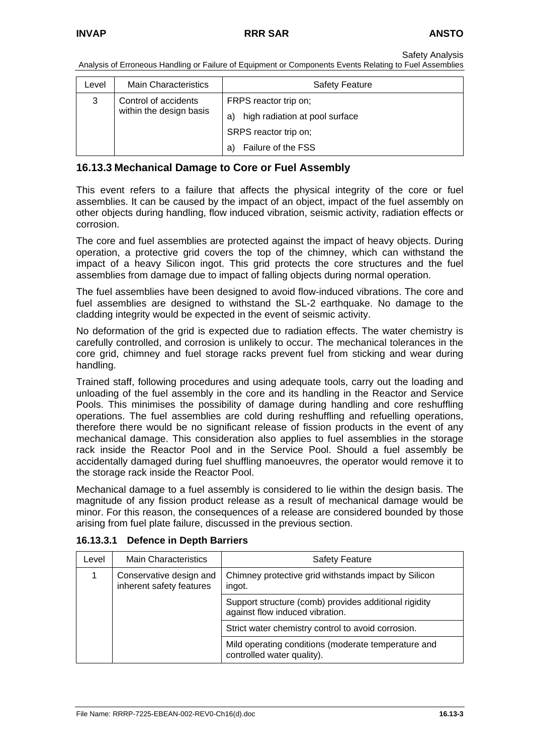Analysis of Erroneous Handling or Failure of Equipment or Components Events Relating to Fuel Assemblies

| Level | <b>Main Characteristics</b> | <b>Safety Feature</b>                |
|-------|-----------------------------|--------------------------------------|
| 3     | Control of accidents        | FRPS reactor trip on;                |
|       | within the design basis     | high radiation at pool surface<br>a) |
|       |                             | SRPS reactor trip on;                |
|       |                             | Failure of the FSS<br>a)             |

### **16.13.3 Mechanical Damage to Core or Fuel Assembly**

This event refers to a failure that affects the physical integrity of the core or fuel assemblies. It can be caused by the impact of an object, impact of the fuel assembly on other objects during handling, flow induced vibration, seismic activity, radiation effects or corrosion.

The core and fuel assemblies are protected against the impact of heavy objects. During operation, a protective grid covers the top of the chimney, which can withstand the impact of a heavy Silicon ingot. This grid protects the core structures and the fuel assemblies from damage due to impact of falling objects during normal operation.

The fuel assemblies have been designed to avoid flow-induced vibrations. The core and fuel assemblies are designed to withstand the SL-2 earthquake. No damage to the cladding integrity would be expected in the event of seismic activity.

No deformation of the grid is expected due to radiation effects. The water chemistry is carefully controlled, and corrosion is unlikely to occur. The mechanical tolerances in the core grid, chimney and fuel storage racks prevent fuel from sticking and wear during handling.

Trained staff, following procedures and using adequate tools, carry out the loading and unloading of the fuel assembly in the core and its handling in the Reactor and Service Pools. This minimises the possibility of damage during handling and core reshuffling operations. The fuel assemblies are cold during reshuffling and refuelling operations, therefore there would be no significant release of fission products in the event of any mechanical damage. This consideration also applies to fuel assemblies in the storage rack inside the Reactor Pool and in the Service Pool. Should a fuel assembly be accidentally damaged during fuel shuffling manoeuvres, the operator would remove it to the storage rack inside the Reactor Pool.

Mechanical damage to a fuel assembly is considered to lie within the design basis. The magnitude of any fission product release as a result of mechanical damage would be minor. For this reason, the consequences of a release are considered bounded by those arising from fuel plate failure, discussed in the previous section.

| Level | Main Characteristics                                | <b>Safety Feature</b>                                                                    |
|-------|-----------------------------------------------------|------------------------------------------------------------------------------------------|
|       | Conservative design and<br>inherent safety features | Chimney protective grid withstands impact by Silicon<br>ingot.                           |
|       |                                                     | Support structure (comb) provides additional rigidity<br>against flow induced vibration. |
|       |                                                     | Strict water chemistry control to avoid corrosion.                                       |
|       |                                                     | Mild operating conditions (moderate temperature and<br>controlled water quality).        |

#### **16.13.3.1 Defence in Depth Barriers**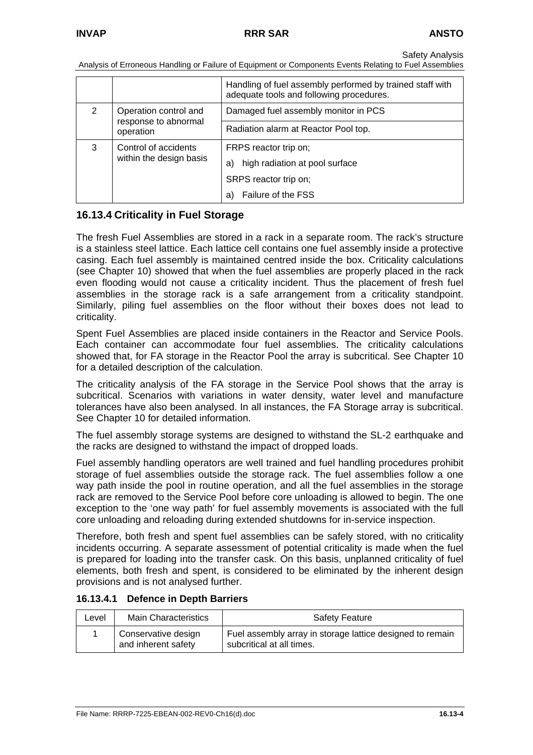Analysis of Erroneous Handling or Failure of Equipment or Components Events Relating to Fuel Assemblies

|                            |                                   | Handling of fuel assembly performed by trained staff with<br>adequate tools and following procedures. |
|----------------------------|-----------------------------------|-------------------------------------------------------------------------------------------------------|
| 2<br>Operation control and |                                   | Damaged fuel assembly monitor in PCS                                                                  |
|                            | response to abnormal<br>operation | Radiation alarm at Reactor Pool top.                                                                  |
| Control of accidents<br>3  |                                   | FRPS reactor trip on;                                                                                 |
|                            | within the design basis           | high radiation at pool surface<br>a)                                                                  |
|                            |                                   | SRPS reactor trip on;                                                                                 |
|                            |                                   | Failure of the FSS<br>a)                                                                              |

## **16.13.4 Criticality in Fuel Storage**

The fresh Fuel Assemblies are stored in a rack in a separate room. The rack's structure is a stainless steel lattice. Each lattice cell contains one fuel assembly inside a protective casing. Each fuel assembly is maintained centred inside the box. Criticality calculations (see Chapter 10) showed that when the fuel assemblies are properly placed in the rack even flooding would not cause a criticality incident. Thus the placement of fresh fuel assemblies in the storage rack is a safe arrangement from a criticality standpoint. Similarly, piling fuel assemblies on the floor without their boxes does not lead to criticality.

Spent Fuel Assemblies are placed inside containers in the Reactor and Service Pools. Each container can accommodate four fuel assemblies. The criticality calculations showed that, for FA storage in the Reactor Pool the array is subcritical. See Chapter 10 for a detailed description of the calculation.

The criticality analysis of the FA storage in the Service Pool shows that the array is subcritical. Scenarios with variations in water density, water level and manufacture tolerances have also been analysed. In all instances, the FA Storage array is subcritical. See Chapter 10 for detailed information.

The fuel assembly storage systems are designed to withstand the SL-2 earthquake and the racks are designed to withstand the impact of dropped loads.

Fuel assembly handling operators are well trained and fuel handling procedures prohibit storage of fuel assemblies outside the storage rack. The fuel assemblies follow a one way path inside the pool in routine operation, and all the fuel assemblies in the storage rack are removed to the Service Pool before core unloading is allowed to begin. The one exception to the 'one way path' for fuel assembly movements is associated with the full core unloading and reloading during extended shutdowns for in-service inspection.

Therefore, both fresh and spent fuel assemblies can be safely stored, with no criticality incidents occurring. A separate assessment of potential criticality is made when the fuel is prepared for loading into the transfer cask. On this basis, unplanned criticality of fuel elements, both fresh and spent, is considered to be eliminated by the inherent design provisions and is not analysed further.

#### **16.13.4.1 Defence in Depth Barriers**

| Level | <b>Main Characteristics</b>                | <b>Safety Feature</b>                                                                  |
|-------|--------------------------------------------|----------------------------------------------------------------------------------------|
|       | Conservative design<br>and inherent safety | Fuel assembly array in storage lattice designed to remain<br>subcritical at all times. |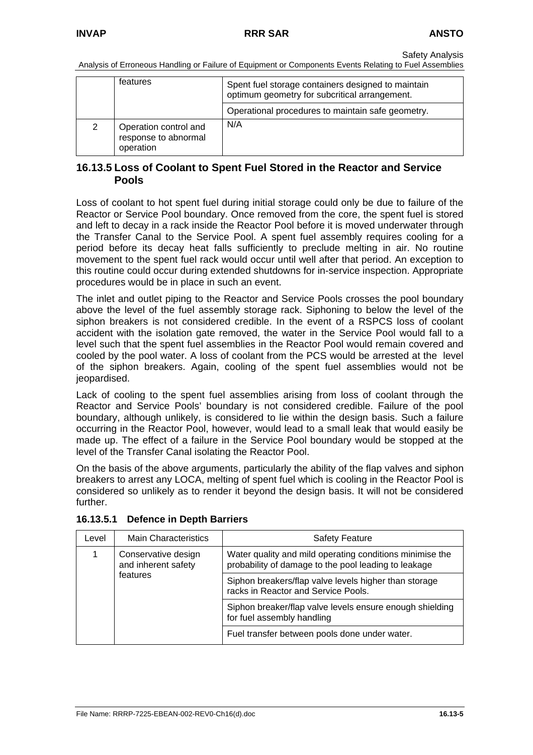Analysis of Erroneous Handling or Failure of Equipment or Components Events Relating to Fuel Assemblies

|   | features                                                   | Spent fuel storage containers designed to maintain<br>optimum geometry for subcritical arrangement. |
|---|------------------------------------------------------------|-----------------------------------------------------------------------------------------------------|
|   |                                                            | Operational procedures to maintain safe geometry.                                                   |
| 2 | Operation control and<br>response to abnormal<br>operation | N/A                                                                                                 |

#### **16.13.5 Loss of Coolant to Spent Fuel Stored in the Reactor and Service Pools**

Loss of coolant to hot spent fuel during initial storage could only be due to failure of the Reactor or Service Pool boundary. Once removed from the core, the spent fuel is stored and left to decay in a rack inside the Reactor Pool before it is moved underwater through the Transfer Canal to the Service Pool. A spent fuel assembly requires cooling for a period before its decay heat falls sufficiently to preclude melting in air. No routine movement to the spent fuel rack would occur until well after that period. An exception to this routine could occur during extended shutdowns for in-service inspection. Appropriate procedures would be in place in such an event.

The inlet and outlet piping to the Reactor and Service Pools crosses the pool boundary above the level of the fuel assembly storage rack. Siphoning to below the level of the siphon breakers is not considered credible. In the event of a RSPCS loss of coolant accident with the isolation gate removed, the water in the Service Pool would fall to a level such that the spent fuel assemblies in the Reactor Pool would remain covered and cooled by the pool water. A loss of coolant from the PCS would be arrested at the level of the siphon breakers. Again, cooling of the spent fuel assemblies would not be jeopardised.

Lack of cooling to the spent fuel assemblies arising from loss of coolant through the Reactor and Service Pools' boundary is not considered credible. Failure of the pool boundary, although unlikely, is considered to lie within the design basis. Such a failure occurring in the Reactor Pool, however, would lead to a small leak that would easily be made up. The effect of a failure in the Service Pool boundary would be stopped at the level of the Transfer Canal isolating the Reactor Pool.

On the basis of the above arguments, particularly the ability of the flap valves and siphon breakers to arrest any LOCA, melting of spent fuel which is cooling in the Reactor Pool is considered so unlikely as to render it beyond the design basis. It will not be considered further.

| Level | <b>Main Characteristics</b>                            | <b>Safety Feature</b>                                                                                            |
|-------|--------------------------------------------------------|------------------------------------------------------------------------------------------------------------------|
|       | Conservative design<br>and inherent safety<br>features | Water quality and mild operating conditions minimise the<br>probability of damage to the pool leading to leakage |
|       |                                                        | Siphon breakers/flap valve levels higher than storage<br>racks in Reactor and Service Pools.                     |
|       |                                                        | Siphon breaker/flap valve levels ensure enough shielding<br>for fuel assembly handling                           |
|       |                                                        | Fuel transfer between pools done under water.                                                                    |

**16.13.5.1 Defence in Depth Barriers**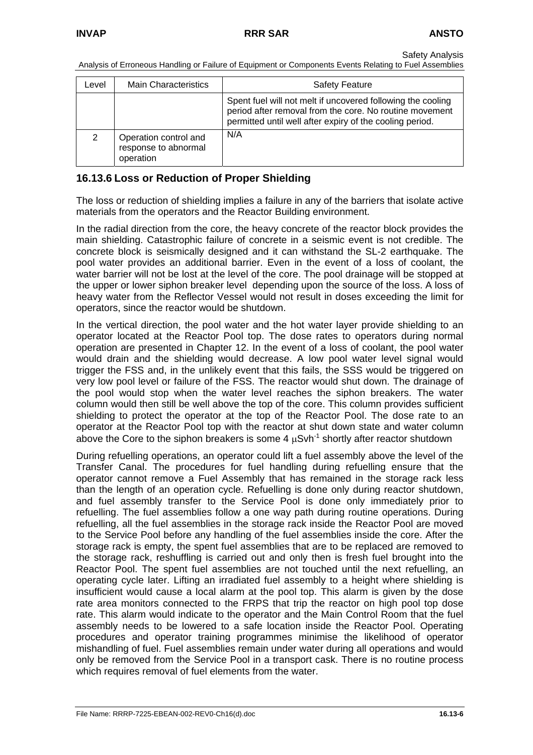Analysis of Erroneous Handling or Failure of Equipment or Components Events Relating to Fuel Assemblies

| Level | <b>Main Characteristics</b>                                | <b>Safety Feature</b>                                                                                                                                                              |
|-------|------------------------------------------------------------|------------------------------------------------------------------------------------------------------------------------------------------------------------------------------------|
|       |                                                            | Spent fuel will not melt if uncovered following the cooling<br>period after removal from the core. No routine movement<br>permitted until well after expiry of the cooling period. |
| 2     | Operation control and<br>response to abnormal<br>operation | N/A                                                                                                                                                                                |

### **16.13.6 Loss or Reduction of Proper Shielding**

The loss or reduction of shielding implies a failure in any of the barriers that isolate active materials from the operators and the Reactor Building environment.

In the radial direction from the core, the heavy concrete of the reactor block provides the main shielding. Catastrophic failure of concrete in a seismic event is not credible. The concrete block is seismically designed and it can withstand the SL-2 earthquake. The pool water provides an additional barrier. Even in the event of a loss of coolant, the water barrier will not be lost at the level of the core. The pool drainage will be stopped at the upper or lower siphon breaker level depending upon the source of the loss. A loss of heavy water from the Reflector Vessel would not result in doses exceeding the limit for operators, since the reactor would be shutdown.

In the vertical direction, the pool water and the hot water layer provide shielding to an operator located at the Reactor Pool top. The dose rates to operators during normal operation are presented in Chapter 12. In the event of a loss of coolant, the pool water would drain and the shielding would decrease. A low pool water level signal would trigger the FSS and, in the unlikely event that this fails, the SSS would be triggered on very low pool level or failure of the FSS. The reactor would shut down. The drainage of the pool would stop when the water level reaches the siphon breakers. The water column would then still be well above the top of the core. This column provides sufficient shielding to protect the operator at the top of the Reactor Pool. The dose rate to an operator at the Reactor Pool top with the reactor at shut down state and water column above the Core to the siphon breakers is some 4  $\mu$ Svh<sup>-1</sup> shortly after reactor shutdown

During refuelling operations, an operator could lift a fuel assembly above the level of the Transfer Canal. The procedures for fuel handling during refuelling ensure that the operator cannot remove a Fuel Assembly that has remained in the storage rack less than the length of an operation cycle. Refuelling is done only during reactor shutdown, and fuel assembly transfer to the Service Pool is done only immediately prior to refuelling. The fuel assemblies follow a one way path during routine operations. During refuelling, all the fuel assemblies in the storage rack inside the Reactor Pool are moved to the Service Pool before any handling of the fuel assemblies inside the core. After the storage rack is empty, the spent fuel assemblies that are to be replaced are removed to the storage rack, reshuffling is carried out and only then is fresh fuel brought into the Reactor Pool. The spent fuel assemblies are not touched until the next refuelling, an operating cycle later. Lifting an irradiated fuel assembly to a height where shielding is insufficient would cause a local alarm at the pool top. This alarm is given by the dose rate area monitors connected to the FRPS that trip the reactor on high pool top dose rate. This alarm would indicate to the operator and the Main Control Room that the fuel assembly needs to be lowered to a safe location inside the Reactor Pool. Operating procedures and operator training programmes minimise the likelihood of operator mishandling of fuel. Fuel assemblies remain under water during all operations and would only be removed from the Service Pool in a transport cask. There is no routine process which requires removal of fuel elements from the water.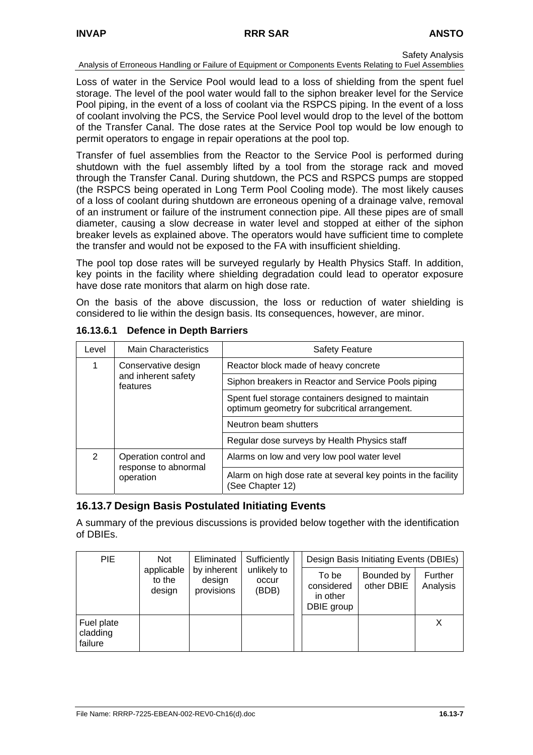#### Analysis of Erroneous Handling or Failure of Equipment or Components Events Relating to Fuel Assemblies

Loss of water in the Service Pool would lead to a loss of shielding from the spent fuel storage. The level of the pool water would fall to the siphon breaker level for the Service Pool piping, in the event of a loss of coolant via the RSPCS piping. In the event of a loss of coolant involving the PCS, the Service Pool level would drop to the level of the bottom of the Transfer Canal. The dose rates at the Service Pool top would be low enough to permit operators to engage in repair operations at the pool top.

Transfer of fuel assemblies from the Reactor to the Service Pool is performed during shutdown with the fuel assembly lifted by a tool from the storage rack and moved through the Transfer Canal. During shutdown, the PCS and RSPCS pumps are stopped (the RSPCS being operated in Long Term Pool Cooling mode). The most likely causes of a loss of coolant during shutdown are erroneous opening of a drainage valve, removal of an instrument or failure of the instrument connection pipe. All these pipes are of small diameter, causing a slow decrease in water level and stopped at either of the siphon breaker levels as explained above. The operators would have sufficient time to complete the transfer and would not be exposed to the FA with insufficient shielding.

The pool top dose rates will be surveyed regularly by Health Physics Staff. In addition, key points in the facility where shielding degradation could lead to operator exposure have dose rate monitors that alarm on high dose rate.

On the basis of the above discussion, the loss or reduction of water shielding is considered to lie within the design basis. Its consequences, however, are minor.

| Level         | <b>Main Characteristics</b>                                | <b>Safety Feature</b>                                                                               |
|---------------|------------------------------------------------------------|-----------------------------------------------------------------------------------------------------|
|               | Conservative design                                        | Reactor block made of heavy concrete                                                                |
|               | and inherent safety<br>features                            | Siphon breakers in Reactor and Service Pools piping                                                 |
|               |                                                            | Spent fuel storage containers designed to maintain<br>optimum geometry for subcritical arrangement. |
|               |                                                            | Neutron beam shutters                                                                               |
|               |                                                            | Regular dose surveys by Health Physics staff                                                        |
| $\mathcal{P}$ | Operation control and<br>response to abnormal<br>operation | Alarms on low and very low pool water level                                                         |
|               |                                                            | Alarm on high dose rate at several key points in the facility<br>(See Chapter 12)                   |

#### **16.13.6.1 Defence in Depth Barriers**

# **16.13.7 Design Basis Postulated Initiating Events**

A summary of the previous discussions is provided below together with the identification of DBIEs.

| <b>PIE</b>                        | Not                            | Eliminated                          | Sufficiently                  |                                               | Design Basis Initiating Events (DBIEs) |                     |
|-----------------------------------|--------------------------------|-------------------------------------|-------------------------------|-----------------------------------------------|----------------------------------------|---------------------|
|                                   | applicable<br>to the<br>design | by inherent<br>design<br>provisions | unlikely to<br>occur<br>(BDB) | To be<br>considered<br>in other<br>DBIE group | Bounded by<br>other DBIE               | Further<br>Analysis |
| Fuel plate<br>cladding<br>failure |                                |                                     |                               |                                               |                                        | х                   |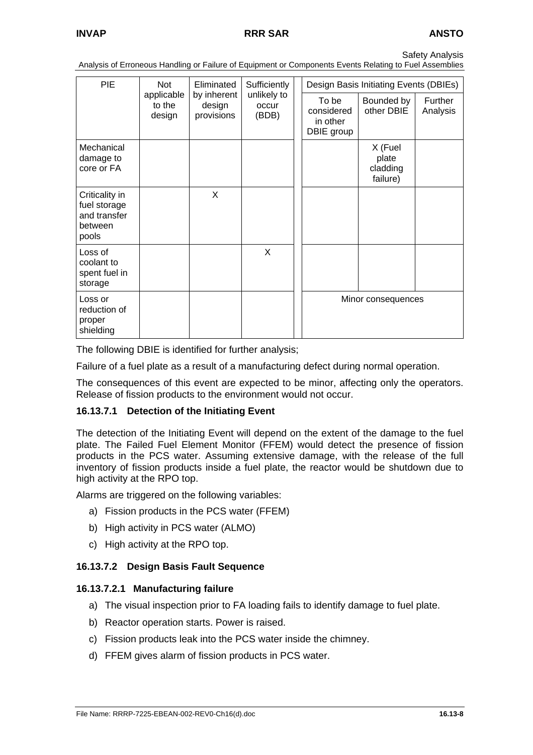Analysis of Erroneous Handling or Failure of Equipment or Components Events Relating to Fuel Assemblies

| <b>PIE</b>                                                         | Not                            | Eliminated                          | Sufficiently                  | Design Basis Initiating Events (DBIEs)        |                                          |                     |  |
|--------------------------------------------------------------------|--------------------------------|-------------------------------------|-------------------------------|-----------------------------------------------|------------------------------------------|---------------------|--|
|                                                                    | applicable<br>to the<br>design | by inherent<br>design<br>provisions | unlikely to<br>occur<br>(BDB) | To be<br>considered<br>in other<br>DBIE group | Bounded by<br>other DBIE                 | Further<br>Analysis |  |
| Mechanical<br>damage to<br>core or FA                              |                                |                                     |                               |                                               | X (Fuel<br>plate<br>cladding<br>failure) |                     |  |
| Criticality in<br>fuel storage<br>and transfer<br>between<br>pools |                                | X                                   |                               |                                               |                                          |                     |  |
| Loss of<br>coolant to<br>spent fuel in<br>storage                  |                                |                                     | X                             |                                               |                                          |                     |  |
| Loss or<br>reduction of<br>proper<br>shielding                     |                                |                                     |                               |                                               | Minor consequences                       |                     |  |

The following DBIE is identified for further analysis;

Failure of a fuel plate as a result of a manufacturing defect during normal operation.

The consequences of this event are expected to be minor, affecting only the operators. Release of fission products to the environment would not occur.

#### **16.13.7.1 Detection of the Initiating Event**

The detection of the Initiating Event will depend on the extent of the damage to the fuel plate. The Failed Fuel Element Monitor (FFEM) would detect the presence of fission products in the PCS water. Assuming extensive damage, with the release of the full inventory of fission products inside a fuel plate, the reactor would be shutdown due to high activity at the RPO top.

Alarms are triggered on the following variables:

- a) Fission products in the PCS water (FFEM)
- b) High activity in PCS water (ALMO)
- c) High activity at the RPO top.

#### **16.13.7.2 Design Basis Fault Sequence**

#### **16.13.7.2.1 Manufacturing failure**

- a) The visual inspection prior to FA loading fails to identify damage to fuel plate.
- b) Reactor operation starts. Power is raised.
- c) Fission products leak into the PCS water inside the chimney.
- d) FFEM gives alarm of fission products in PCS water.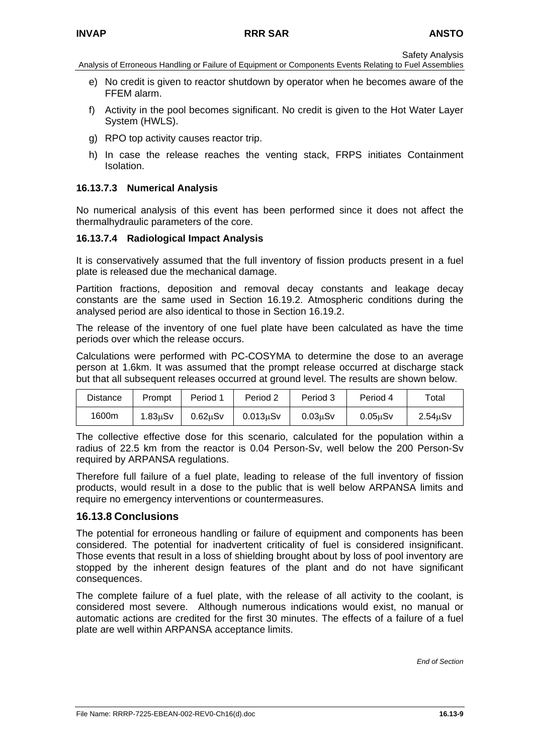Analysis of Erroneous Handling or Failure of Equipment or Components Events Relating to Fuel Assemblies

- e) No credit is given to reactor shutdown by operator when he becomes aware of the FFEM alarm.
- f) Activity in the pool becomes significant. No credit is given to the Hot Water Layer System (HWLS).
- g) RPO top activity causes reactor trip.
- h) In case the release reaches the venting stack, FRPS initiates Containment Isolation.

### **16.13.7.3 Numerical Analysis**

No numerical analysis of this event has been performed since it does not affect the thermalhydraulic parameters of the core.

### **16.13.7.4 Radiological Impact Analysis**

It is conservatively assumed that the full inventory of fission products present in a fuel plate is released due the mechanical damage.

Partition fractions, deposition and removal decay constants and leakage decay constants are the same used in Section 16.19.2. Atmospheric conditions during the analysed period are also identical to those in Section 16.19.2.

The release of the inventory of one fuel plate have been calculated as have the time periods over which the release occurs.

Calculations were performed with PC-COSYMA to determine the dose to an average person at 1.6km. It was assumed that the prompt release occurred at discharge stack but that all subsequent releases occurred at ground level. The results are shown below.

| <b>Distance</b> | Prompt  | Period 1             | Period 2        | Period 3             | Period 4 | Total                |
|-----------------|---------|----------------------|-----------------|----------------------|----------|----------------------|
| 1600m           | 1.83uSv | 0.62 <sub>µ</sub> Sv | $0.013$ u $S$ v | 0.03 <sub>u</sub> Sv | 0.05uSv  | 2.54 <sub>u</sub> Sv |

The collective effective dose for this scenario, calculated for the population within a radius of 22.5 km from the reactor is 0.04 Person-Sv, well below the 200 Person-Sv required by ARPANSA regulations.

Therefore full failure of a fuel plate, leading to release of the full inventory of fission products, would result in a dose to the public that is well below ARPANSA limits and require no emergency interventions or countermeasures.

### **16.13.8 Conclusions**

The potential for erroneous handling or failure of equipment and components has been considered. The potential for inadvertent criticality of fuel is considered insignificant. Those events that result in a loss of shielding brought about by loss of pool inventory are stopped by the inherent design features of the plant and do not have significant consequences.

The complete failure of a fuel plate, with the release of all activity to the coolant, is considered most severe. Although numerous indications would exist, no manual or automatic actions are credited for the first 30 minutes. The effects of a failure of a fuel plate are well within ARPANSA acceptance limits.

*End of Section*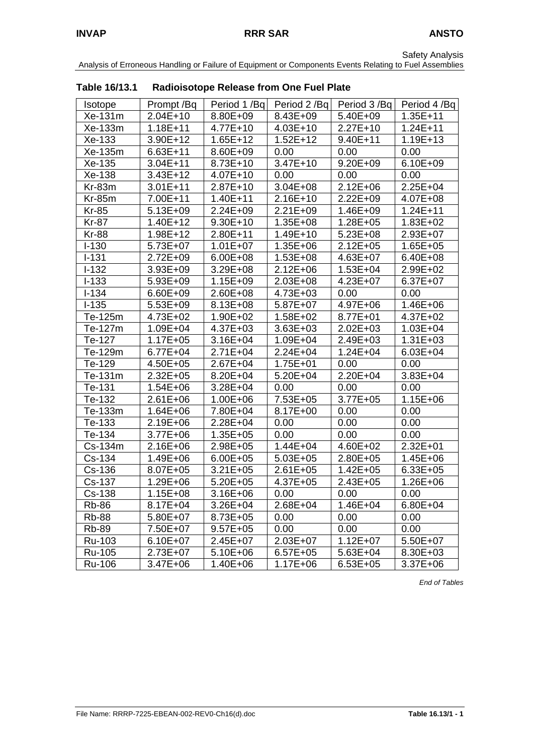Analysis of Erroneous Handling or Failure of Equipment or Components Events Relating to Fuel Assemblies

| <b>I ANIC TU/ IJ. I</b> |              | <b>National Oriental Community Community</b> |              |              |              |
|-------------------------|--------------|----------------------------------------------|--------------|--------------|--------------|
| <b>Isotope</b>          | Prompt /Bq   | Period 1/Bq                                  | Period 2/Bq  | Period 3/Bq  | Period 4/Bq  |
| Xe-131m                 | 2.04E+10     | 8.80E+09                                     | 8.43E+09     | 5.40E+09     | $1.35E + 11$ |
| Xe-133m                 | $1.18E + 11$ | $4.77E + 10$                                 | $4.03E + 10$ | $2.27E+10$   | $1.24E + 11$ |
| Xe-133                  | 3.90E+12     | $1.65E + 12$                                 | $1.52E + 12$ | $9.40E + 11$ | $1.19E + 13$ |
| Xe-135m                 | $6.63E + 11$ | 8.60E+09                                     | 0.00         | 0.00         | 0.00         |
| Xe-135                  | $3.04E + 11$ | 8.73E+10                                     | $3.47E + 10$ | 9.20E+09     | 6.10E+09     |
| Xe-138                  | $3.43E+12$   | $4.07E + 10$                                 | 0.00         | 0.00         | 0.00         |
| $Kr-83m$                | $3.01E + 11$ | $2.87E+10$                                   | $3.04E + 08$ | $2.12E + 06$ | 2.25E+04     |
| <b>Kr-85m</b>           | 7.00E+11     | $1.40E + 11$                                 | $2.16E+10$   | $2.22E + 09$ | 4.07E+08     |
| <b>Kr-85</b>            | $5.13E + 09$ | $2.24E + 09$                                 | $2.21E + 09$ | 1.46E+09     | $1.24E + 11$ |
| <b>Kr-87</b>            | $1.40E + 12$ | $9.30E+10$                                   | $1.35E + 08$ | $1.28E + 05$ | $1.83E + 02$ |
| <b>Kr-88</b>            | 1.98E+12     | 2.80E+11                                     | 1.49E+10     | 5.23E+08     | 2.93E+07     |
| $I - 130$               | 5.73E+07     | $1.01E + 07$                                 | 1.35E+06     | $2.12E + 05$ | $1.65E + 05$ |
| $I-131$                 | 2.72E+09     | 6.00E+08                                     | 1.53E+08     | 4.63E+07     | 6.40E+08     |
| $I-132$                 | 3.93E+09     | 3.29E+08                                     | $2.12E + 06$ | $1.53E + 04$ | 2.99E+02     |
| $I-133$                 | 5.93E+09     | $1.15E + 09$                                 | 2.03E+08     | 4.23E+07     | 6.37E+07     |
| $I - 134$               | 6.60E+09     | 2.60E+08                                     | 4.73E+03     | 0.00         | 0.00         |
| $I-135$                 | 5.53E+09     | 8.13E+08                                     | 5.87E+07     | 4.97E+06     | 1.46E+06     |
| Te-125m                 | 4.73E+02     | 1.90E+02                                     | 1.58E+02     | 8.77E+01     | 4.37E+02     |
| Te-127m                 | 1.09E+04     | 4.37E+03                                     | $3.63E + 03$ | $2.02E + 03$ | $1.03E + 04$ |
| Te-127                  | $1.17E + 05$ | $3.16E + 04$                                 | 1.09E+04     | 2.49E+03     | $1.31E + 03$ |
| Te-129m                 | 6.77E+04     | $2.71E + 04$                                 | $2.24E + 04$ | $1.24E + 04$ | $6.03E + 04$ |
| Te-129                  | 4.50E+05     | $2.67E + 04$                                 | 1.75E+01     | 0.00         | 0.00         |
| Te-131m                 | 2.32E+05     | 8.20E+04                                     | 5.20E+04     | 2.20E+04     | 3.83E+04     |
| Te-131                  | $1.54E + 06$ | 3.28E+04                                     | 0.00         | 0.00         | 0.00         |
| Te-132                  | $2.61E + 06$ | $1.00E + 06$                                 | 7.53E+05     | 3.77E+05     | $1.15E + 06$ |
| Te-133m                 | $1.64E + 06$ | 7.80E+04                                     | 8.17E+00     | 0.00         | 0.00         |
| Te-133                  | 2.19E+06     | 2.28E+04                                     | 0.00         | 0.00         | 0.00         |
| Te-134                  | 3.77E+06     | $1.35E + 05$                                 | 0.00         | 0.00         | 0.00         |
| Cs-134m                 | 2.16E+06     | 2.98E+05                                     | $1.44E + 04$ | 4.60E+02     | $2.32E + 01$ |
| Cs-134                  | 1.49E+06     | $6.00E + 05$                                 | $5.03E + 05$ | 2.80E+05     | $1.45E + 06$ |
| Cs-136                  | 8.07E+05     | $3.21E + 05$                                 | 2.61E+05     | $1.42E + 05$ | 6.33E+05     |
| Cs-137                  | 1.29E+06     | $5.20E + 05$                                 | 4.37E+05     | 2.43E+05     | 1.26E+06     |
| Cs-138                  | 1.15E+08     | $3.16E + 06$                                 | 0.00         | 0.00         | 0.00         |
| <b>Rb-86</b>            | 8.17E+04     | 3.26E+04                                     | 2.68E+04     | $1.46E + 04$ | $6.80E + 04$ |
| <b>Rb-88</b>            | 5.80E+07     | 8.73E+05                                     | 0.00         | 0.00         | 0.00         |
| <b>Rb-89</b>            | 7.50E+07     | $9.57E + 05$                                 | 0.00         | 0.00         | 0.00         |
| Ru-103                  | 6.10E+07     | 2.45E+07                                     | $2.03E + 07$ | $1.12E + 07$ | 5.50E+07     |
| Ru-105                  | 2.73E+07     | $5.10E + 06$                                 | $6.57E + 05$ | $5.63E + 04$ | $8.30E + 03$ |
| <b>Ru-106</b>           | 3.47E+06     | 1.40E+06                                     | 1.17E+06     | $6.53E + 05$ | $3.37E + 06$ |

**Table 16/13.1 Radioisotope Release from One Fuel Plate** 

*End of Tables*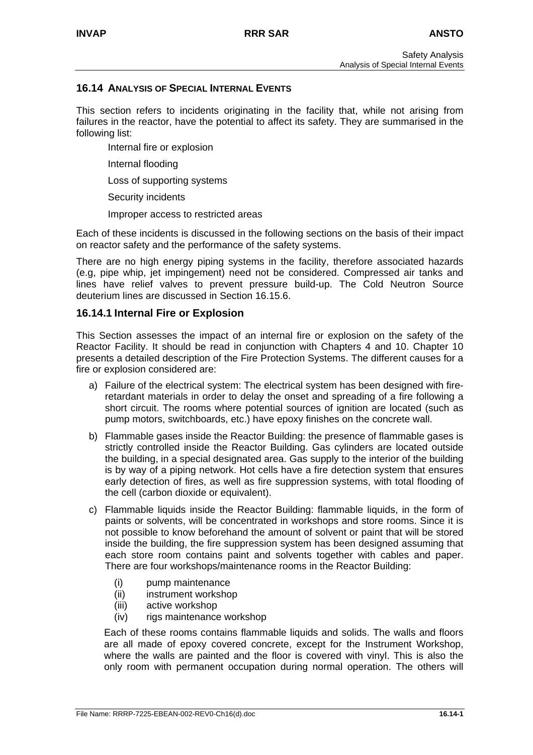### **16.14 ANALYSIS OF SPECIAL INTERNAL EVENTS**

This section refers to incidents originating in the facility that, while not arising from failures in the reactor, have the potential to affect its safety. They are summarised in the following list:

- Internal fire or explosion
- Internal flooding
- Loss of supporting systems
- Security incidents
- Improper access to restricted areas

Each of these incidents is discussed in the following sections on the basis of their impact on reactor safety and the performance of the safety systems.

There are no high energy piping systems in the facility, therefore associated hazards (e.g, pipe whip, jet impingement) need not be considered. Compressed air tanks and lines have relief valves to prevent pressure build-up. The Cold Neutron Source deuterium lines are discussed in Section 16.15.6.

### **16.14.1 Internal Fire or Explosion**

This Section assesses the impact of an internal fire or explosion on the safety of the Reactor Facility. It should be read in conjunction with Chapters 4 and 10. Chapter 10 presents a detailed description of the Fire Protection Systems. The different causes for a fire or explosion considered are:

- a) Failure of the electrical system: The electrical system has been designed with fireretardant materials in order to delay the onset and spreading of a fire following a short circuit. The rooms where potential sources of ignition are located (such as pump motors, switchboards, etc.) have epoxy finishes on the concrete wall.
- b) Flammable gases inside the Reactor Building: the presence of flammable gases is strictly controlled inside the Reactor Building. Gas cylinders are located outside the building, in a special designated area. Gas supply to the interior of the building is by way of a piping network. Hot cells have a fire detection system that ensures early detection of fires, as well as fire suppression systems, with total flooding of the cell (carbon dioxide or equivalent).
- c) Flammable liquids inside the Reactor Building: flammable liquids, in the form of paints or solvents, will be concentrated in workshops and store rooms. Since it is not possible to know beforehand the amount of solvent or paint that will be stored inside the building, the fire suppression system has been designed assuming that each store room contains paint and solvents together with cables and paper. There are four workshops/maintenance rooms in the Reactor Building:
	- (i) pump maintenance
	- (ii) instrument workshop
	- (iii) active workshop
	- (iv) rigs maintenance workshop

Each of these rooms contains flammable liquids and solids. The walls and floors are all made of epoxy covered concrete, except for the Instrument Workshop, where the walls are painted and the floor is covered with vinyl. This is also the only room with permanent occupation during normal operation. The others will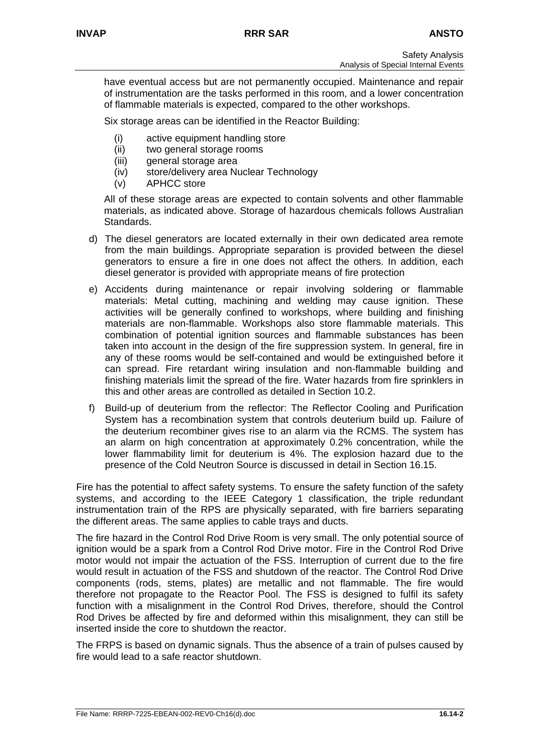have eventual access but are not permanently occupied. Maintenance and repair of instrumentation are the tasks performed in this room, and a lower concentration of flammable materials is expected, compared to the other workshops.

Six storage areas can be identified in the Reactor Building:

- (i) active equipment handling store
- (ii) two general storage rooms
- (iii) general storage area
- (iv) store/delivery area Nuclear Technology
- (v) APHCC store

All of these storage areas are expected to contain solvents and other flammable materials, as indicated above. Storage of hazardous chemicals follows Australian Standards.

- d) The diesel generators are located externally in their own dedicated area remote from the main buildings. Appropriate separation is provided between the diesel generators to ensure a fire in one does not affect the others. In addition, each diesel generator is provided with appropriate means of fire protection
- e) Accidents during maintenance or repair involving soldering or flammable materials: Metal cutting, machining and welding may cause ignition. These activities will be generally confined to workshops, where building and finishing materials are non-flammable. Workshops also store flammable materials. This combination of potential ignition sources and flammable substances has been taken into account in the design of the fire suppression system. In general, fire in any of these rooms would be self-contained and would be extinguished before it can spread. Fire retardant wiring insulation and non-flammable building and finishing materials limit the spread of the fire. Water hazards from fire sprinklers in this and other areas are controlled as detailed in Section 10.2.
- f) Build-up of deuterium from the reflector: The Reflector Cooling and Purification System has a recombination system that controls deuterium build up. Failure of the deuterium recombiner gives rise to an alarm via the RCMS. The system has an alarm on high concentration at approximately 0.2% concentration, while the lower flammability limit for deuterium is 4%. The explosion hazard due to the presence of the Cold Neutron Source is discussed in detail in Section 16.15.

Fire has the potential to affect safety systems. To ensure the safety function of the safety systems, and according to the IEEE Category 1 classification, the triple redundant instrumentation train of the RPS are physically separated, with fire barriers separating the different areas. The same applies to cable trays and ducts.

The fire hazard in the Control Rod Drive Room is very small. The only potential source of ignition would be a spark from a Control Rod Drive motor. Fire in the Control Rod Drive motor would not impair the actuation of the FSS. Interruption of current due to the fire would result in actuation of the FSS and shutdown of the reactor. The Control Rod Drive components (rods, stems, plates) are metallic and not flammable. The fire would therefore not propagate to the Reactor Pool. The FSS is designed to fulfil its safety function with a misalignment in the Control Rod Drives, therefore, should the Control Rod Drives be affected by fire and deformed within this misalignment, they can still be inserted inside the core to shutdown the reactor.

The FRPS is based on dynamic signals. Thus the absence of a train of pulses caused by fire would lead to a safe reactor shutdown.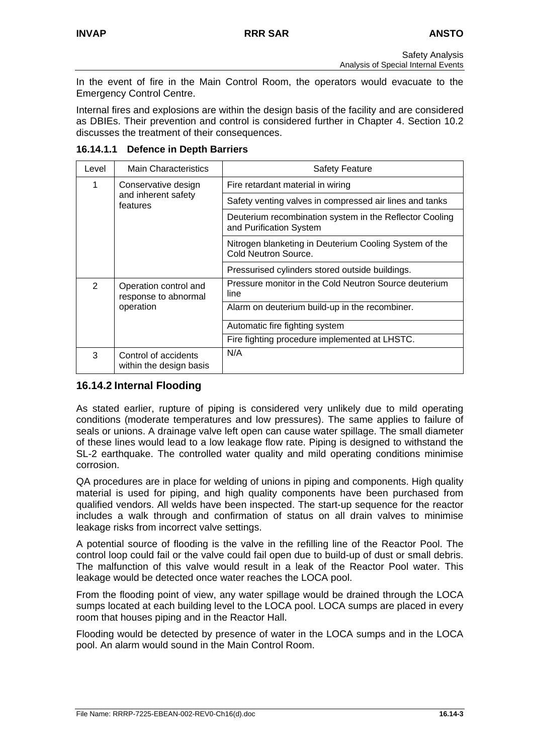In the event of fire in the Main Control Room, the operators would evacuate to the Emergency Control Centre.

Internal fires and explosions are within the design basis of the facility and are considered as DBIEs. Their prevention and control is considered further in Chapter 4. Section 10.2 discusses the treatment of their consequences.

| Level | <b>Main Characteristics</b>                     | <b>Safety Feature</b>                                                              |
|-------|-------------------------------------------------|------------------------------------------------------------------------------------|
| 1     | Conservative design                             | Fire retardant material in wiring                                                  |
|       | and inherent safety<br>features                 | Safety venting valves in compressed air lines and tanks                            |
|       |                                                 | Deuterium recombination system in the Reflector Cooling<br>and Purification System |
|       |                                                 | Nitrogen blanketing in Deuterium Cooling System of the<br>Cold Neutron Source.     |
|       |                                                 | Pressurised cylinders stored outside buildings.                                    |
| 2     | Operation control and<br>response to abnormal   | Pressure monitor in the Cold Neutron Source deuterium<br>line                      |
|       | operation                                       | Alarm on deuterium build-up in the recombiner.                                     |
|       |                                                 | Automatic fire fighting system                                                     |
|       |                                                 | Fire fighting procedure implemented at LHSTC.                                      |
| 3     | Control of accidents<br>within the design basis | N/A                                                                                |

**16.14.1.1 Defence in Depth Barriers** 

# **16.14.2 Internal Flooding**

As stated earlier, rupture of piping is considered very unlikely due to mild operating conditions (moderate temperatures and low pressures). The same applies to failure of seals or unions. A drainage valve left open can cause water spillage. The small diameter of these lines would lead to a low leakage flow rate. Piping is designed to withstand the SL-2 earthquake. The controlled water quality and mild operating conditions minimise corrosion.

QA procedures are in place for welding of unions in piping and components. High quality material is used for piping, and high quality components have been purchased from qualified vendors. All welds have been inspected. The start-up sequence for the reactor includes a walk through and confirmation of status on all drain valves to minimise leakage risks from incorrect valve settings.

A potential source of flooding is the valve in the refilling line of the Reactor Pool. The control loop could fail or the valve could fail open due to build-up of dust or small debris. The malfunction of this valve would result in a leak of the Reactor Pool water. This leakage would be detected once water reaches the LOCA pool.

From the flooding point of view, any water spillage would be drained through the LOCA sumps located at each building level to the LOCA pool. LOCA sumps are placed in every room that houses piping and in the Reactor Hall.

Flooding would be detected by presence of water in the LOCA sumps and in the LOCA pool. An alarm would sound in the Main Control Room.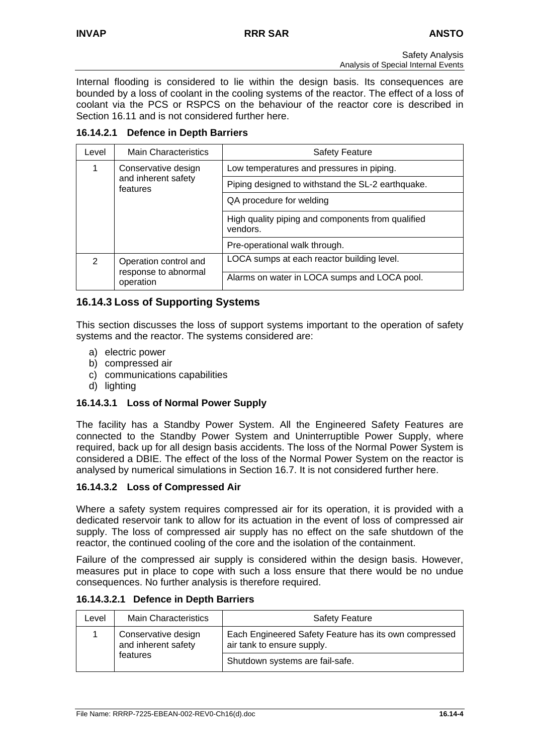Internal flooding is considered to lie within the design basis. Its consequences are bounded by a loss of coolant in the cooling systems of the reactor. The effect of a loss of coolant via the PCS or RSPCS on the behaviour of the reactor core is described in Section 16.11 and is not considered further here.

### **16.14.2.1 Defence in Depth Barriers**

| Level         | <b>Main Characteristics</b>                   | <b>Safety Feature</b>                                         |
|---------------|-----------------------------------------------|---------------------------------------------------------------|
|               | Conservative design                           | Low temperatures and pressures in piping.                     |
|               | and inherent safety<br>features               | Piping designed to withstand the SL-2 earthquake.             |
|               |                                               | QA procedure for welding                                      |
|               |                                               | High quality piping and components from qualified<br>vendors. |
|               |                                               | Pre-operational walk through.                                 |
| $\mathcal{P}$ | Operation control and<br>response to abnormal | LOCA sumps at each reactor building level.                    |
|               | operation                                     | Alarms on water in LOCA sumps and LOCA pool.                  |

# **16.14.3 Loss of Supporting Systems**

This section discusses the loss of support systems important to the operation of safety systems and the reactor. The systems considered are:

- a) electric power
- b) compressed air
- c) communications capabilities
- d) lighting

### **16.14.3.1 Loss of Normal Power Supply**

The facility has a Standby Power System. All the Engineered Safety Features are connected to the Standby Power System and Uninterruptible Power Supply, where required, back up for all design basis accidents. The loss of the Normal Power System is considered a DBIE. The effect of the loss of the Normal Power System on the reactor is analysed by numerical simulations in Section 16.7. It is not considered further here.

### **16.14.3.2 Loss of Compressed Air**

Where a safety system requires compressed air for its operation, it is provided with a dedicated reservoir tank to allow for its actuation in the event of loss of compressed air supply. The loss of compressed air supply has no effect on the safe shutdown of the reactor, the continued cooling of the core and the isolation of the containment.

Failure of the compressed air supply is considered within the design basis. However, measures put in place to cope with such a loss ensure that there would be no undue consequences. No further analysis is therefore required.

#### **16.14.3.2.1 Defence in Depth Barriers**

| Level | <b>Main Characteristics</b>                | <b>Safety Feature</b>                                                               |  |  |  |
|-------|--------------------------------------------|-------------------------------------------------------------------------------------|--|--|--|
|       | Conservative design<br>and inherent safety | Each Engineered Safety Feature has its own compressed<br>air tank to ensure supply. |  |  |  |
|       | features                                   | Shutdown systems are fail-safe.                                                     |  |  |  |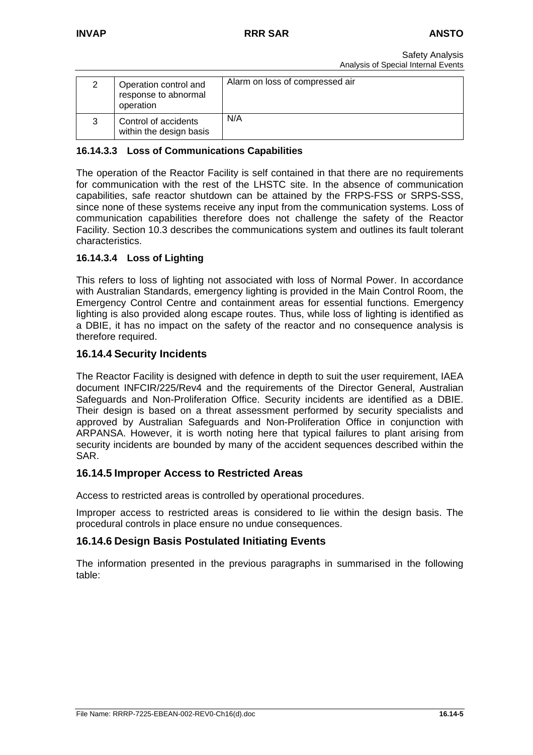| Operation control and<br>response to abnormal<br>operation | Alarm on loss of compressed air |
|------------------------------------------------------------|---------------------------------|
| Control of accidents<br>within the design basis            | N/A                             |

### **16.14.3.3 Loss of Communications Capabilities**

The operation of the Reactor Facility is self contained in that there are no requirements for communication with the rest of the LHSTC site. In the absence of communication capabilities, safe reactor shutdown can be attained by the FRPS-FSS or SRPS-SSS, since none of these systems receive any input from the communication systems. Loss of communication capabilities therefore does not challenge the safety of the Reactor Facility. Section 10.3 describes the communications system and outlines its fault tolerant characteristics.

### **16.14.3.4 Loss of Lighting**

This refers to loss of lighting not associated with loss of Normal Power. In accordance with Australian Standards, emergency lighting is provided in the Main Control Room, the Emergency Control Centre and containment areas for essential functions. Emergency lighting is also provided along escape routes. Thus, while loss of lighting is identified as a DBIE, it has no impact on the safety of the reactor and no consequence analysis is therefore required.

### **16.14.4 Security Incidents**

The Reactor Facility is designed with defence in depth to suit the user requirement, IAEA document INFCIR/225/Rev4 and the requirements of the Director General, Australian Safeguards and Non-Proliferation Office. Security incidents are identified as a DBIE. Their design is based on a threat assessment performed by security specialists and approved by Australian Safeguards and Non-Proliferation Office in conjunction with ARPANSA. However, it is worth noting here that typical failures to plant arising from security incidents are bounded by many of the accident sequences described within the SAR.

#### **16.14.5 Improper Access to Restricted Areas**

Access to restricted areas is controlled by operational procedures.

Improper access to restricted areas is considered to lie within the design basis. The procedural controls in place ensure no undue consequences.

### **16.14.6 Design Basis Postulated Initiating Events**

The information presented in the previous paragraphs in summarised in the following table: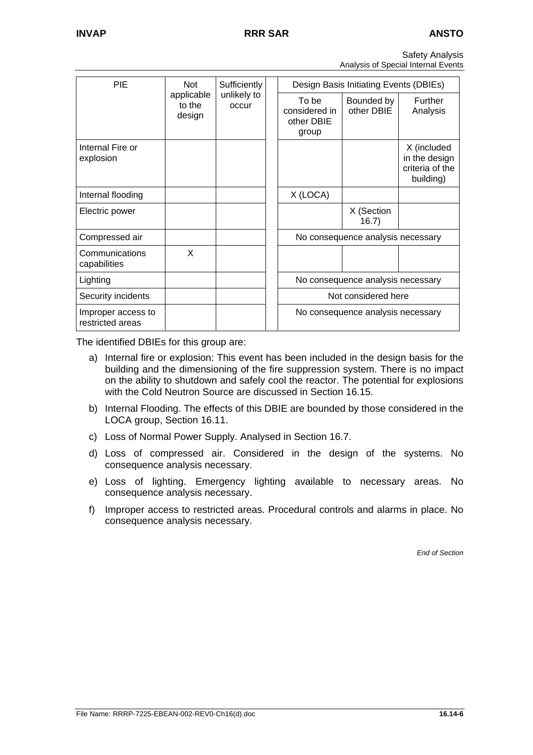| <b>Safety Analysis</b>              |
|-------------------------------------|
| Analysis of Special Internal Events |

| <b>PIE</b>                             | Not                                                    | Sufficiently                                  |                          | Design Basis Initiating Events (DBIEs) |                                   |                                                              |  |
|----------------------------------------|--------------------------------------------------------|-----------------------------------------------|--------------------------|----------------------------------------|-----------------------------------|--------------------------------------------------------------|--|
|                                        | applicable<br>unlikely to<br>to the<br>occur<br>design | To be<br>considered in<br>other DBIE<br>group | Bounded by<br>other DBIE | <b>Further</b><br>Analysis             |                                   |                                                              |  |
| Internal Fire or<br>explosion          |                                                        |                                               |                          |                                        |                                   | X (included<br>in the design<br>criteria of the<br>building) |  |
| Internal flooding                      |                                                        |                                               |                          | X (LOCA)                               |                                   |                                                              |  |
| Electric power                         |                                                        |                                               |                          |                                        | X (Section<br>16.7)               |                                                              |  |
| Compressed air                         |                                                        |                                               |                          |                                        | No consequence analysis necessary |                                                              |  |
| Communications<br>capabilities         | X                                                      |                                               |                          |                                        |                                   |                                                              |  |
| Lighting                               |                                                        |                                               |                          |                                        | No consequence analysis necessary |                                                              |  |
| Security incidents                     |                                                        |                                               |                          |                                        | Not considered here               |                                                              |  |
| Improper access to<br>restricted areas |                                                        |                                               |                          |                                        | No consequence analysis necessary |                                                              |  |

The identified DBIEs for this group are:

- a) Internal fire or explosion: This event has been included in the design basis for the building and the dimensioning of the fire suppression system. There is no impact on the ability to shutdown and safely cool the reactor. The potential for explosions with the Cold Neutron Source are discussed in Section 16.15.
- b) Internal Flooding. The effects of this DBIE are bounded by those considered in the LOCA group, Section 16.11.
- c) Loss of Normal Power Supply. Analysed in Section 16.7.
- d) Loss of compressed air. Considered in the design of the systems. No consequence analysis necessary.
- e) Loss of lighting. Emergency lighting available to necessary areas. No consequence analysis necessary.
- f) Improper access to restricted areas. Procedural controls and alarms in place. No consequence analysis necessary.

*End of Section*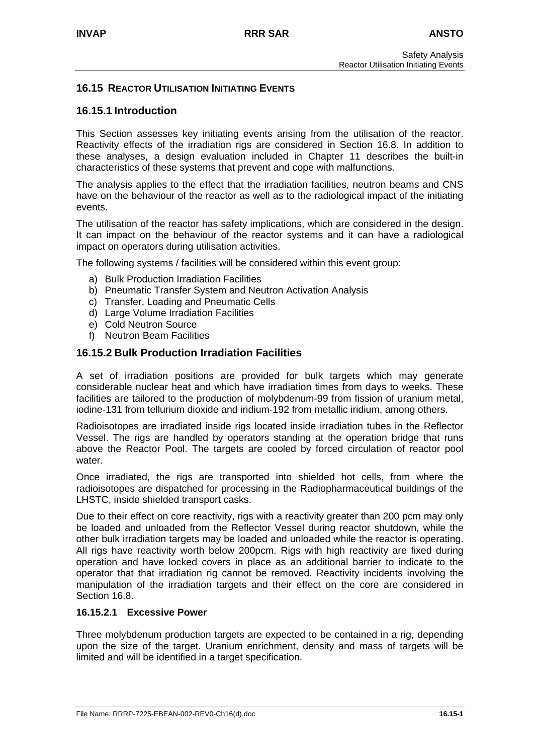### **16.15 REACTOR UTILISATION INITIATING EVENTS**

### **16.15.1 Introduction**

This Section assesses key initiating events arising from the utilisation of the reactor. Reactivity effects of the irradiation rigs are considered in Section 16.8. In addition to these analyses, a design evaluation included in Chapter 11 describes the built-in characteristics of these systems that prevent and cope with malfunctions.

The analysis applies to the effect that the irradiation facilities, neutron beams and CNS have on the behaviour of the reactor as well as to the radiological impact of the initiating events.

The utilisation of the reactor has safety implications, which are considered in the design. It can impact on the behaviour of the reactor systems and it can have a radiological impact on operators during utilisation activities.

The following systems / facilities will be considered within this event group:

- a) Bulk Production Irradiation Facilities
- b) Pneumatic Transfer System and Neutron Activation Analysis
- c) Transfer, Loading and Pneumatic Cells
- d) Large Volume Irradiation Facilities
- e) Cold Neutron Source
- f) Neutron Beam Facilities

#### **16.15.2 Bulk Production Irradiation Facilities**

A set of irradiation positions are provided for bulk targets which may generate considerable nuclear heat and which have irradiation times from days to weeks. These facilities are tailored to the production of molybdenum-99 from fission of uranium metal, iodine-131 from tellurium dioxide and iridium-192 from metallic iridium, among others.

Radioisotopes are irradiated inside rigs located inside irradiation tubes in the Reflector Vessel. The rigs are handled by operators standing at the operation bridge that runs above the Reactor Pool. The targets are cooled by forced circulation of reactor pool water.

Once irradiated, the rigs are transported into shielded hot cells, from where the radioisotopes are dispatched for processing in the Radiopharmaceutical buildings of the LHSTC, inside shielded transport casks.

Due to their effect on core reactivity, rigs with a reactivity greater than 200 pcm may only be loaded and unloaded from the Reflector Vessel during reactor shutdown, while the other bulk irradiation targets may be loaded and unloaded while the reactor is operating. All rigs have reactivity worth below 200pcm. Rigs with high reactivity are fixed during operation and have locked covers in place as an additional barrier to indicate to the operator that that irradiation rig cannot be removed. Reactivity incidents involving the manipulation of the irradiation targets and their effect on the core are considered in Section 16.8.

#### **16.15.2.1 Excessive Power**

Three molybdenum production targets are expected to be contained in a rig, depending upon the size of the target. Uranium enrichment, density and mass of targets will be limited and will be identified in a target specification.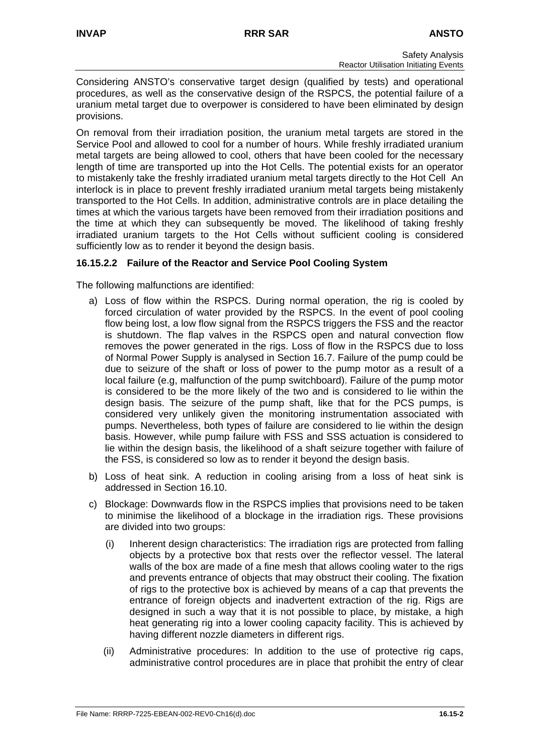Considering ANSTO's conservative target design (qualified by tests) and operational procedures, as well as the conservative design of the RSPCS, the potential failure of a uranium metal target due to overpower is considered to have been eliminated by design provisions.

On removal from their irradiation position, the uranium metal targets are stored in the Service Pool and allowed to cool for a number of hours. While freshly irradiated uranium metal targets are being allowed to cool, others that have been cooled for the necessary length of time are transported up into the Hot Cells. The potential exists for an operator to mistakenly take the freshly irradiated uranium metal targets directly to the Hot Cell An interlock is in place to prevent freshly irradiated uranium metal targets being mistakenly transported to the Hot Cells. In addition, administrative controls are in place detailing the times at which the various targets have been removed from their irradiation positions and the time at which they can subsequently be moved. The likelihood of taking freshly irradiated uranium targets to the Hot Cells without sufficient cooling is considered sufficiently low as to render it beyond the design basis.

### **16.15.2.2 Failure of the Reactor and Service Pool Cooling System**

The following malfunctions are identified:

- a) Loss of flow within the RSPCS. During normal operation, the rig is cooled by forced circulation of water provided by the RSPCS. In the event of pool cooling flow being lost, a low flow signal from the RSPCS triggers the FSS and the reactor is shutdown. The flap valves in the RSPCS open and natural convection flow removes the power generated in the rigs. Loss of flow in the RSPCS due to loss of Normal Power Supply is analysed in Section 16.7. Failure of the pump could be due to seizure of the shaft or loss of power to the pump motor as a result of a local failure (e.g, malfunction of the pump switchboard). Failure of the pump motor is considered to be the more likely of the two and is considered to lie within the design basis. The seizure of the pump shaft, like that for the PCS pumps, is considered very unlikely given the monitoring instrumentation associated with pumps. Nevertheless, both types of failure are considered to lie within the design basis. However, while pump failure with FSS and SSS actuation is considered to lie within the design basis, the likelihood of a shaft seizure together with failure of the FSS, is considered so low as to render it beyond the design basis.
- b) Loss of heat sink. A reduction in cooling arising from a loss of heat sink is addressed in Section 16.10.
- c) Blockage: Downwards flow in the RSPCS implies that provisions need to be taken to minimise the likelihood of a blockage in the irradiation rigs. These provisions are divided into two groups:
	- (i) Inherent design characteristics: The irradiation rigs are protected from falling objects by a protective box that rests over the reflector vessel. The lateral walls of the box are made of a fine mesh that allows cooling water to the rigs and prevents entrance of objects that may obstruct their cooling. The fixation of rigs to the protective box is achieved by means of a cap that prevents the entrance of foreign objects and inadvertent extraction of the rig. Rigs are designed in such a way that it is not possible to place, by mistake, a high heat generating rig into a lower cooling capacity facility. This is achieved by having different nozzle diameters in different rigs.
	- (ii) Administrative procedures: In addition to the use of protective rig caps, administrative control procedures are in place that prohibit the entry of clear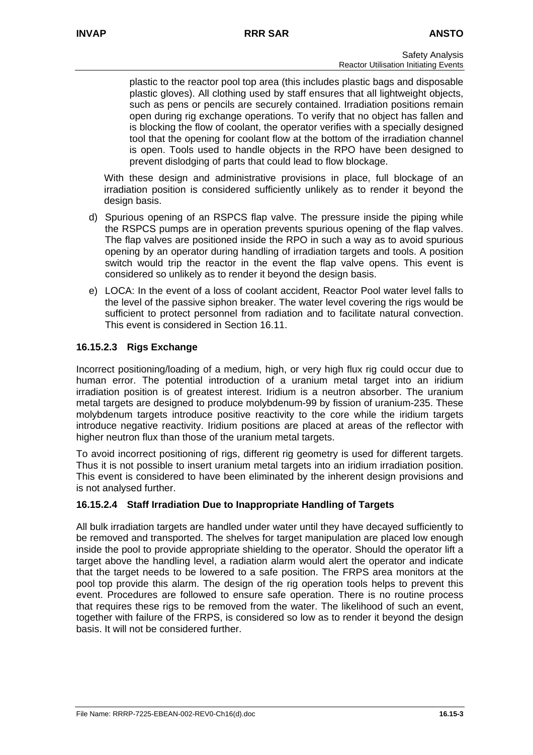plastic to the reactor pool top area (this includes plastic bags and disposable plastic gloves). All clothing used by staff ensures that all lightweight objects, such as pens or pencils are securely contained. Irradiation positions remain open during rig exchange operations. To verify that no object has fallen and is blocking the flow of coolant, the operator verifies with a specially designed tool that the opening for coolant flow at the bottom of the irradiation channel is open. Tools used to handle objects in the RPO have been designed to prevent dislodging of parts that could lead to flow blockage.

With these design and administrative provisions in place, full blockage of an irradiation position is considered sufficiently unlikely as to render it beyond the design basis.

- d) Spurious opening of an RSPCS flap valve. The pressure inside the piping while the RSPCS pumps are in operation prevents spurious opening of the flap valves. The flap valves are positioned inside the RPO in such a way as to avoid spurious opening by an operator during handling of irradiation targets and tools. A position switch would trip the reactor in the event the flap valve opens. This event is considered so unlikely as to render it beyond the design basis.
- e) LOCA: In the event of a loss of coolant accident, Reactor Pool water level falls to the level of the passive siphon breaker. The water level covering the rigs would be sufficient to protect personnel from radiation and to facilitate natural convection. This event is considered in Section 16.11.

### **16.15.2.3 Rigs Exchange**

Incorrect positioning/loading of a medium, high, or very high flux rig could occur due to human error. The potential introduction of a uranium metal target into an iridium irradiation position is of greatest interest. Iridium is a neutron absorber. The uranium metal targets are designed to produce molybdenum-99 by fission of uranium-235. These molybdenum targets introduce positive reactivity to the core while the iridium targets introduce negative reactivity. Iridium positions are placed at areas of the reflector with higher neutron flux than those of the uranium metal targets.

To avoid incorrect positioning of rigs, different rig geometry is used for different targets. Thus it is not possible to insert uranium metal targets into an iridium irradiation position. This event is considered to have been eliminated by the inherent design provisions and is not analysed further.

#### **16.15.2.4 Staff Irradiation Due to Inappropriate Handling of Targets**

All bulk irradiation targets are handled under water until they have decayed sufficiently to be removed and transported. The shelves for target manipulation are placed low enough inside the pool to provide appropriate shielding to the operator. Should the operator lift a target above the handling level, a radiation alarm would alert the operator and indicate that the target needs to be lowered to a safe position. The FRPS area monitors at the pool top provide this alarm. The design of the rig operation tools helps to prevent this event. Procedures are followed to ensure safe operation. There is no routine process that requires these rigs to be removed from the water. The likelihood of such an event, together with failure of the FRPS, is considered so low as to render it beyond the design basis. It will not be considered further.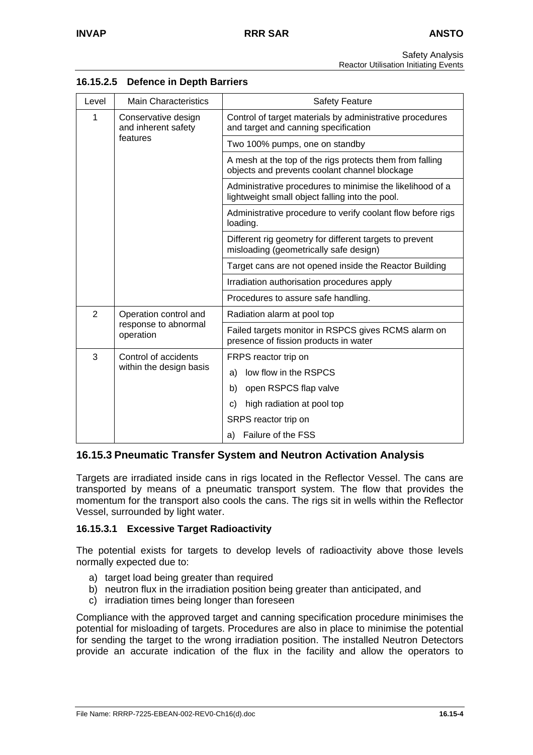Safety Analysis Reactor Utilisation Initiating Events

| Level          | <b>Main Characteristics</b>                | <b>Safety Feature</b>                                                                                        |  |  |  |  |
|----------------|--------------------------------------------|--------------------------------------------------------------------------------------------------------------|--|--|--|--|
| 1              | Conservative design<br>and inherent safety | Control of target materials by administrative procedures<br>and target and canning specification             |  |  |  |  |
|                | features                                   | Two 100% pumps, one on standby                                                                               |  |  |  |  |
|                |                                            | A mesh at the top of the rigs protects them from falling<br>objects and prevents coolant channel blockage    |  |  |  |  |
|                |                                            | Administrative procedures to minimise the likelihood of a<br>lightweight small object falling into the pool. |  |  |  |  |
|                |                                            | Administrative procedure to verify coolant flow before rigs<br>loading.                                      |  |  |  |  |
|                |                                            | Different rig geometry for different targets to prevent<br>misloading (geometrically safe design)            |  |  |  |  |
|                |                                            | Target cans are not opened inside the Reactor Building                                                       |  |  |  |  |
|                |                                            | Irradiation authorisation procedures apply                                                                   |  |  |  |  |
|                |                                            | Procedures to assure safe handling.                                                                          |  |  |  |  |
| $\overline{2}$ | Operation control and                      | Radiation alarm at pool top                                                                                  |  |  |  |  |
|                | response to abnormal<br>operation          | Failed targets monitor in RSPCS gives RCMS alarm on<br>presence of fission products in water                 |  |  |  |  |
| 3              | Control of accidents                       | FRPS reactor trip on                                                                                         |  |  |  |  |
|                | within the design basis                    | low flow in the RSPCS<br>a)                                                                                  |  |  |  |  |
|                |                                            | b)<br>open RSPCS flap valve                                                                                  |  |  |  |  |
|                |                                            | high radiation at pool top<br>c)                                                                             |  |  |  |  |
|                |                                            | SRPS reactor trip on                                                                                         |  |  |  |  |
|                |                                            | Failure of the FSS<br>a)                                                                                     |  |  |  |  |

### **16.15.2.5 Defence in Depth Barriers**

### **16.15.3 Pneumatic Transfer System and Neutron Activation Analysis**

Targets are irradiated inside cans in rigs located in the Reflector Vessel. The cans are transported by means of a pneumatic transport system. The flow that provides the momentum for the transport also cools the cans. The rigs sit in wells within the Reflector Vessel, surrounded by light water.

#### **16.15.3.1 Excessive Target Radioactivity**

The potential exists for targets to develop levels of radioactivity above those levels normally expected due to:

- a) target load being greater than required
- b) neutron flux in the irradiation position being greater than anticipated, and
- c) irradiation times being longer than foreseen

Compliance with the approved target and canning specification procedure minimises the potential for misloading of targets. Procedures are also in place to minimise the potential for sending the target to the wrong irradiation position. The installed Neutron Detectors provide an accurate indication of the flux in the facility and allow the operators to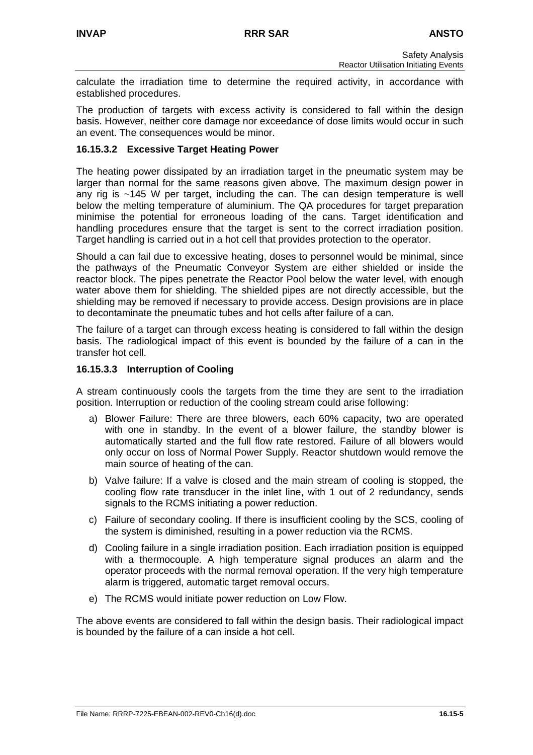calculate the irradiation time to determine the required activity, in accordance with established procedures.

The production of targets with excess activity is considered to fall within the design basis. However, neither core damage nor exceedance of dose limits would occur in such an event. The consequences would be minor.

### **16.15.3.2 Excessive Target Heating Power**

The heating power dissipated by an irradiation target in the pneumatic system may be larger than normal for the same reasons given above. The maximum design power in any rig is  $\sim$ 145 W per target, including the can. The can design temperature is well below the melting temperature of aluminium. The QA procedures for target preparation minimise the potential for erroneous loading of the cans. Target identification and handling procedures ensure that the target is sent to the correct irradiation position. Target handling is carried out in a hot cell that provides protection to the operator.

Should a can fail due to excessive heating, doses to personnel would be minimal, since the pathways of the Pneumatic Conveyor System are either shielded or inside the reactor block. The pipes penetrate the Reactor Pool below the water level, with enough water above them for shielding. The shielded pipes are not directly accessible, but the shielding may be removed if necessary to provide access. Design provisions are in place to decontaminate the pneumatic tubes and hot cells after failure of a can.

The failure of a target can through excess heating is considered to fall within the design basis. The radiological impact of this event is bounded by the failure of a can in the transfer hot cell.

### **16.15.3.3 Interruption of Cooling**

A stream continuously cools the targets from the time they are sent to the irradiation position. Interruption or reduction of the cooling stream could arise following:

- a) Blower Failure: There are three blowers, each 60% capacity, two are operated with one in standby. In the event of a blower failure, the standby blower is automatically started and the full flow rate restored. Failure of all blowers would only occur on loss of Normal Power Supply. Reactor shutdown would remove the main source of heating of the can.
- b) Valve failure: If a valve is closed and the main stream of cooling is stopped, the cooling flow rate transducer in the inlet line, with 1 out of 2 redundancy, sends signals to the RCMS initiating a power reduction.
- c) Failure of secondary cooling. If there is insufficient cooling by the SCS, cooling of the system is diminished, resulting in a power reduction via the RCMS.
- d) Cooling failure in a single irradiation position. Each irradiation position is equipped with a thermocouple. A high temperature signal produces an alarm and the operator proceeds with the normal removal operation. If the very high temperature alarm is triggered, automatic target removal occurs.
- e) The RCMS would initiate power reduction on Low Flow.

The above events are considered to fall within the design basis. Their radiological impact is bounded by the failure of a can inside a hot cell.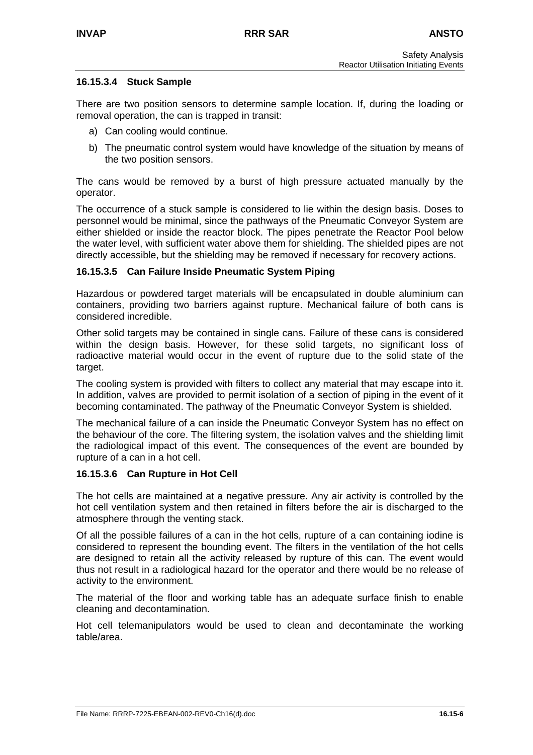### **16.15.3.4 Stuck Sample**

There are two position sensors to determine sample location. If, during the loading or removal operation, the can is trapped in transit:

- a) Can cooling would continue.
- b) The pneumatic control system would have knowledge of the situation by means of the two position sensors.

The cans would be removed by a burst of high pressure actuated manually by the operator.

The occurrence of a stuck sample is considered to lie within the design basis. Doses to personnel would be minimal, since the pathways of the Pneumatic Conveyor System are either shielded or inside the reactor block. The pipes penetrate the Reactor Pool below the water level, with sufficient water above them for shielding. The shielded pipes are not directly accessible, but the shielding may be removed if necessary for recovery actions.

#### **16.15.3.5 Can Failure Inside Pneumatic System Piping**

Hazardous or powdered target materials will be encapsulated in double aluminium can containers, providing two barriers against rupture. Mechanical failure of both cans is considered incredible.

Other solid targets may be contained in single cans. Failure of these cans is considered within the design basis. However, for these solid targets, no significant loss of radioactive material would occur in the event of rupture due to the solid state of the target.

The cooling system is provided with filters to collect any material that may escape into it. In addition, valves are provided to permit isolation of a section of piping in the event of it becoming contaminated. The pathway of the Pneumatic Conveyor System is shielded.

The mechanical failure of a can inside the Pneumatic Conveyor System has no effect on the behaviour of the core. The filtering system, the isolation valves and the shielding limit the radiological impact of this event. The consequences of the event are bounded by rupture of a can in a hot cell.

#### **16.15.3.6 Can Rupture in Hot Cell**

The hot cells are maintained at a negative pressure. Any air activity is controlled by the hot cell ventilation system and then retained in filters before the air is discharged to the atmosphere through the venting stack.

Of all the possible failures of a can in the hot cells, rupture of a can containing iodine is considered to represent the bounding event. The filters in the ventilation of the hot cells are designed to retain all the activity released by rupture of this can. The event would thus not result in a radiological hazard for the operator and there would be no release of activity to the environment.

The material of the floor and working table has an adequate surface finish to enable cleaning and decontamination.

Hot cell telemanipulators would be used to clean and decontaminate the working table/area.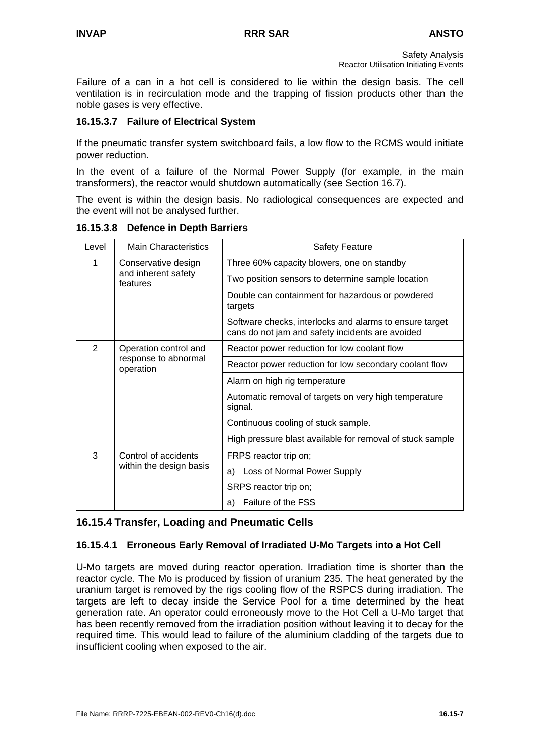Failure of a can in a hot cell is considered to lie within the design basis. The cell ventilation is in recirculation mode and the trapping of fission products other than the noble gases is very effective.

### **16.15.3.7 Failure of Electrical System**

If the pneumatic transfer system switchboard fails, a low flow to the RCMS would initiate power reduction.

In the event of a failure of the Normal Power Supply (for example, in the main transformers), the reactor would shutdown automatically (see Section 16.7).

The event is within the design basis. No radiological consequences are expected and the event will not be analysed further.

| Level         | <b>Main Characteristics</b>                                | <b>Safety Feature</b>                                                                                       |  |  |
|---------------|------------------------------------------------------------|-------------------------------------------------------------------------------------------------------------|--|--|
| 1             | Conservative design<br>and inherent safety<br>features     | Three 60% capacity blowers, one on standby                                                                  |  |  |
|               |                                                            | Two position sensors to determine sample location                                                           |  |  |
|               |                                                            | Double can containment for hazardous or powdered<br>targets                                                 |  |  |
|               |                                                            | Software checks, interlocks and alarms to ensure target<br>cans do not jam and safety incidents are avoided |  |  |
| $\mathcal{P}$ | Operation control and<br>response to abnormal<br>operation | Reactor power reduction for low coolant flow                                                                |  |  |
|               |                                                            | Reactor power reduction for low secondary coolant flow                                                      |  |  |
|               |                                                            | Alarm on high rig temperature                                                                               |  |  |
|               |                                                            | Automatic removal of targets on very high temperature<br>signal.                                            |  |  |
|               |                                                            | Continuous cooling of stuck sample.                                                                         |  |  |
|               |                                                            | High pressure blast available for removal of stuck sample                                                   |  |  |
| 3             | Control of accidents<br>within the design basis            | FRPS reactor trip on;                                                                                       |  |  |
|               |                                                            | a) Loss of Normal Power Supply                                                                              |  |  |
|               |                                                            | SRPS reactor trip on;                                                                                       |  |  |
|               |                                                            | Failure of the FSS<br>a)                                                                                    |  |  |

**16.15.3.8 Defence in Depth Barriers** 

# **16.15.4 Transfer, Loading and Pneumatic Cells**

### **16.15.4.1 Erroneous Early Removal of Irradiated U-Mo Targets into a Hot Cell**

U-Mo targets are moved during reactor operation. Irradiation time is shorter than the reactor cycle. The Mo is produced by fission of uranium 235. The heat generated by the uranium target is removed by the rigs cooling flow of the RSPCS during irradiation. The targets are left to decay inside the Service Pool for a time determined by the heat generation rate. An operator could erroneously move to the Hot Cell a U-Mo target that has been recently removed from the irradiation position without leaving it to decay for the required time. This would lead to failure of the aluminium cladding of the targets due to insufficient cooling when exposed to the air.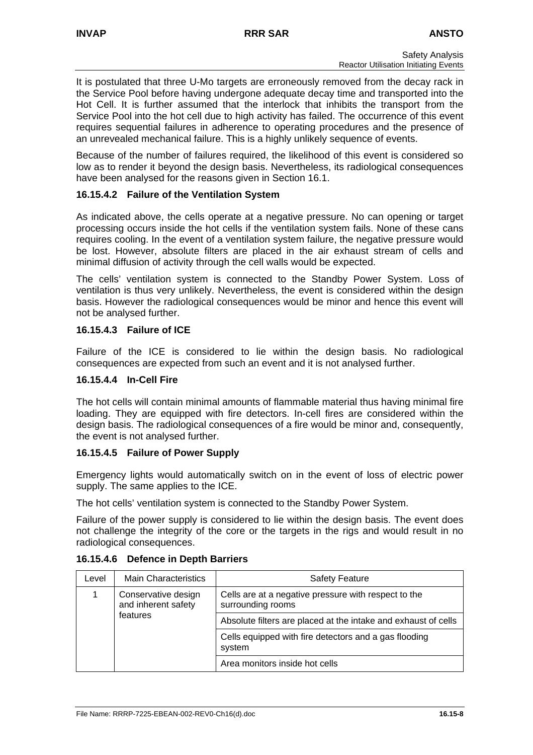It is postulated that three U-Mo targets are erroneously removed from the decay rack in the Service Pool before having undergone adequate decay time and transported into the Hot Cell. It is further assumed that the interlock that inhibits the transport from the Service Pool into the hot cell due to high activity has failed. The occurrence of this event requires sequential failures in adherence to operating procedures and the presence of an unrevealed mechanical failure. This is a highly unlikely sequence of events.

Because of the number of failures required, the likelihood of this event is considered so low as to render it beyond the design basis. Nevertheless, its radiological consequences have been analysed for the reasons given in Section 16.1.

### **16.15.4.2 Failure of the Ventilation System**

As indicated above, the cells operate at a negative pressure. No can opening or target processing occurs inside the hot cells if the ventilation system fails. None of these cans requires cooling. In the event of a ventilation system failure, the negative pressure would be lost. However, absolute filters are placed in the air exhaust stream of cells and minimal diffusion of activity through the cell walls would be expected.

The cells' ventilation system is connected to the Standby Power System. Loss of ventilation is thus very unlikely. Nevertheless, the event is considered within the design basis. However the radiological consequences would be minor and hence this event will not be analysed further.

### **16.15.4.3 Failure of ICE**

Failure of the ICE is considered to lie within the design basis. No radiological consequences are expected from such an event and it is not analysed further.

#### **16.15.4.4 In-Cell Fire**

The hot cells will contain minimal amounts of flammable material thus having minimal fire loading. They are equipped with fire detectors. In-cell fires are considered within the design basis. The radiological consequences of a fire would be minor and, consequently, the event is not analysed further.

#### **16.15.4.5 Failure of Power Supply**

Emergency lights would automatically switch on in the event of loss of electric power supply. The same applies to the ICE.

The hot cells' ventilation system is connected to the Standby Power System.

Failure of the power supply is considered to lie within the design basis. The event does not challenge the integrity of the core or the targets in the rigs and would result in no radiological consequences.

| Level | <b>Main Characteristics</b>                            | <b>Safety Feature</b>                                                     |  |  |  |
|-------|--------------------------------------------------------|---------------------------------------------------------------------------|--|--|--|
|       | Conservative design<br>and inherent safety<br>features | Cells are at a negative pressure with respect to the<br>surrounding rooms |  |  |  |
|       |                                                        | Absolute filters are placed at the intake and exhaust of cells            |  |  |  |
|       |                                                        | Cells equipped with fire detectors and a gas flooding<br>system           |  |  |  |
|       |                                                        | Area monitors inside hot cells                                            |  |  |  |

#### **16.15.4.6 Defence in Depth Barriers**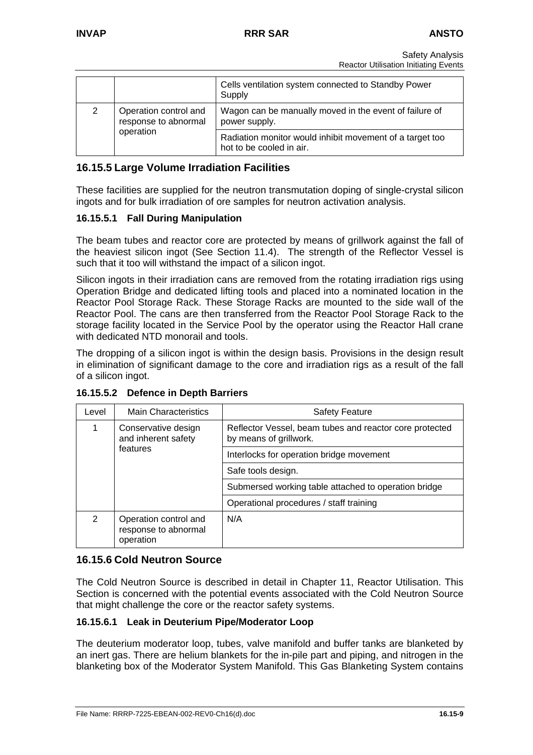|   |                                                            | Cells ventilation system connected to Standby Power<br>Supply                        |  |
|---|------------------------------------------------------------|--------------------------------------------------------------------------------------|--|
| 2 | Operation control and<br>response to abnormal<br>operation | Wagon can be manually moved in the event of failure of<br>power supply.              |  |
|   |                                                            | Radiation monitor would inhibit movement of a target too<br>hot to be cooled in air. |  |

## **16.15.5 Large Volume Irradiation Facilities**

These facilities are supplied for the neutron transmutation doping of single-crystal silicon ingots and for bulk irradiation of ore samples for neutron activation analysis.

### **16.15.5.1 Fall During Manipulation**

The beam tubes and reactor core are protected by means of grillwork against the fall of the heaviest silicon ingot (See Section 11.4). The strength of the Reflector Vessel is such that it too will withstand the impact of a silicon ingot.

Silicon ingots in their irradiation cans are removed from the rotating irradiation rigs using Operation Bridge and dedicated lifting tools and placed into a nominated location in the Reactor Pool Storage Rack. These Storage Racks are mounted to the side wall of the Reactor Pool. The cans are then transferred from the Reactor Pool Storage Rack to the storage facility located in the Service Pool by the operator using the Reactor Hall crane with dedicated NTD monorail and tools.

The dropping of a silicon ingot is within the design basis. Provisions in the design result in elimination of significant damage to the core and irradiation rigs as a result of the fall of a silicon ingot.

| Level | <b>Main Characteristics</b>                                | <b>Safety Feature</b>                                                             |  |  |  |
|-------|------------------------------------------------------------|-----------------------------------------------------------------------------------|--|--|--|
|       | Conservative design<br>and inherent safety<br>features     | Reflector Vessel, beam tubes and reactor core protected<br>by means of grillwork. |  |  |  |
|       |                                                            | Interlocks for operation bridge movement                                          |  |  |  |
|       |                                                            | Safe tools design.                                                                |  |  |  |
|       |                                                            | Submersed working table attached to operation bridge                              |  |  |  |
|       |                                                            | Operational procedures / staff training                                           |  |  |  |
| 2     | Operation control and<br>response to abnormal<br>operation | N/A                                                                               |  |  |  |

**16.15.5.2 Defence in Depth Barriers** 

### **16.15.6 Cold Neutron Source**

The Cold Neutron Source is described in detail in Chapter 11, Reactor Utilisation. This Section is concerned with the potential events associated with the Cold Neutron Source that might challenge the core or the reactor safety systems.

#### **16.15.6.1 Leak in Deuterium Pipe/Moderator Loop**

The deuterium moderator loop, tubes, valve manifold and buffer tanks are blanketed by an inert gas. There are helium blankets for the in-pile part and piping, and nitrogen in the blanketing box of the Moderator System Manifold. This Gas Blanketing System contains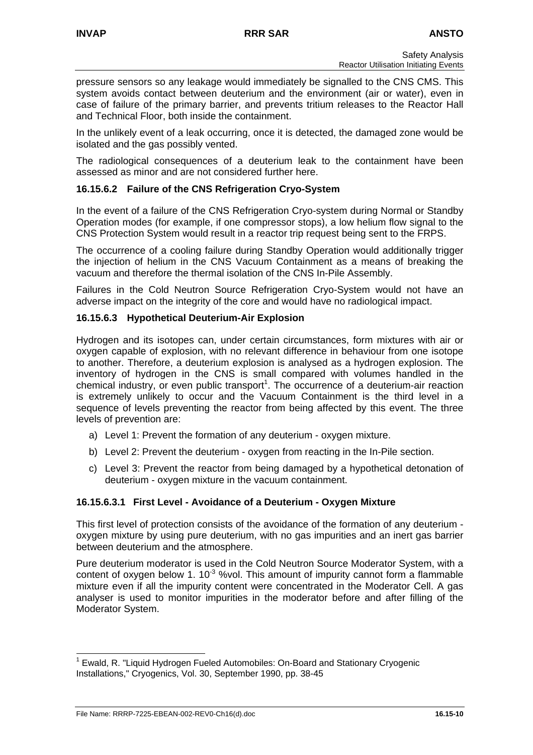pressure sensors so any leakage would immediately be signalled to the CNS CMS. This system avoids contact between deuterium and the environment (air or water), even in case of failure of the primary barrier, and prevents tritium releases to the Reactor Hall and Technical Floor, both inside the containment.

In the unlikely event of a leak occurring, once it is detected, the damaged zone would be isolated and the gas possibly vented.

The radiological consequences of a deuterium leak to the containment have been assessed as minor and are not considered further here.

### **16.15.6.2 Failure of the CNS Refrigeration Cryo-System**

In the event of a failure of the CNS Refrigeration Cryo-system during Normal or Standby Operation modes (for example, if one compressor stops), a low helium flow signal to the CNS Protection System would result in a reactor trip request being sent to the FRPS.

The occurrence of a cooling failure during Standby Operation would additionally trigger the injection of helium in the CNS Vacuum Containment as a means of breaking the vacuum and therefore the thermal isolation of the CNS In-Pile Assembly.

Failures in the Cold Neutron Source Refrigeration Cryo-System would not have an adverse impact on the integrity of the core and would have no radiological impact.

### **16.15.6.3 Hypothetical Deuterium-Air Explosion**

Hydrogen and its isotopes can, under certain circumstances, form mixtures with air or oxygen capable of explosion, with no relevant difference in behaviour from one isotope to another. Therefore, a deuterium explosion is analysed as a hydrogen explosion. The inventory of hydrogen in the CNS is small compared with volumes handled in the chemical industry, or even public transport<sup>[1](#page-31-0)</sup>. The occurrence of a deuterium-air reaction is extremely unlikely to occur and the Vacuum Containment is the third level in a sequence of levels preventing the reactor from being affected by this event. The three levels of prevention are:

- a) Level 1: Prevent the formation of any deuterium oxygen mixture.
- b) Level 2: Prevent the deuterium oxygen from reacting in the In-Pile section.
- c) Level 3: Prevent the reactor from being damaged by a hypothetical detonation of deuterium - oxygen mixture in the vacuum containment.

#### **16.15.6.3.1 First Level - Avoidance of a Deuterium - Oxygen Mixture**

This first level of protection consists of the avoidance of the formation of any deuterium oxygen mixture by using pure deuterium, with no gas impurities and an inert gas barrier between deuterium and the atmosphere.

Pure deuterium moderator is used in the Cold Neutron Source Moderator System, with a content of oxygen below 1.  $10^{-3}$  %vol. This amount of impurity cannot form a flammable mixture even if all the impurity content were concentrated in the Moderator Cell. A gas analyser is used to monitor impurities in the moderator before and after filling of the Moderator System.

<span id="page-31-0"></span> $\frac{1}{1}$  Ewald, R. "Liquid Hydrogen Fueled Automobiles: On-Board and Stationary Cryogenic Installations," Cryogenics, Vol. 30, September 1990, pp. 38-45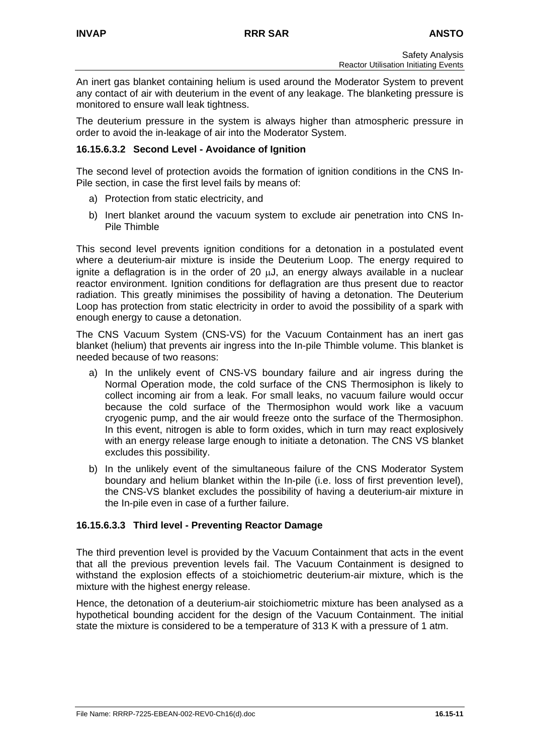An inert gas blanket containing helium is used around the Moderator System to prevent any contact of air with deuterium in the event of any leakage. The blanketing pressure is monitored to ensure wall leak tightness.

The deuterium pressure in the system is always higher than atmospheric pressure in order to avoid the in-leakage of air into the Moderator System.

#### **16.15.6.3.2 Second Level - Avoidance of Ignition**

The second level of protection avoids the formation of ignition conditions in the CNS In-Pile section, in case the first level fails by means of:

- a) Protection from static electricity, and
- b) Inert blanket around the vacuum system to exclude air penetration into CNS In-Pile Thimble

This second level prevents ignition conditions for a detonation in a postulated event where a deuterium-air mixture is inside the Deuterium Loop. The energy required to ignite a deflagration is in the order of 20 µJ, an energy always available in a nuclear reactor environment. Ignition conditions for deflagration are thus present due to reactor radiation. This greatly minimises the possibility of having a detonation. The Deuterium Loop has protection from static electricity in order to avoid the possibility of a spark with enough energy to cause a detonation.

The CNS Vacuum System (CNS-VS) for the Vacuum Containment has an inert gas blanket (helium) that prevents air ingress into the In-pile Thimble volume. This blanket is needed because of two reasons:

- a) In the unlikely event of CNS-VS boundary failure and air ingress during the Normal Operation mode, the cold surface of the CNS Thermosiphon is likely to collect incoming air from a leak. For small leaks, no vacuum failure would occur because the cold surface of the Thermosiphon would work like a vacuum cryogenic pump, and the air would freeze onto the surface of the Thermosiphon. In this event, nitrogen is able to form oxides, which in turn may react explosively with an energy release large enough to initiate a detonation. The CNS VS blanket excludes this possibility.
- b) In the unlikely event of the simultaneous failure of the CNS Moderator System boundary and helium blanket within the In-pile (i.e. loss of first prevention level), the CNS-VS blanket excludes the possibility of having a deuterium-air mixture in the In-pile even in case of a further failure.

#### **16.15.6.3.3 Third level - Preventing Reactor Damage**

The third prevention level is provided by the Vacuum Containment that acts in the event that all the previous prevention levels fail. The Vacuum Containment is designed to withstand the explosion effects of a stoichiometric deuterium-air mixture, which is the mixture with the highest energy release.

Hence, the detonation of a deuterium-air stoichiometric mixture has been analysed as a hypothetical bounding accident for the design of the Vacuum Containment. The initial state the mixture is considered to be a temperature of 313 K with a pressure of 1 atm.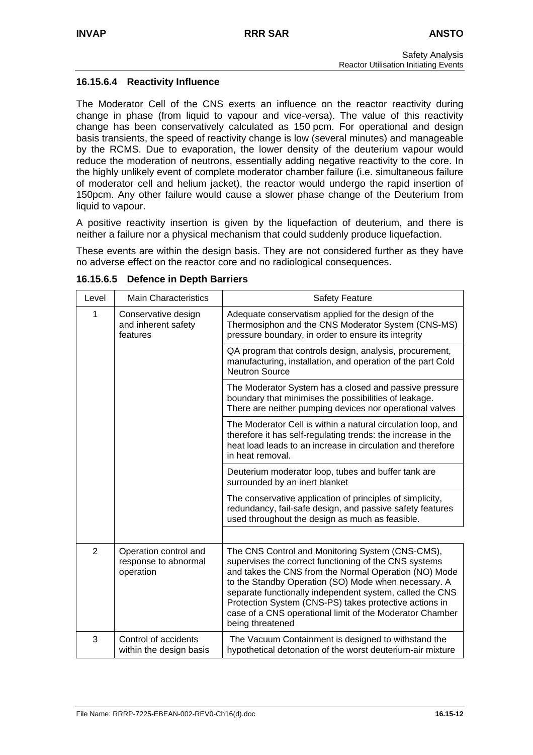### **16.15.6.4 Reactivity Influence**

The Moderator Cell of the CNS exerts an influence on the reactor reactivity during change in phase (from liquid to vapour and vice-versa). The value of this reactivity change has been conservatively calculated as 150 pcm. For operational and design basis transients, the speed of reactivity change is low (several minutes) and manageable by the RCMS. Due to evaporation, the lower density of the deuterium vapour would reduce the moderation of neutrons, essentially adding negative reactivity to the core. In the highly unlikely event of complete moderator chamber failure (i.e. simultaneous failure of moderator cell and helium jacket), the reactor would undergo the rapid insertion of 150pcm. Any other failure would cause a slower phase change of the Deuterium from liquid to vapour.

A positive reactivity insertion is given by the liquefaction of deuterium, and there is neither a failure nor a physical mechanism that could suddenly produce liquefaction.

These events are within the design basis. They are not considered further as they have no adverse effect on the reactor core and no radiological consequences.

| Level          | <b>Main Characteristics</b>                                | <b>Safety Feature</b>                                                                                                                                                                                                                                                                                                                                                                                                            |  |  |  |
|----------------|------------------------------------------------------------|----------------------------------------------------------------------------------------------------------------------------------------------------------------------------------------------------------------------------------------------------------------------------------------------------------------------------------------------------------------------------------------------------------------------------------|--|--|--|
| 1              | Conservative design<br>and inherent safety<br>features     | Adequate conservatism applied for the design of the<br>Thermosiphon and the CNS Moderator System (CNS-MS)<br>pressure boundary, in order to ensure its integrity                                                                                                                                                                                                                                                                 |  |  |  |
|                |                                                            | QA program that controls design, analysis, procurement,<br>manufacturing, installation, and operation of the part Cold<br><b>Neutron Source</b>                                                                                                                                                                                                                                                                                  |  |  |  |
|                |                                                            | The Moderator System has a closed and passive pressure<br>boundary that minimises the possibilities of leakage.<br>There are neither pumping devices nor operational valves                                                                                                                                                                                                                                                      |  |  |  |
|                |                                                            | The Moderator Cell is within a natural circulation loop, and<br>therefore it has self-regulating trends: the increase in the<br>heat load leads to an increase in circulation and therefore<br>in heat removal.                                                                                                                                                                                                                  |  |  |  |
|                |                                                            | Deuterium moderator loop, tubes and buffer tank are<br>surrounded by an inert blanket                                                                                                                                                                                                                                                                                                                                            |  |  |  |
|                |                                                            | The conservative application of principles of simplicity,<br>redundancy, fail-safe design, and passive safety features<br>used throughout the design as much as feasible.                                                                                                                                                                                                                                                        |  |  |  |
|                |                                                            |                                                                                                                                                                                                                                                                                                                                                                                                                                  |  |  |  |
| $\overline{2}$ | Operation control and<br>response to abnormal<br>operation | The CNS Control and Monitoring System (CNS-CMS),<br>supervises the correct functioning of the CNS systems<br>and takes the CNS from the Normal Operation (NO) Mode<br>to the Standby Operation (SO) Mode when necessary. A<br>separate functionally independent system, called the CNS<br>Protection System (CNS-PS) takes protective actions in<br>case of a CNS operational limit of the Moderator Chamber<br>being threatened |  |  |  |
| 3              | Control of accidents<br>within the design basis            | The Vacuum Containment is designed to withstand the<br>hypothetical detonation of the worst deuterium-air mixture                                                                                                                                                                                                                                                                                                                |  |  |  |

#### **16.15.6.5 Defence in Depth Barriers**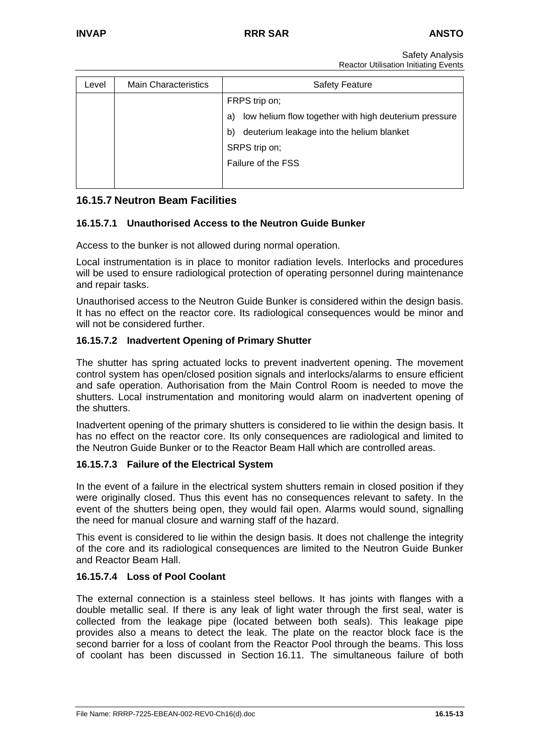Safety Analysis Reactor Utilisation Initiating Events

| Level | <b>Main Characteristics</b> | <b>Safety Feature</b>                                       |  |  |  |  |
|-------|-----------------------------|-------------------------------------------------------------|--|--|--|--|
|       |                             | FRPS trip on;                                               |  |  |  |  |
|       |                             | low helium flow together with high deuterium pressure<br>a) |  |  |  |  |
|       |                             | deuterium leakage into the helium blanket<br>b)             |  |  |  |  |
|       |                             | SRPS trip on;                                               |  |  |  |  |
|       |                             | Failure of the FSS                                          |  |  |  |  |
|       |                             |                                                             |  |  |  |  |

# **16.15.7 Neutron Beam Facilities**

## **16.15.7.1 Unauthorised Access to the Neutron Guide Bunker**

Access to the bunker is not allowed during normal operation.

Local instrumentation is in place to monitor radiation levels. Interlocks and procedures will be used to ensure radiological protection of operating personnel during maintenance and repair tasks.

Unauthorised access to the Neutron Guide Bunker is considered within the design basis. It has no effect on the reactor core. Its radiological consequences would be minor and will not be considered further.

#### **16.15.7.2 Inadvertent Opening of Primary Shutter**

The shutter has spring actuated locks to prevent inadvertent opening. The movement control system has open/closed position signals and interlocks/alarms to ensure efficient and safe operation. Authorisation from the Main Control Room is needed to move the shutters. Local instrumentation and monitoring would alarm on inadvertent opening of the shutters.

Inadvertent opening of the primary shutters is considered to lie within the design basis. It has no effect on the reactor core. Its only consequences are radiological and limited to the Neutron Guide Bunker or to the Reactor Beam Hall which are controlled areas.

#### **16.15.7.3 Failure of the Electrical System**

In the event of a failure in the electrical system shutters remain in closed position if they were originally closed. Thus this event has no consequences relevant to safety. In the event of the shutters being open, they would fail open. Alarms would sound, signalling the need for manual closure and warning staff of the hazard.

This event is considered to lie within the design basis. It does not challenge the integrity of the core and its radiological consequences are limited to the Neutron Guide Bunker and Reactor Beam Hall.

### **16.15.7.4 Loss of Pool Coolant**

The external connection is a stainless steel bellows. It has joints with flanges with a double metallic seal. If there is any leak of light water through the first seal, water is collected from the leakage pipe (located between both seals). This leakage pipe provides also a means to detect the leak. The plate on the reactor block face is the second barrier for a loss of coolant from the Reactor Pool through the beams. This loss of coolant has been discussed in Section 16.11. The simultaneous failure of both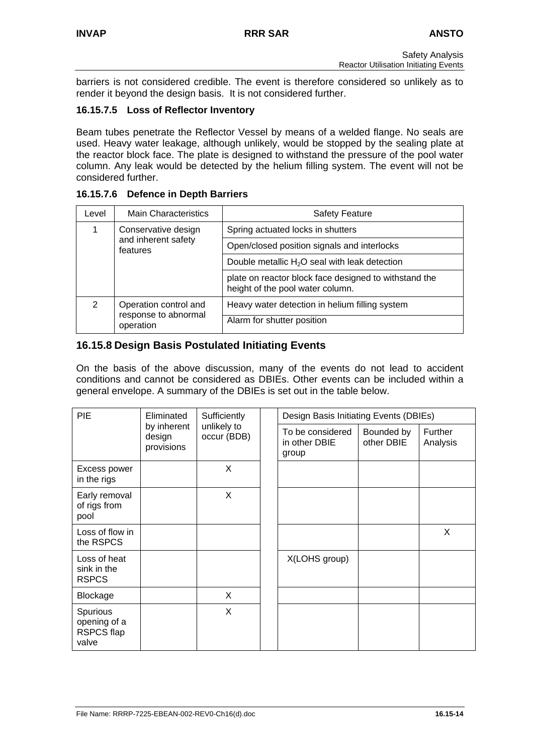barriers is not considered credible. The event is therefore considered so unlikely as to render it beyond the design basis. It is not considered further.

### **16.15.7.5 Loss of Reflector Inventory**

Beam tubes penetrate the Reflector Vessel by means of a welded flange. No seals are used. Heavy water leakage, although unlikely, would be stopped by the sealing plate at the reactor block face. The plate is designed to withstand the pressure of the pool water column. Any leak would be detected by the helium filling system. The event will not be considered further.

#### **16.15.7.6 Defence in Depth Barriers**

| Level         | <b>Main Characteristics</b>                                | <b>Safety Feature</b>                                                                     |  |  |  |
|---------------|------------------------------------------------------------|-------------------------------------------------------------------------------------------|--|--|--|
|               | Conservative design<br>and inherent safety<br>features     | Spring actuated locks in shutters                                                         |  |  |  |
|               |                                                            | Open/closed position signals and interlocks                                               |  |  |  |
|               |                                                            | Double metallic $H_2O$ seal with leak detection                                           |  |  |  |
|               |                                                            | plate on reactor block face designed to withstand the<br>height of the pool water column. |  |  |  |
| $\mathcal{P}$ | Operation control and<br>response to abnormal<br>operation | Heavy water detection in helium filling system                                            |  |  |  |
|               |                                                            | Alarm for shutter position                                                                |  |  |  |

## **16.15.8 Design Basis Postulated Initiating Events**

On the basis of the above discussion, many of the events do not lead to accident conditions and cannot be considered as DBIEs. Other events can be included within a general envelope. A summary of the DBIEs is set out in the table below.

| PIE<br>Eliminated<br>by inherent<br>design<br>provisions |                            | Sufficiently                               | Design Basis Initiating Events (DBIEs) |                     |   |
|----------------------------------------------------------|----------------------------|--------------------------------------------|----------------------------------------|---------------------|---|
|                                                          | unlikely to<br>occur (BDB) | To be considered<br>in other DBIE<br>group | Bounded by<br>other DBIE               | Further<br>Analysis |   |
| Excess power<br>in the rigs                              |                            | X                                          |                                        |                     |   |
| Early removal<br>of rigs from<br>pool                    |                            | X                                          |                                        |                     |   |
| Loss of flow in<br>the RSPCS                             |                            |                                            |                                        |                     | X |
| Loss of heat<br>sink in the<br><b>RSPCS</b>              |                            |                                            | X(LOHS group)                          |                     |   |
| Blockage                                                 |                            | X                                          |                                        |                     |   |
| Spurious<br>opening of a<br><b>RSPCS flap</b><br>valve   |                            | X                                          |                                        |                     |   |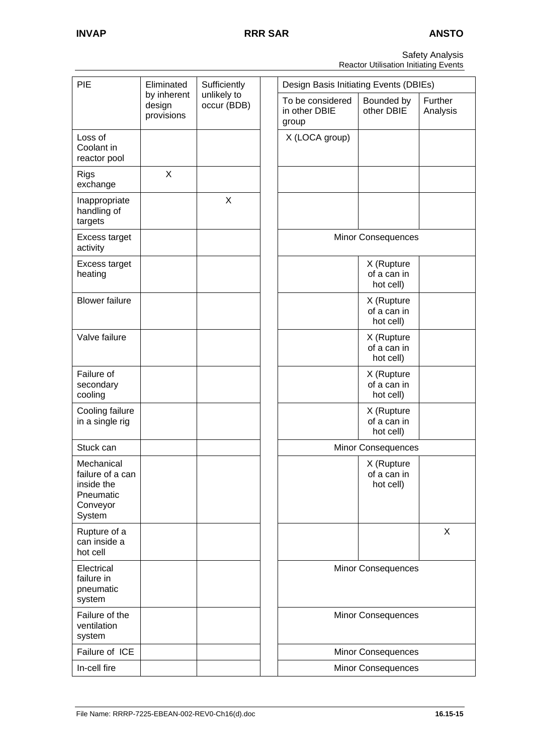Safety Analysis Reactor Utilisation Initiating Events

| PIE                                                                             | Eliminated                          | Sufficiently               |  | Design Basis Initiating Events (DBIEs)     |                                        |                     |  |
|---------------------------------------------------------------------------------|-------------------------------------|----------------------------|--|--------------------------------------------|----------------------------------------|---------------------|--|
|                                                                                 | by inherent<br>design<br>provisions | unlikely to<br>occur (BDB) |  | To be considered<br>in other DBIE<br>group | Bounded by<br>other DBIE               | Further<br>Analysis |  |
| Loss of<br>Coolant in<br>reactor pool                                           |                                     |                            |  | X (LOCA group)                             |                                        |                     |  |
| <b>Rigs</b><br>exchange                                                         | X                                   |                            |  |                                            |                                        |                     |  |
| Inappropriate<br>handling of<br>targets                                         |                                     | X                          |  |                                            |                                        |                     |  |
| Excess target<br>activity                                                       |                                     |                            |  |                                            | <b>Minor Consequences</b>              |                     |  |
| Excess target<br>heating                                                        |                                     |                            |  |                                            | X (Rupture<br>of a can in<br>hot cell) |                     |  |
| <b>Blower failure</b>                                                           |                                     |                            |  |                                            | X (Rupture<br>of a can in<br>hot cell) |                     |  |
| Valve failure                                                                   |                                     |                            |  |                                            | X (Rupture<br>of a can in<br>hot cell) |                     |  |
| Failure of<br>secondary<br>cooling                                              |                                     |                            |  |                                            | X (Rupture<br>of a can in<br>hot cell) |                     |  |
| Cooling failure<br>in a single rig                                              |                                     |                            |  |                                            | X (Rupture<br>of a can in<br>hot cell) |                     |  |
| Stuck can                                                                       |                                     |                            |  |                                            | Minor Consequences                     |                     |  |
| Mechanical<br>failure of a can<br>inside the<br>Pneumatic<br>Conveyor<br>System |                                     |                            |  |                                            | X (Rupture<br>of a can in<br>hot cell) |                     |  |
| Rupture of a<br>can inside a<br>hot cell                                        |                                     |                            |  |                                            |                                        | X                   |  |
| Electrical<br>failure in<br>pneumatic<br>system                                 |                                     |                            |  |                                            | <b>Minor Consequences</b>              |                     |  |
| Failure of the<br>ventilation<br>system                                         |                                     |                            |  |                                            | <b>Minor Consequences</b>              |                     |  |
| Failure of ICE                                                                  |                                     |                            |  |                                            | <b>Minor Consequences</b>              |                     |  |
| In-cell fire                                                                    |                                     |                            |  |                                            | <b>Minor Consequences</b>              |                     |  |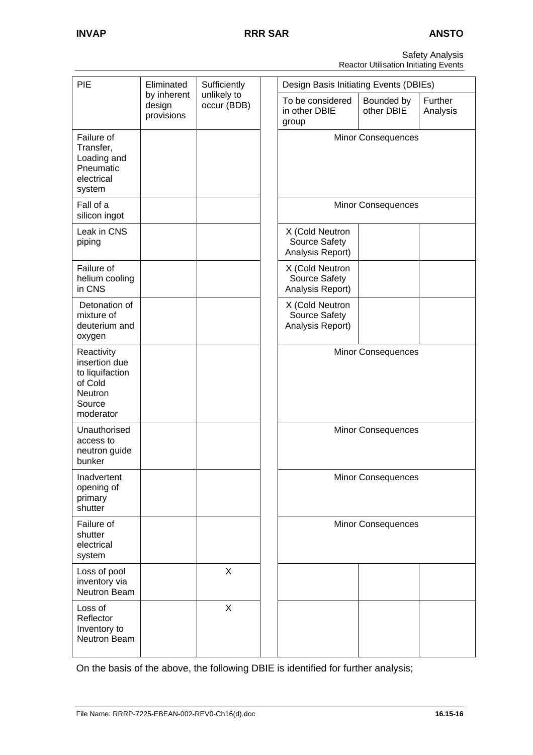Safety Analysis Reactor Utilisation Initiating Events

| PIE                                                                                         | Eliminated                          | Sufficiently               | Design Basis Initiating Events (DBIEs)                                                        |
|---------------------------------------------------------------------------------------------|-------------------------------------|----------------------------|-----------------------------------------------------------------------------------------------|
|                                                                                             | by inherent<br>design<br>provisions | unlikely to<br>occur (BDB) | To be considered<br>Bounded by<br>Further<br>other DBIE<br>in other DBIE<br>Analysis<br>group |
| Failure of<br>Transfer,<br>Loading and<br>Pneumatic<br>electrical<br>system                 |                                     |                            | <b>Minor Consequences</b>                                                                     |
| Fall of a<br>silicon ingot                                                                  |                                     |                            | <b>Minor Consequences</b>                                                                     |
| Leak in CNS<br>piping                                                                       |                                     |                            | X (Cold Neutron<br>Source Safety<br>Analysis Report)                                          |
| Failure of<br>helium cooling<br>in CNS                                                      |                                     |                            | X (Cold Neutron<br>Source Safety<br>Analysis Report)                                          |
| Detonation of<br>mixture of<br>deuterium and<br>oxygen                                      |                                     |                            | X (Cold Neutron<br>Source Safety<br>Analysis Report)                                          |
| Reactivity<br>insertion due<br>to liquifaction<br>of Cold<br>Neutron<br>Source<br>moderator |                                     |                            | <b>Minor Consequences</b>                                                                     |
| Unauthorised<br>access to<br>neutron guide<br>bunker                                        |                                     |                            | <b>Minor Consequences</b>                                                                     |
| Inadvertent<br>opening of<br>primary<br>shutter                                             |                                     |                            | Minor Consequences                                                                            |
| Failure of<br>shutter<br>electrical<br>system                                               |                                     |                            | <b>Minor Consequences</b>                                                                     |
| Loss of pool<br>inventory via<br>Neutron Beam                                               |                                     | $\boldsymbol{\mathsf{X}}$  |                                                                                               |
| Loss of<br>Reflector<br>Inventory to<br>Neutron Beam                                        |                                     | $\boldsymbol{\mathsf{X}}$  |                                                                                               |

On the basis of the above, the following DBIE is identified for further analysis;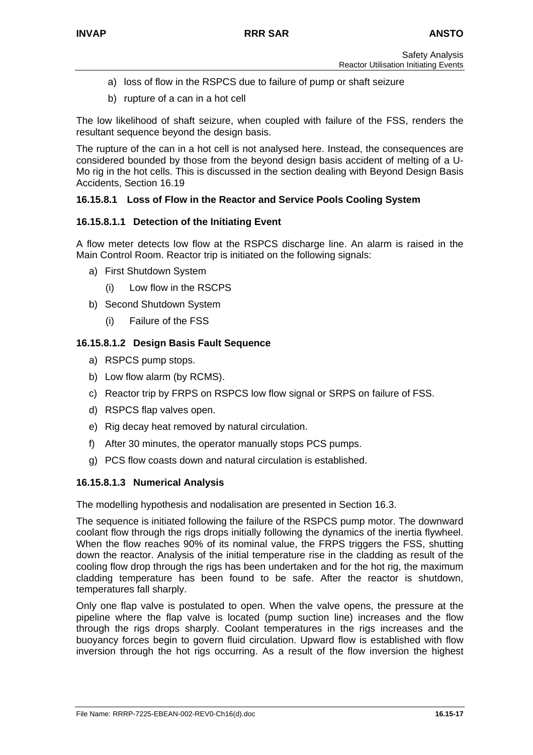- a) loss of flow in the RSPCS due to failure of pump or shaft seizure
- b) rupture of a can in a hot cell

The low likelihood of shaft seizure, when coupled with failure of the FSS, renders the resultant sequence beyond the design basis.

The rupture of the can in a hot cell is not analysed here. Instead, the consequences are considered bounded by those from the beyond design basis accident of melting of a U-Mo rig in the hot cells. This is discussed in the section dealing with Beyond Design Basis Accidents, Section 16.19

# **16.15.8.1 Loss of Flow in the Reactor and Service Pools Cooling System**

### **16.15.8.1.1 Detection of the Initiating Event**

A flow meter detects low flow at the RSPCS discharge line. An alarm is raised in the Main Control Room. Reactor trip is initiated on the following signals:

- a) First Shutdown System
	- (i) Low flow in the RSCPS
- b) Second Shutdown System
	- (i) Failure of the FSS

## **16.15.8.1.2 Design Basis Fault Sequence**

- a) RSPCS pump stops.
- b) Low flow alarm (by RCMS).
- c) Reactor trip by FRPS on RSPCS low flow signal or SRPS on failure of FSS.
- d) RSPCS flap valves open.
- e) Rig decay heat removed by natural circulation.
- f) After 30 minutes, the operator manually stops PCS pumps.
- g) PCS flow coasts down and natural circulation is established.

### **16.15.8.1.3 Numerical Analysis**

The modelling hypothesis and nodalisation are presented in Section 16.3.

The sequence is initiated following the failure of the RSPCS pump motor. The downward coolant flow through the rigs drops initially following the dynamics of the inertia flywheel. When the flow reaches 90% of its nominal value, the FRPS triggers the FSS, shutting down the reactor. Analysis of the initial temperature rise in the cladding as result of the cooling flow drop through the rigs has been undertaken and for the hot rig, the maximum cladding temperature has been found to be safe. After the reactor is shutdown, temperatures fall sharply.

Only one flap valve is postulated to open. When the valve opens, the pressure at the pipeline where the flap valve is located (pump suction line) increases and the flow through the rigs drops sharply. Coolant temperatures in the rigs increases and the buoyancy forces begin to govern fluid circulation. Upward flow is established with flow inversion through the hot rigs occurring. As a result of the flow inversion the highest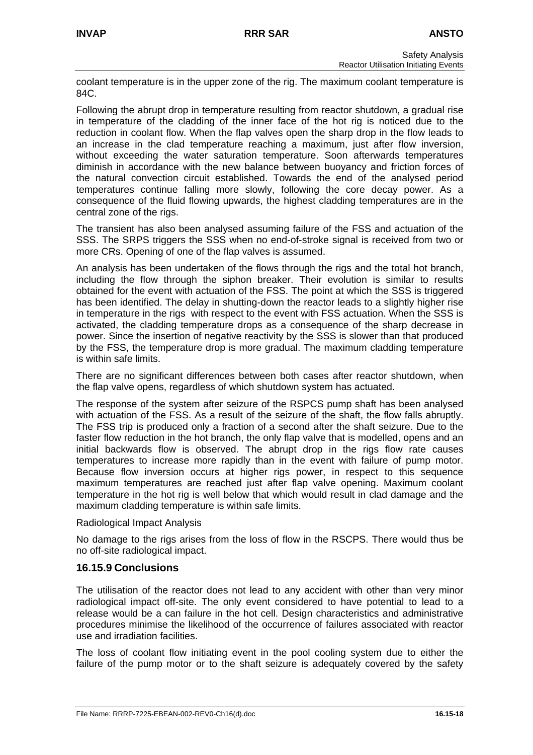coolant temperature is in the upper zone of the rig. The maximum coolant temperature is 84C.

Following the abrupt drop in temperature resulting from reactor shutdown, a gradual rise in temperature of the cladding of the inner face of the hot rig is noticed due to the reduction in coolant flow. When the flap valves open the sharp drop in the flow leads to an increase in the clad temperature reaching a maximum, just after flow inversion, without exceeding the water saturation temperature. Soon afterwards temperatures diminish in accordance with the new balance between buoyancy and friction forces of the natural convection circuit established. Towards the end of the analysed period temperatures continue falling more slowly, following the core decay power. As a consequence of the fluid flowing upwards, the highest cladding temperatures are in the central zone of the rigs.

The transient has also been analysed assuming failure of the FSS and actuation of the SSS. The SRPS triggers the SSS when no end-of-stroke signal is received from two or more CRs. Opening of one of the flap valves is assumed.

An analysis has been undertaken of the flows through the rigs and the total hot branch, including the flow through the siphon breaker. Their evolution is similar to results obtained for the event with actuation of the FSS. The point at which the SSS is triggered has been identified. The delay in shutting-down the reactor leads to a slightly higher rise in temperature in the rigs with respect to the event with FSS actuation. When the SSS is activated, the cladding temperature drops as a consequence of the sharp decrease in power. Since the insertion of negative reactivity by the SSS is slower than that produced by the FSS, the temperature drop is more gradual. The maximum cladding temperature is within safe limits.

There are no significant differences between both cases after reactor shutdown, when the flap valve opens, regardless of which shutdown system has actuated.

The response of the system after seizure of the RSPCS pump shaft has been analysed with actuation of the FSS. As a result of the seizure of the shaft, the flow falls abruptly. The FSS trip is produced only a fraction of a second after the shaft seizure. Due to the faster flow reduction in the hot branch, the only flap valve that is modelled, opens and an initial backwards flow is observed. The abrupt drop in the rigs flow rate causes temperatures to increase more rapidly than in the event with failure of pump motor. Because flow inversion occurs at higher rigs power, in respect to this sequence maximum temperatures are reached just after flap valve opening. Maximum coolant temperature in the hot rig is well below that which would result in clad damage and the maximum cladding temperature is within safe limits.

### Radiological Impact Analysis

No damage to the rigs arises from the loss of flow in the RSCPS. There would thus be no off-site radiological impact.

### **16.15.9 Conclusions**

The utilisation of the reactor does not lead to any accident with other than very minor radiological impact off-site. The only event considered to have potential to lead to a release would be a can failure in the hot cell. Design characteristics and administrative procedures minimise the likelihood of the occurrence of failures associated with reactor use and irradiation facilities.

The loss of coolant flow initiating event in the pool cooling system due to either the failure of the pump motor or to the shaft seizure is adequately covered by the safety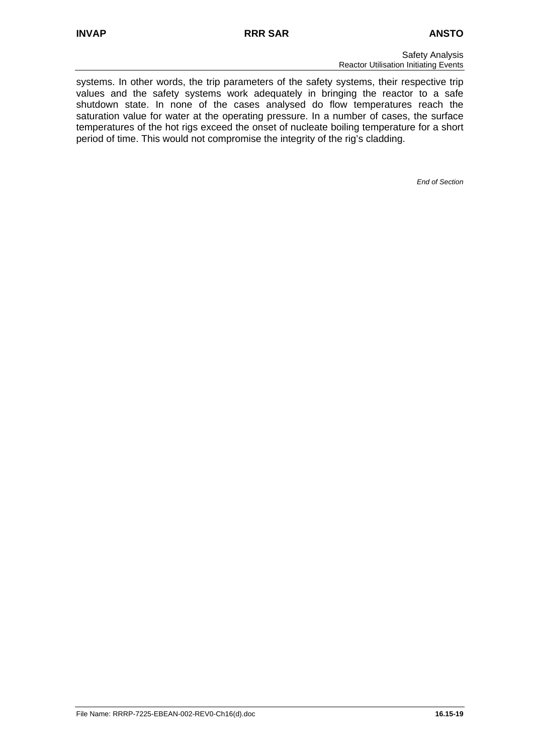systems. In other words, the trip parameters of the safety systems, their respective trip values and the safety systems work adequately in bringing the reactor to a safe shutdown state. In none of the cases analysed do flow temperatures reach the saturation value for water at the operating pressure. In a number of cases, the surface temperatures of the hot rigs exceed the onset of nucleate boiling temperature for a short period of time. This would not compromise the integrity of the rig's cladding.

*End of Section*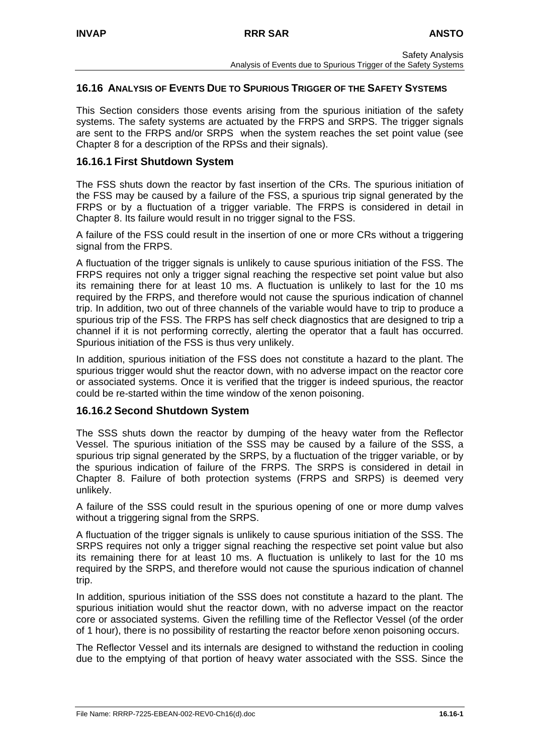# **16.16 ANALYSIS OF EVENTS DUE TO SPURIOUS TRIGGER OF THE SAFETY SYSTEMS**

This Section considers those events arising from the spurious initiation of the safety systems. The safety systems are actuated by the FRPS and SRPS. The trigger signals are sent to the FRPS and/or SRPS when the system reaches the set point value (see Chapter 8 for a description of the RPSs and their signals).

## **16.16.1 First Shutdown System**

The FSS shuts down the reactor by fast insertion of the CRs. The spurious initiation of the FSS may be caused by a failure of the FSS, a spurious trip signal generated by the FRPS or by a fluctuation of a trigger variable. The FRPS is considered in detail in Chapter 8. Its failure would result in no trigger signal to the FSS.

A failure of the FSS could result in the insertion of one or more CRs without a triggering signal from the FRPS.

A fluctuation of the trigger signals is unlikely to cause spurious initiation of the FSS. The FRPS requires not only a trigger signal reaching the respective set point value but also its remaining there for at least 10 ms. A fluctuation is unlikely to last for the 10 ms required by the FRPS, and therefore would not cause the spurious indication of channel trip. In addition, two out of three channels of the variable would have to trip to produce a spurious trip of the FSS. The FRPS has self check diagnostics that are designed to trip a channel if it is not performing correctly, alerting the operator that a fault has occurred. Spurious initiation of the FSS is thus very unlikely.

In addition, spurious initiation of the FSS does not constitute a hazard to the plant. The spurious trigger would shut the reactor down, with no adverse impact on the reactor core or associated systems. Once it is verified that the trigger is indeed spurious, the reactor could be re-started within the time window of the xenon poisoning.

# **16.16.2 Second Shutdown System**

The SSS shuts down the reactor by dumping of the heavy water from the Reflector Vessel. The spurious initiation of the SSS may be caused by a failure of the SSS, a spurious trip signal generated by the SRPS, by a fluctuation of the trigger variable, or by the spurious indication of failure of the FRPS. The SRPS is considered in detail in Chapter 8. Failure of both protection systems (FRPS and SRPS) is deemed very unlikely.

A failure of the SSS could result in the spurious opening of one or more dump valves without a triggering signal from the SRPS.

A fluctuation of the trigger signals is unlikely to cause spurious initiation of the SSS. The SRPS requires not only a trigger signal reaching the respective set point value but also its remaining there for at least 10 ms. A fluctuation is unlikely to last for the 10 ms required by the SRPS, and therefore would not cause the spurious indication of channel trip.

In addition, spurious initiation of the SSS does not constitute a hazard to the plant. The spurious initiation would shut the reactor down, with no adverse impact on the reactor core or associated systems. Given the refilling time of the Reflector Vessel (of the order of 1 hour), there is no possibility of restarting the reactor before xenon poisoning occurs.

The Reflector Vessel and its internals are designed to withstand the reduction in cooling due to the emptying of that portion of heavy water associated with the SSS. Since the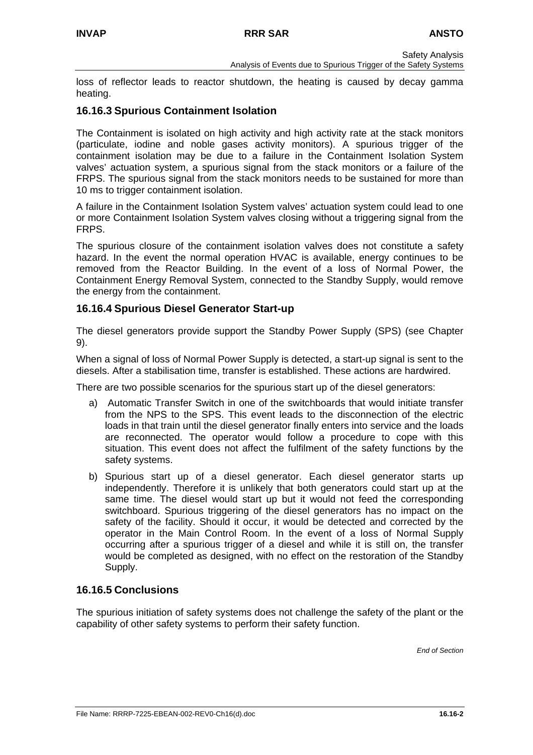loss of reflector leads to reactor shutdown, the heating is caused by decay gamma heating.

# **16.16.3 Spurious Containment Isolation**

The Containment is isolated on high activity and high activity rate at the stack monitors (particulate, iodine and noble gases activity monitors). A spurious trigger of the containment isolation may be due to a failure in the Containment Isolation System valves' actuation system, a spurious signal from the stack monitors or a failure of the FRPS. The spurious signal from the stack monitors needs to be sustained for more than 10 ms to trigger containment isolation.

A failure in the Containment Isolation System valves' actuation system could lead to one or more Containment Isolation System valves closing without a triggering signal from the FRPS.

The spurious closure of the containment isolation valves does not constitute a safety hazard. In the event the normal operation HVAC is available, energy continues to be removed from the Reactor Building. In the event of a loss of Normal Power, the Containment Energy Removal System, connected to the Standby Supply, would remove the energy from the containment.

# **16.16.4 Spurious Diesel Generator Start-up**

The diesel generators provide support the Standby Power Supply (SPS) (see Chapter 9).

When a signal of loss of Normal Power Supply is detected, a start-up signal is sent to the diesels. After a stabilisation time, transfer is established. These actions are hardwired.

There are two possible scenarios for the spurious start up of the diesel generators:

- a) Automatic Transfer Switch in one of the switchboards that would initiate transfer from the NPS to the SPS. This event leads to the disconnection of the electric loads in that train until the diesel generator finally enters into service and the loads are reconnected. The operator would follow a procedure to cope with this situation. This event does not affect the fulfilment of the safety functions by the safety systems.
- b) Spurious start up of a diesel generator. Each diesel generator starts up independently. Therefore it is unlikely that both generators could start up at the same time. The diesel would start up but it would not feed the corresponding switchboard. Spurious triggering of the diesel generators has no impact on the safety of the facility. Should it occur, it would be detected and corrected by the operator in the Main Control Room. In the event of a loss of Normal Supply occurring after a spurious trigger of a diesel and while it is still on, the transfer would be completed as designed, with no effect on the restoration of the Standby Supply.

# **16.16.5 Conclusions**

The spurious initiation of safety systems does not challenge the safety of the plant or the capability of other safety systems to perform their safety function.

*End of Section*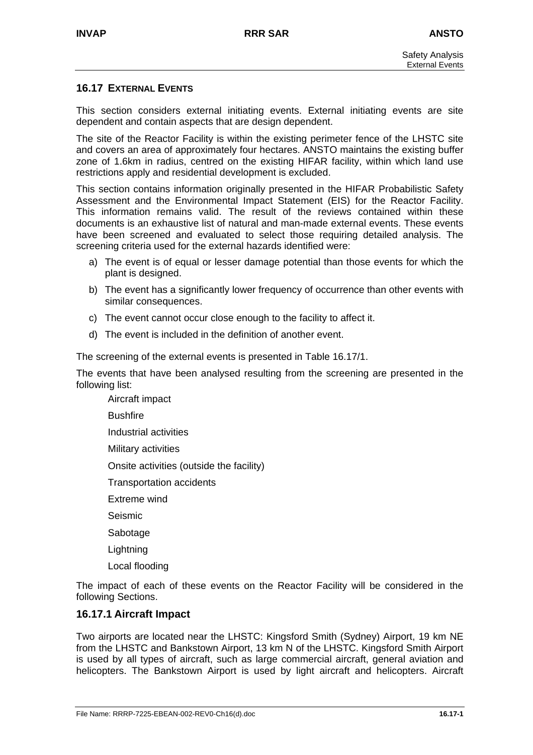## **16.17 EXTERNAL EVENTS**

This section considers external initiating events. External initiating events are site dependent and contain aspects that are design dependent.

The site of the Reactor Facility is within the existing perimeter fence of the LHSTC site and covers an area of approximately four hectares. ANSTO maintains the existing buffer zone of 1.6km in radius, centred on the existing HIFAR facility, within which land use restrictions apply and residential development is excluded.

This section contains information originally presented in the HIFAR Probabilistic Safety Assessment and the Environmental Impact Statement (EIS) for the Reactor Facility. This information remains valid. The result of the reviews contained within these documents is an exhaustive list of natural and man-made external events. These events have been screened and evaluated to select those requiring detailed analysis. The screening criteria used for the external hazards identified were:

- a) The event is of equal or lesser damage potential than those events for which the plant is designed.
- b) The event has a significantly lower frequency of occurrence than other events with similar consequences.
- c) The event cannot occur close enough to the facility to affect it.
- d) The event is included in the definition of another event.

The screening of the external events is presented in Table 16.17/1.

The events that have been analysed resulting from the screening are presented in the following list:

- Aircraft impact
- **Bushfire**
- Industrial activities
- Military activities
- Onsite activities (outside the facility)
- Transportation accidents
- Extreme wind
- Seismic
- **Sabotage**
- **Lightning**
- Local flooding

The impact of each of these events on the Reactor Facility will be considered in the following Sections.

### **16.17.1 Aircraft Impact**

Two airports are located near the LHSTC: Kingsford Smith (Sydney) Airport, 19 km NE from the LHSTC and Bankstown Airport, 13 km N of the LHSTC. Kingsford Smith Airport is used by all types of aircraft, such as large commercial aircraft, general aviation and helicopters. The Bankstown Airport is used by light aircraft and helicopters. Aircraft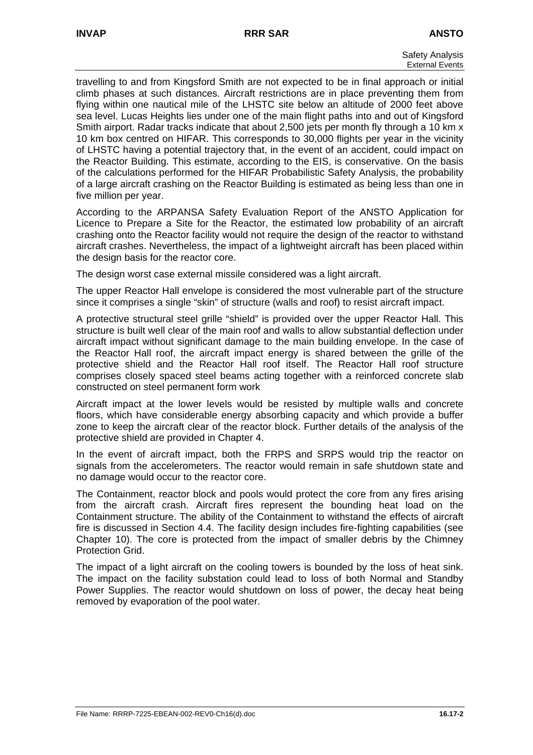travelling to and from Kingsford Smith are not expected to be in final approach or initial climb phases at such distances. Aircraft restrictions are in place preventing them from flying within one nautical mile of the LHSTC site below an altitude of 2000 feet above sea level. Lucas Heights lies under one of the main flight paths into and out of Kingsford Smith airport. Radar tracks indicate that about 2,500 jets per month fly through a 10 km x 10 km box centred on HIFAR. This corresponds to 30,000 flights per year in the vicinity of LHSTC having a potential trajectory that, in the event of an accident, could impact on the Reactor Building. This estimate, according to the EIS, is conservative. On the basis of the calculations performed for the HIFAR Probabilistic Safety Analysis, the probability of a large aircraft crashing on the Reactor Building is estimated as being less than one in five million per year.

According to the ARPANSA Safety Evaluation Report of the ANSTO Application for Licence to Prepare a Site for the Reactor, the estimated low probability of an aircraft crashing onto the Reactor facility would not require the design of the reactor to withstand aircraft crashes. Nevertheless, the impact of a lightweight aircraft has been placed within the design basis for the reactor core.

The design worst case external missile considered was a light aircraft.

The upper Reactor Hall envelope is considered the most vulnerable part of the structure since it comprises a single "skin" of structure (walls and roof) to resist aircraft impact.

A protective structural steel grille "shield" is provided over the upper Reactor Hall. This structure is built well clear of the main roof and walls to allow substantial deflection under aircraft impact without significant damage to the main building envelope. In the case of the Reactor Hall roof, the aircraft impact energy is shared between the grille of the protective shield and the Reactor Hall roof itself. The Reactor Hall roof structure comprises closely spaced steel beams acting together with a reinforced concrete slab constructed on steel permanent form work

Aircraft impact at the lower levels would be resisted by multiple walls and concrete floors, which have considerable energy absorbing capacity and which provide a buffer zone to keep the aircraft clear of the reactor block. Further details of the analysis of the protective shield are provided in Chapter 4.

In the event of aircraft impact, both the FRPS and SRPS would trip the reactor on signals from the accelerometers. The reactor would remain in safe shutdown state and no damage would occur to the reactor core.

The Containment, reactor block and pools would protect the core from any fires arising from the aircraft crash. Aircraft fires represent the bounding heat load on the Containment structure. The ability of the Containment to withstand the effects of aircraft fire is discussed in Section 4.4. The facility design includes fire-fighting capabilities (see Chapter 10). The core is protected from the impact of smaller debris by the Chimney Protection Grid.

The impact of a light aircraft on the cooling towers is bounded by the loss of heat sink. The impact on the facility substation could lead to loss of both Normal and Standby Power Supplies. The reactor would shutdown on loss of power, the decay heat being removed by evaporation of the pool water.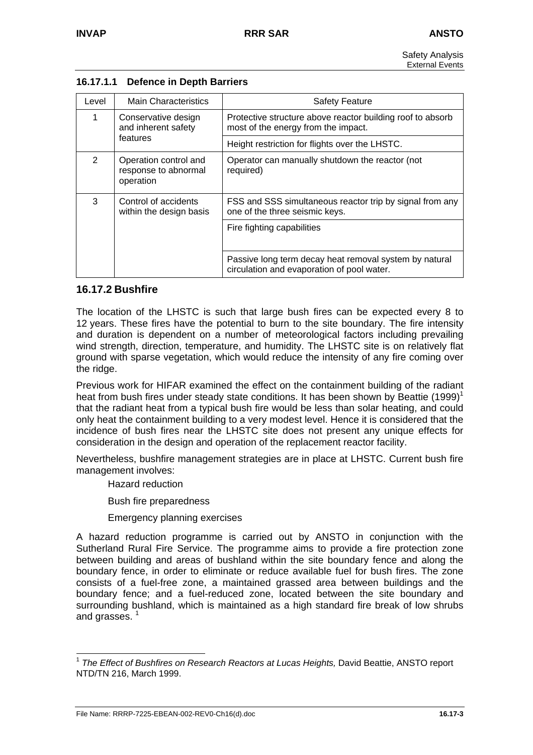| Level         | <b>Main Characteristics</b>                                | <b>Safety Feature</b>                                                                                |
|---------------|------------------------------------------------------------|------------------------------------------------------------------------------------------------------|
| 1             | Conservative design<br>and inherent safety                 | Protective structure above reactor building roof to absorb<br>most of the energy from the impact.    |
|               | features                                                   | Height restriction for flights over the LHSTC.                                                       |
| $\mathcal{P}$ | Operation control and<br>response to abnormal<br>operation | Operator can manually shutdown the reactor (not<br>required)                                         |
| 3             | Control of accidents<br>within the design basis            | FSS and SSS simultaneous reactor trip by signal from any<br>one of the three seismic keys.           |
|               |                                                            | Fire fighting capabilities                                                                           |
|               |                                                            | Passive long term decay heat removal system by natural<br>circulation and evaporation of pool water. |

# **16.17.1.1 Defence in Depth Barriers**

# **16.17.2 Bushfire**

The location of the LHSTC is such that large bush fires can be expected every 8 to 12 years. These fires have the potential to burn to the site boundary. The fire intensity and duration is dependent on a number of meteorological factors including prevailing wind strength, direction, temperature, and humidity. The LHSTC site is on relatively flat ground with sparse vegetation, which would reduce the intensity of any fire coming over the ridge.

Previous work for HIFAR examined the effect on the containment building of the radiant heat from bush fires under steady state conditions. It has been shown by Beattie  $(1999)^1$ that the radiant heat from a typical bush fire would be less than solar heating, and could only heat the containment building to a very modest level. Hence it is considered that the incidence of bush fires near the LHSTC site does not present any unique effects for consideration in the design and operation of the replacement reactor facility.

Nevertheless, bushfire management strategies are in place at LHSTC. Current bush fire management involves:

Hazard reduction

Bush fire preparedness

Emergency planning exercises

A hazard reduction programme is carried out by ANSTO in conjunction with the Sutherland Rural Fire Service. The programme aims to provide a fire protection zone between building and areas of bushland within the site boundary fence and along the boundary fence, in order to eliminate or reduce available fuel for bush fires. The zone consists of a fuel-free zone, a maintained grassed area between buildings and the boundary fence; and a fuel-reduced zone, located between the site boundary and surrounding bushland, which is maintained as a high standard fire break of low shrubs and grasses.  $1$ 

<span id="page-45-0"></span> <sup>1</sup> *The Effect of Bushfires on Research Reactors at Lucas Heights,* David Beattie, ANSTO report NTD/TN 216, March 1999.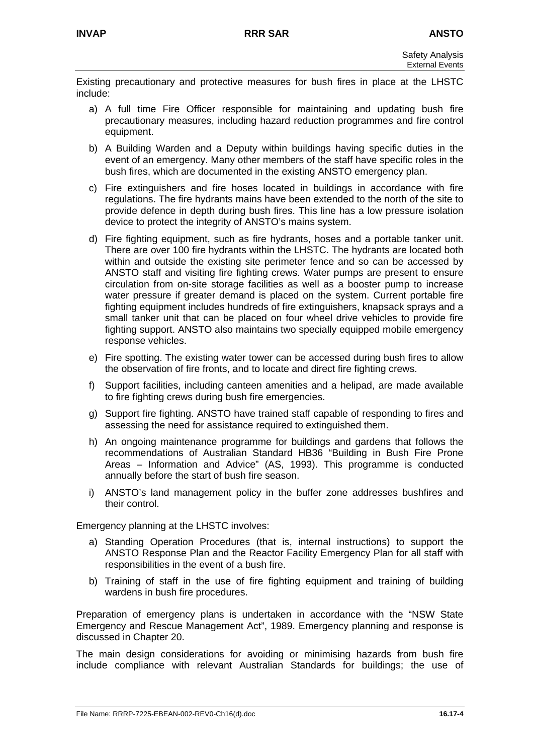Existing precautionary and protective measures for bush fires in place at the LHSTC include:

- a) A full time Fire Officer responsible for maintaining and updating bush fire precautionary measures, including hazard reduction programmes and fire control equipment.
- b) A Building Warden and a Deputy within buildings having specific duties in the event of an emergency. Many other members of the staff have specific roles in the bush fires, which are documented in the existing ANSTO emergency plan.
- c) Fire extinguishers and fire hoses located in buildings in accordance with fire regulations. The fire hydrants mains have been extended to the north of the site to provide defence in depth during bush fires. This line has a low pressure isolation device to protect the integrity of ANSTO's mains system.
- d) Fire fighting equipment, such as fire hydrants, hoses and a portable tanker unit. There are over 100 fire hydrants within the LHSTC. The hydrants are located both within and outside the existing site perimeter fence and so can be accessed by ANSTO staff and visiting fire fighting crews. Water pumps are present to ensure circulation from on-site storage facilities as well as a booster pump to increase water pressure if greater demand is placed on the system. Current portable fire fighting equipment includes hundreds of fire extinguishers, knapsack sprays and a small tanker unit that can be placed on four wheel drive vehicles to provide fire fighting support. ANSTO also maintains two specially equipped mobile emergency response vehicles.
- e) Fire spotting. The existing water tower can be accessed during bush fires to allow the observation of fire fronts, and to locate and direct fire fighting crews.
- f) Support facilities, including canteen amenities and a helipad, are made available to fire fighting crews during bush fire emergencies.
- g) Support fire fighting. ANSTO have trained staff capable of responding to fires and assessing the need for assistance required to extinguished them.
- h) An ongoing maintenance programme for buildings and gardens that follows the recommendations of Australian Standard HB36 "Building in Bush Fire Prone Areas – Information and Advice" (AS, 1993). This programme is conducted annually before the start of bush fire season.
- i) ANSTO's land management policy in the buffer zone addresses bushfires and their control.

Emergency planning at the LHSTC involves:

- a) Standing Operation Procedures (that is, internal instructions) to support the ANSTO Response Plan and the Reactor Facility Emergency Plan for all staff with responsibilities in the event of a bush fire.
- b) Training of staff in the use of fire fighting equipment and training of building wardens in bush fire procedures.

Preparation of emergency plans is undertaken in accordance with the "NSW State Emergency and Rescue Management Act", 1989. Emergency planning and response is discussed in Chapter 20.

The main design considerations for avoiding or minimising hazards from bush fire include compliance with relevant Australian Standards for buildings; the use of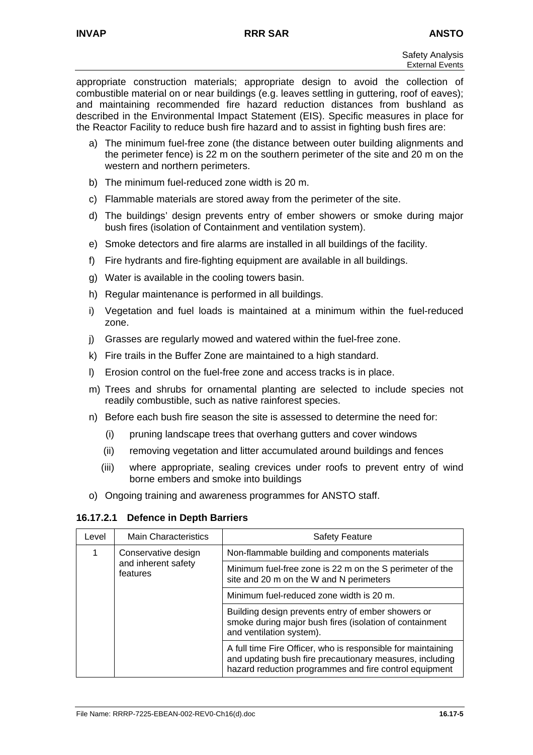appropriate construction materials; appropriate design to avoid the collection of combustible material on or near buildings (e.g. leaves settling in guttering, roof of eaves); and maintaining recommended fire hazard reduction distances from bushland as described in the Environmental Impact Statement (EIS). Specific measures in place for the Reactor Facility to reduce bush fire hazard and to assist in fighting bush fires are:

- a) The minimum fuel-free zone (the distance between outer building alignments and the perimeter fence) is 22 m on the southern perimeter of the site and 20 m on the western and northern perimeters.
- b) The minimum fuel-reduced zone width is 20 m.
- c) Flammable materials are stored away from the perimeter of the site.
- d) The buildings' design prevents entry of ember showers or smoke during major bush fires (isolation of Containment and ventilation system).
- e) Smoke detectors and fire alarms are installed in all buildings of the facility.
- f) Fire hydrants and fire-fighting equipment are available in all buildings.
- g) Water is available in the cooling towers basin.
- h) Regular maintenance is performed in all buildings.
- i) Vegetation and fuel loads is maintained at a minimum within the fuel-reduced zone.
- j) Grasses are regularly mowed and watered within the fuel-free zone.
- k) Fire trails in the Buffer Zone are maintained to a high standard.
- l) Erosion control on the fuel-free zone and access tracks is in place.
- m) Trees and shrubs for ornamental planting are selected to include species not readily combustible, such as native rainforest species.
- n) Before each bush fire season the site is assessed to determine the need for:
	- (i) pruning landscape trees that overhang gutters and cover windows
	- (ii) removing vegetation and litter accumulated around buildings and fences
	- (iii) where appropriate, sealing crevices under roofs to prevent entry of wind borne embers and smoke into buildings
- o) Ongoing training and awareness programmes for ANSTO staff.

### **16.17.2.1 Defence in Depth Barriers**

| Level                                                       | <b>Main Characteristics</b>                                                                                                               | <b>Safety Feature</b>                                                                                                                                                              |
|-------------------------------------------------------------|-------------------------------------------------------------------------------------------------------------------------------------------|------------------------------------------------------------------------------------------------------------------------------------------------------------------------------------|
| 1<br>Conservative design<br>and inherent safety<br>features |                                                                                                                                           | Non-flammable building and components materials                                                                                                                                    |
|                                                             | Minimum fuel-free zone is 22 m on the S perimeter of the<br>site and 20 m on the W and N perimeters                                       |                                                                                                                                                                                    |
|                                                             | Minimum fuel-reduced zone width is 20 m.                                                                                                  |                                                                                                                                                                                    |
|                                                             | Building design prevents entry of ember showers or<br>smoke during major bush fires (isolation of containment<br>and ventilation system). |                                                                                                                                                                                    |
|                                                             |                                                                                                                                           | A full time Fire Officer, who is responsible for maintaining<br>and updating bush fire precautionary measures, including<br>hazard reduction programmes and fire control equipment |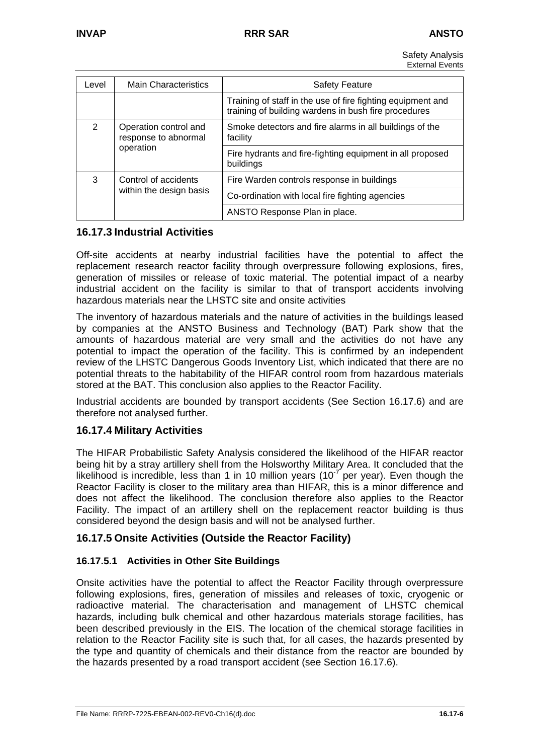Safety Analysis External Events

| Level                                                           | <b>Main Characteristics</b> | <b>Safety Feature</b>                                                                                               |
|-----------------------------------------------------------------|-----------------------------|---------------------------------------------------------------------------------------------------------------------|
|                                                                 |                             | Training of staff in the use of fire fighting equipment and<br>training of building wardens in bush fire procedures |
| 2<br>Operation control and<br>response to abnormal<br>operation |                             | Smoke detectors and fire alarms in all buildings of the<br>facility                                                 |
|                                                                 |                             | Fire hydrants and fire-fighting equipment in all proposed<br>buildings                                              |
| 3<br>Control of accidents                                       |                             | Fire Warden controls response in buildings                                                                          |
|                                                                 | within the design basis     | Co-ordination with local fire fighting agencies                                                                     |
|                                                                 |                             | ANSTO Response Plan in place.                                                                                       |

## **16.17.3 Industrial Activities**

Off-site accidents at nearby industrial facilities have the potential to affect the replacement research reactor facility through overpressure following explosions, fires, generation of missiles or release of toxic material. The potential impact of a nearby industrial accident on the facility is similar to that of transport accidents involving hazardous materials near the LHSTC site and onsite activities

The inventory of hazardous materials and the nature of activities in the buildings leased by companies at the ANSTO Business and Technology (BAT) Park show that the amounts of hazardous material are very small and the activities do not have any potential to impact the operation of the facility. This is confirmed by an independent review of the LHSTC Dangerous Goods Inventory List, which indicated that there are no potential threats to the habitability of the HIFAR control room from hazardous materials stored at the BAT. This conclusion also applies to the Reactor Facility.

Industrial accidents are bounded by transport accidents (See Section 16.17.6) and are therefore not analysed further.

# **16.17.4 Military Activities**

The HIFAR Probabilistic Safety Analysis considered the likelihood of the HIFAR reactor being hit by a stray artillery shell from the Holsworthy Military Area. It concluded that the likelihood is incredible, less than 1 in 10 million years (10<sup>-7</sup> per year). Even though the Reactor Facility is closer to the military area than HIFAR, this is a minor difference and does not affect the likelihood. The conclusion therefore also applies to the Reactor Facility. The impact of an artillery shell on the replacement reactor building is thus considered beyond the design basis and will not be analysed further.

# **16.17.5 Onsite Activities (Outside the Reactor Facility)**

### **16.17.5.1 Activities in Other Site Buildings**

Onsite activities have the potential to affect the Reactor Facility through overpressure following explosions, fires, generation of missiles and releases of toxic, cryogenic or radioactive material. The characterisation and management of LHSTC chemical hazards, including bulk chemical and other hazardous materials storage facilities, has been described previously in the EIS. The location of the chemical storage facilities in relation to the Reactor Facility site is such that, for all cases, the hazards presented by the type and quantity of chemicals and their distance from the reactor are bounded by the hazards presented by a road transport accident (see Section 16.17.6).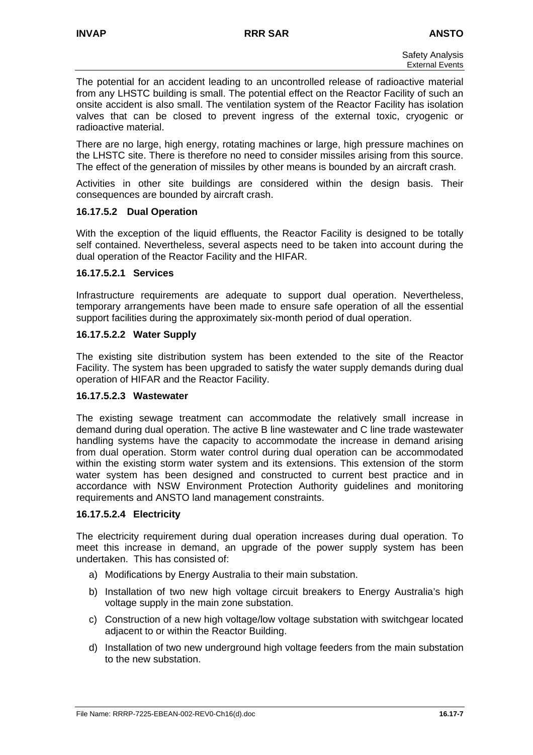The potential for an accident leading to an uncontrolled release of radioactive material from any LHSTC building is small. The potential effect on the Reactor Facility of such an onsite accident is also small. The ventilation system of the Reactor Facility has isolation valves that can be closed to prevent ingress of the external toxic, cryogenic or radioactive material.

There are no large, high energy, rotating machines or large, high pressure machines on the LHSTC site. There is therefore no need to consider missiles arising from this source. The effect of the generation of missiles by other means is bounded by an aircraft crash.

Activities in other site buildings are considered within the design basis. Their consequences are bounded by aircraft crash.

## **16.17.5.2 Dual Operation**

With the exception of the liquid effluents, the Reactor Facility is designed to be totally self contained. Nevertheless, several aspects need to be taken into account during the dual operation of the Reactor Facility and the HIFAR.

## **16.17.5.2.1 Services**

Infrastructure requirements are adequate to support dual operation. Nevertheless, temporary arrangements have been made to ensure safe operation of all the essential support facilities during the approximately six-month period of dual operation.

## **16.17.5.2.2 Water Supply**

The existing site distribution system has been extended to the site of the Reactor Facility. The system has been upgraded to satisfy the water supply demands during dual operation of HIFAR and the Reactor Facility.

### **16.17.5.2.3 Wastewater**

The existing sewage treatment can accommodate the relatively small increase in demand during dual operation. The active B line wastewater and C line trade wastewater handling systems have the capacity to accommodate the increase in demand arising from dual operation. Storm water control during dual operation can be accommodated within the existing storm water system and its extensions. This extension of the storm water system has been designed and constructed to current best practice and in accordance with NSW Environment Protection Authority guidelines and monitoring requirements and ANSTO land management constraints.

### **16.17.5.2.4 Electricity**

The electricity requirement during dual operation increases during dual operation. To meet this increase in demand, an upgrade of the power supply system has been undertaken. This has consisted of:

- a) Modifications by Energy Australia to their main substation.
- b) Installation of two new high voltage circuit breakers to Energy Australia's high voltage supply in the main zone substation.
- c) Construction of a new high voltage/low voltage substation with switchgear located adjacent to or within the Reactor Building.
- d) Installation of two new underground high voltage feeders from the main substation to the new substation.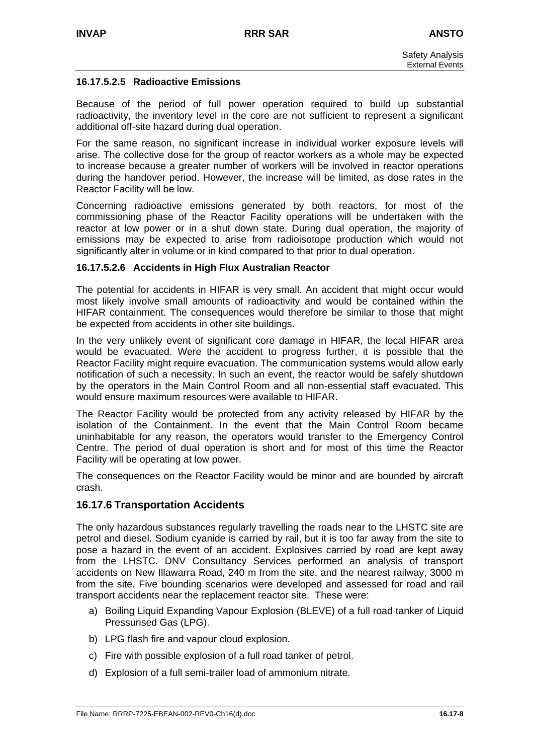## **16.17.5.2.5 Radioactive Emissions**

Because of the period of full power operation required to build up substantial radioactivity, the inventory level in the core are not sufficient to represent a significant additional off-site hazard during dual operation.

For the same reason, no significant increase in individual worker exposure levels will arise. The collective dose for the group of reactor workers as a whole may be expected to increase because a greater number of workers will be involved in reactor operations during the handover period. However, the increase will be limited, as dose rates in the Reactor Facility will be low.

Concerning radioactive emissions generated by both reactors, for most of the commissioning phase of the Reactor Facility operations will be undertaken with the reactor at low power or in a shut down state. During dual operation, the majority of emissions may be expected to arise from radioisotope production which would not significantly alter in volume or in kind compared to that prior to dual operation.

## **16.17.5.2.6 Accidents in High Flux Australian Reactor**

The potential for accidents in HIFAR is very small. An accident that might occur would most likely involve small amounts of radioactivity and would be contained within the HIFAR containment. The consequences would therefore be similar to those that might be expected from accidents in other site buildings.

In the very unlikely event of significant core damage in HIFAR, the local HIFAR area would be evacuated. Were the accident to progress further, it is possible that the Reactor Facility might require evacuation. The communication systems would allow early notification of such a necessity. In such an event, the reactor would be safely shutdown by the operators in the Main Control Room and all non-essential staff evacuated. This would ensure maximum resources were available to HIFAR.

The Reactor Facility would be protected from any activity released by HIFAR by the isolation of the Containment. In the event that the Main Control Room became uninhabitable for any reason, the operators would transfer to the Emergency Control Centre. The period of dual operation is short and for most of this time the Reactor Facility will be operating at low power.

The consequences on the Reactor Facility would be minor and are bounded by aircraft crash.

# **16.17.6 Transportation Accidents**

The only hazardous substances regularly travelling the roads near to the LHSTC site are petrol and diesel. Sodium cyanide is carried by rail, but it is too far away from the site to pose a hazard in the event of an accident. Explosives carried by road are kept away from the LHSTC. DNV Consultancy Services performed an analysis of transport accidents on New Illawarra Road, 240 m from the site, and the nearest railway, 3000 m from the site. Five bounding scenarios were developed and assessed for road and rail transport accidents near the replacement reactor site. These were:

- a) Boiling Liquid Expanding Vapour Explosion (BLEVE) of a full road tanker of Liquid Pressurised Gas (LPG).
- b) LPG flash fire and vapour cloud explosion.
- c) Fire with possible explosion of a full road tanker of petrol.
- d) Explosion of a full semi-trailer load of ammonium nitrate.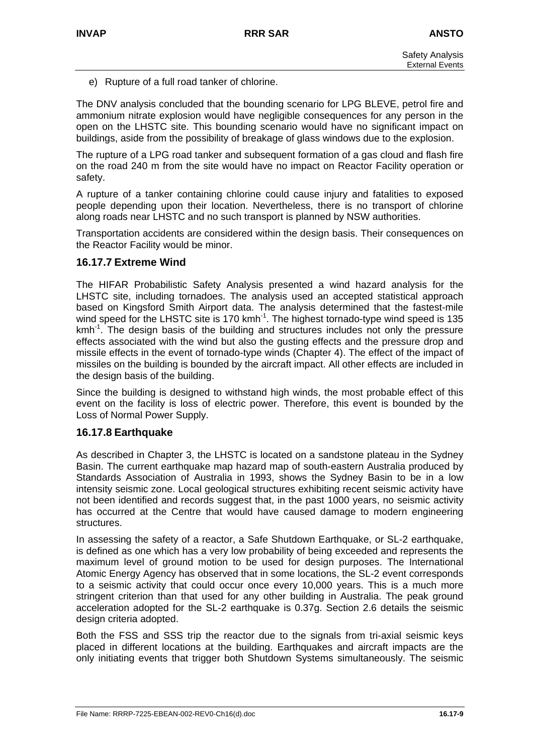e) Rupture of a full road tanker of chlorine.

The DNV analysis concluded that the bounding scenario for LPG BLEVE, petrol fire and ammonium nitrate explosion would have negligible consequences for any person in the open on the LHSTC site. This bounding scenario would have no significant impact on buildings, aside from the possibility of breakage of glass windows due to the explosion.

The rupture of a LPG road tanker and subsequent formation of a gas cloud and flash fire on the road 240 m from the site would have no impact on Reactor Facility operation or safety.

A rupture of a tanker containing chlorine could cause injury and fatalities to exposed people depending upon their location. Nevertheless, there is no transport of chlorine along roads near LHSTC and no such transport is planned by NSW authorities.

Transportation accidents are considered within the design basis. Their consequences on the Reactor Facility would be minor.

## **16.17.7 Extreme Wind**

The HIFAR Probabilistic Safety Analysis presented a wind hazard analysis for the LHSTC site, including tornadoes. The analysis used an accepted statistical approach based on Kingsford Smith Airport data. The analysis determined that the fastest-mile wind speed for the LHSTC site is 170 kmh<sup>-1</sup>. The highest tornado-type wind speed is 135 kmh<sup>-1</sup>. The design basis of the building and structures includes not only the pressure effects associated with the wind but also the gusting effects and the pressure drop and missile effects in the event of tornado-type winds (Chapter 4). The effect of the impact of missiles on the building is bounded by the aircraft impact. All other effects are included in the design basis of the building.

Since the building is designed to withstand high winds, the most probable effect of this event on the facility is loss of electric power. Therefore, this event is bounded by the Loss of Normal Power Supply.

### **16.17.8 Earthquake**

As described in Chapter 3, the LHSTC is located on a sandstone plateau in the Sydney Basin. The current earthquake map hazard map of south-eastern Australia produced by Standards Association of Australia in 1993, shows the Sydney Basin to be in a low intensity seismic zone. Local geological structures exhibiting recent seismic activity have not been identified and records suggest that, in the past 1000 years, no seismic activity has occurred at the Centre that would have caused damage to modern engineering structures.

In assessing the safety of a reactor, a Safe Shutdown Earthquake, or SL-2 earthquake, is defined as one which has a very low probability of being exceeded and represents the maximum level of ground motion to be used for design purposes. The International Atomic Energy Agency has observed that in some locations, the SL-2 event corresponds to a seismic activity that could occur once every 10,000 years. This is a much more stringent criterion than that used for any other building in Australia. The peak ground acceleration adopted for the SL-2 earthquake is 0.37g. Section 2.6 details the seismic design criteria adopted.

Both the FSS and SSS trip the reactor due to the signals from tri-axial seismic keys placed in different locations at the building. Earthquakes and aircraft impacts are the only initiating events that trigger both Shutdown Systems simultaneously. The seismic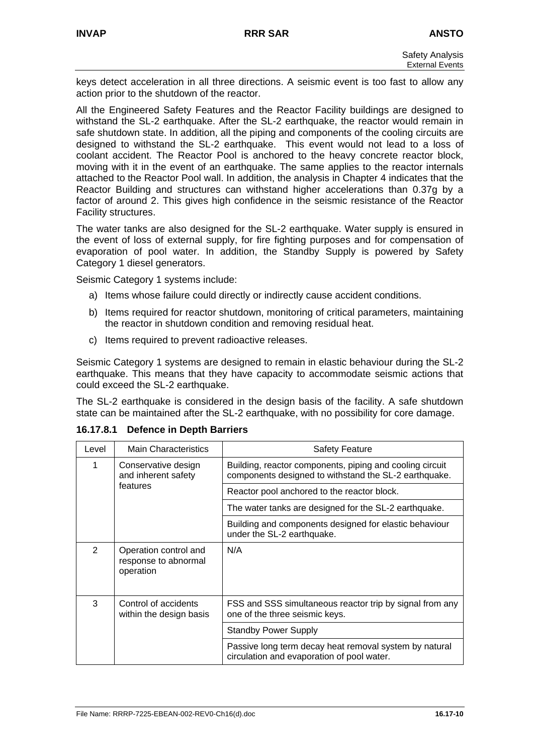keys detect acceleration in all three directions. A seismic event is too fast to allow any action prior to the shutdown of the reactor.

All the Engineered Safety Features and the Reactor Facility buildings are designed to withstand the SL-2 earthquake. After the SL-2 earthquake, the reactor would remain in safe shutdown state. In addition, all the piping and components of the cooling circuits are designed to withstand the SL-2 earthquake. This event would not lead to a loss of coolant accident. The Reactor Pool is anchored to the heavy concrete reactor block, moving with it in the event of an earthquake. The same applies to the reactor internals attached to the Reactor Pool wall. In addition, the analysis in Chapter 4 indicates that the Reactor Building and structures can withstand higher accelerations than 0.37g by a factor of around 2. This gives high confidence in the seismic resistance of the Reactor Facility structures.

The water tanks are also designed for the SL-2 earthquake. Water supply is ensured in the event of loss of external supply, for fire fighting purposes and for compensation of evaporation of pool water. In addition, the Standby Supply is powered by Safety Category 1 diesel generators.

Seismic Category 1 systems include:

- a) Items whose failure could directly or indirectly cause accident conditions.
- b) Items required for reactor shutdown, monitoring of critical parameters, maintaining the reactor in shutdown condition and removing residual heat.
- c) Items required to prevent radioactive releases.

Seismic Category 1 systems are designed to remain in elastic behaviour during the SL-2 earthquake. This means that they have capacity to accommodate seismic actions that could exceed the SL-2 earthquake.

The SL-2 earthquake is considered in the design basis of the facility. A safe shutdown state can be maintained after the SL-2 earthquake, with no possibility for core damage.

| Level | <b>Main Characteristics</b>                                | <b>Safety Feature</b>                                                                                             |
|-------|------------------------------------------------------------|-------------------------------------------------------------------------------------------------------------------|
| 1     | Conservative design<br>and inherent safety                 | Building, reactor components, piping and cooling circuit<br>components designed to withstand the SL-2 earthquake. |
|       | features                                                   | Reactor pool anchored to the reactor block.                                                                       |
|       |                                                            | The water tanks are designed for the SL-2 earthquake.                                                             |
|       |                                                            | Building and components designed for elastic behaviour<br>under the SL-2 earthquake.                              |
| 2     | Operation control and<br>response to abnormal<br>operation | N/A                                                                                                               |
| 3     | Control of accidents<br>within the design basis            | FSS and SSS simultaneous reactor trip by signal from any<br>one of the three seismic keys.                        |
|       |                                                            | <b>Standby Power Supply</b>                                                                                       |
|       |                                                            | Passive long term decay heat removal system by natural<br>circulation and evaporation of pool water.              |

### **16.17.8.1 Defence in Depth Barriers**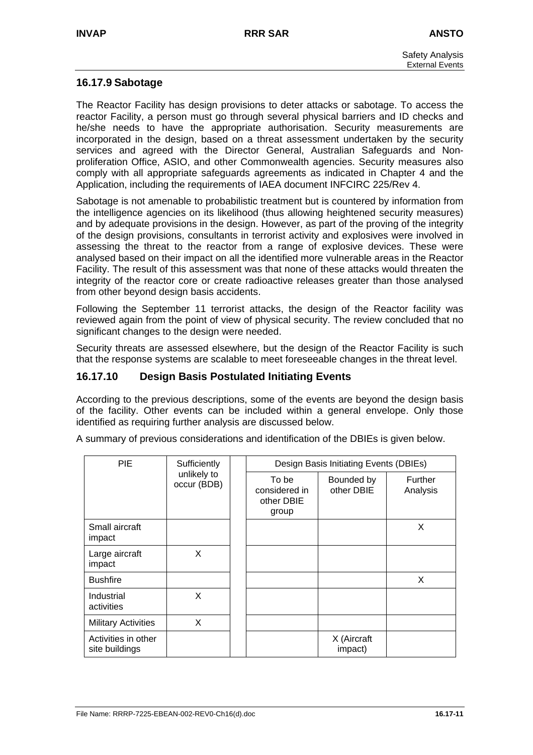# **16.17.9 Sabotage**

The Reactor Facility has design provisions to deter attacks or sabotage. To access the reactor Facility, a person must go through several physical barriers and ID checks and he/she needs to have the appropriate authorisation. Security measurements are incorporated in the design, based on a threat assessment undertaken by the security services and agreed with the Director General, Australian Safeguards and Nonproliferation Office, ASIO, and other Commonwealth agencies. Security measures also comply with all appropriate safeguards agreements as indicated in Chapter 4 and the Application, including the requirements of IAEA document INFCIRC 225/Rev 4.

Sabotage is not amenable to probabilistic treatment but is countered by information from the intelligence agencies on its likelihood (thus allowing heightened security measures) and by adequate provisions in the design. However, as part of the proving of the integrity of the design provisions, consultants in terrorist activity and explosives were involved in assessing the threat to the reactor from a range of explosive devices. These were analysed based on their impact on all the identified more vulnerable areas in the Reactor Facility. The result of this assessment was that none of these attacks would threaten the integrity of the reactor core or create radioactive releases greater than those analysed from other beyond design basis accidents.

Following the September 11 terrorist attacks, the design of the Reactor facility was reviewed again from the point of view of physical security. The review concluded that no significant changes to the design were needed.

Security threats are assessed elsewhere, but the design of the Reactor Facility is such that the response systems are scalable to meet foreseeable changes in the threat level.

## **16.17.10 Design Basis Postulated Initiating Events**

According to the previous descriptions, some of the events are beyond the design basis of the facility. Other events can be included within a general envelope. Only those identified as requiring further analysis are discussed below.

A summary of previous considerations and identification of the DBIEs is given below.

| <b>PIE</b>                            | Sufficiently               |  | Design Basis Initiating Events (DBIEs)        |                          |                            |  |
|---------------------------------------|----------------------------|--|-----------------------------------------------|--------------------------|----------------------------|--|
|                                       | unlikely to<br>occur (BDB) |  | To be<br>considered in<br>other DBIE<br>group | Bounded by<br>other DBIE | <b>Further</b><br>Analysis |  |
| Small aircraft<br>impact              |                            |  |                                               |                          | X                          |  |
| Large aircraft<br>impact              | X                          |  |                                               |                          |                            |  |
| <b>Bushfire</b>                       |                            |  |                                               |                          | X                          |  |
| Industrial<br>activities              | X                          |  |                                               |                          |                            |  |
| <b>Military Activities</b>            | X                          |  |                                               |                          |                            |  |
| Activities in other<br>site buildings |                            |  |                                               | X (Aircraft<br>impact)   |                            |  |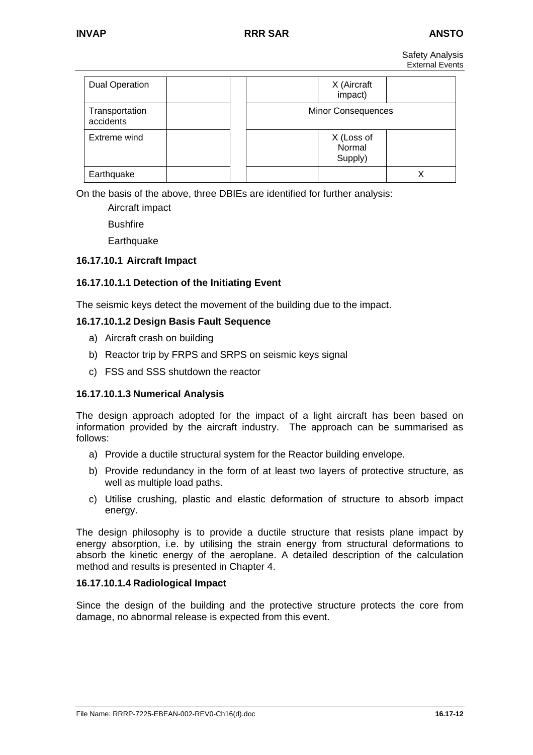Safety Analysis External Events

| <b>Dual Operation</b>       | X (Aircraft<br>impact)          |  |
|-----------------------------|---------------------------------|--|
| Transportation<br>accidents | <b>Minor Consequences</b>       |  |
| Extreme wind                | X (Loss of<br>Normal<br>Supply) |  |
| Earthquake                  |                                 |  |

On the basis of the above, three DBIEs are identified for further analysis:

Aircraft impact **Bushfire Earthquake** 

## **16.17.10.1 Aircraft Impact**

## **16.17.10.1.1 Detection of the Initiating Event**

The seismic keys detect the movement of the building due to the impact.

### **16.17.10.1.2 Design Basis Fault Sequence**

- a) Aircraft crash on building
- b) Reactor trip by FRPS and SRPS on seismic keys signal
- c) FSS and SSS shutdown the reactor

### **16.17.10.1.3 Numerical Analysis**

The design approach adopted for the impact of a light aircraft has been based on information provided by the aircraft industry. The approach can be summarised as follows:

- a) Provide a ductile structural system for the Reactor building envelope.
- b) Provide redundancy in the form of at least two layers of protective structure, as well as multiple load paths.
- c) Utilise crushing, plastic and elastic deformation of structure to absorb impact energy.

The design philosophy is to provide a ductile structure that resists plane impact by energy absorption, i.e. by utilising the strain energy from structural deformations to absorb the kinetic energy of the aeroplane. A detailed description of the calculation method and results is presented in Chapter 4.

### **16.17.10.1.4 Radiological Impact**

Since the design of the building and the protective structure protects the core from damage, no abnormal release is expected from this event.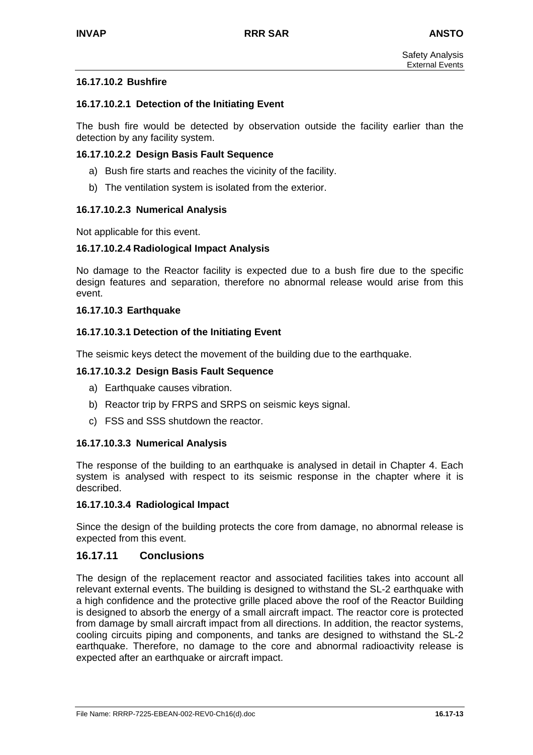### **16.17.10.2 Bushfire**

### **16.17.10.2.1 Detection of the Initiating Event**

The bush fire would be detected by observation outside the facility earlier than the detection by any facility system.

### **16.17.10.2.2 Design Basis Fault Sequence**

- a) Bush fire starts and reaches the vicinity of the facility.
- b) The ventilation system is isolated from the exterior.

### **16.17.10.2.3 Numerical Analysis**

Not applicable for this event.

#### **16.17.10.2.4 Radiological Impact Analysis**

No damage to the Reactor facility is expected due to a bush fire due to the specific design features and separation, therefore no abnormal release would arise from this event.

#### **16.17.10.3 Earthquake**

### **16.17.10.3.1 Detection of the Initiating Event**

The seismic keys detect the movement of the building due to the earthquake.

#### **16.17.10.3.2 Design Basis Fault Sequence**

- a) Earthquake causes vibration.
- b) Reactor trip by FRPS and SRPS on seismic keys signal.
- c) FSS and SSS shutdown the reactor.

### **16.17.10.3.3 Numerical Analysis**

The response of the building to an earthquake is analysed in detail in Chapter 4. Each system is analysed with respect to its seismic response in the chapter where it is described.

#### **16.17.10.3.4 Radiological Impact**

Since the design of the building protects the core from damage, no abnormal release is expected from this event.

### **16.17.11 Conclusions**

The design of the replacement reactor and associated facilities takes into account all relevant external events. The building is designed to withstand the SL-2 earthquake with a high confidence and the protective grille placed above the roof of the Reactor Building is designed to absorb the energy of a small aircraft impact. The reactor core is protected from damage by small aircraft impact from all directions. In addition, the reactor systems, cooling circuits piping and components, and tanks are designed to withstand the SL-2 earthquake. Therefore, no damage to the core and abnormal radioactivity release is expected after an earthquake or aircraft impact.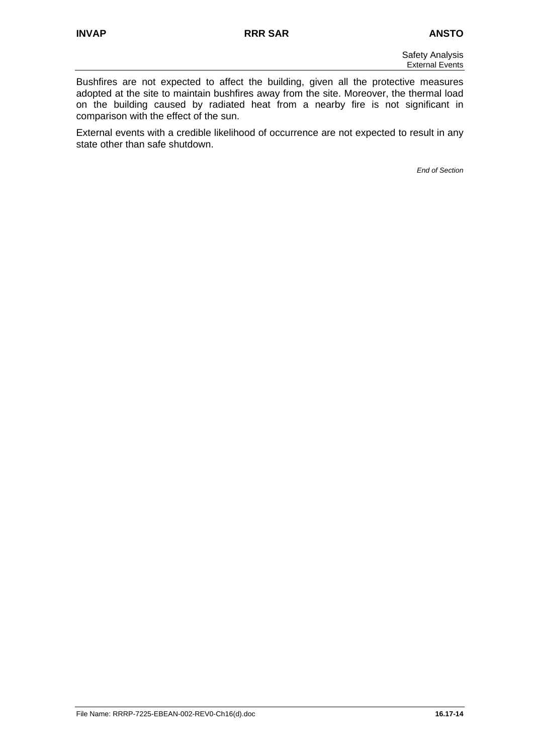Bushfires are not expected to affect the building, given all the protective measures adopted at the site to maintain bushfires away from the site. Moreover, the thermal load on the building caused by radiated heat from a nearby fire is not significant in comparison with the effect of the sun.

External events with a credible likelihood of occurrence are not expected to result in any state other than safe shutdown.

*End of Section*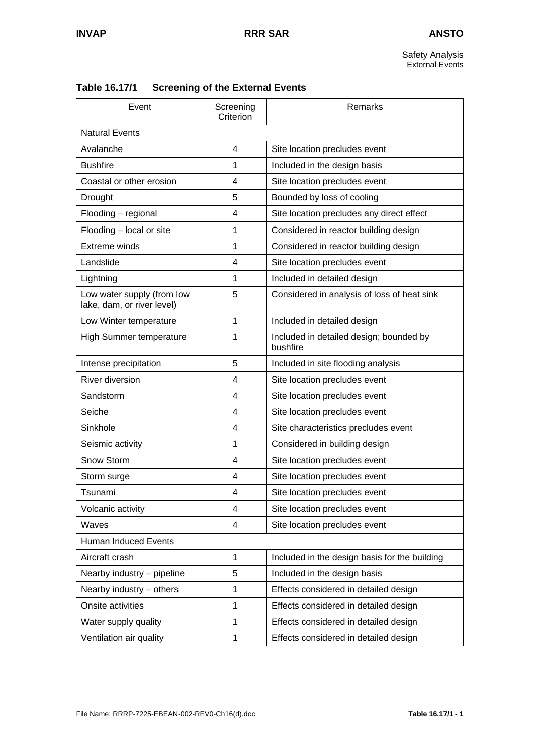Safety Analysis External Events

| Event<br>Screening<br>Criterion                          |                | Remarks                                             |  |
|----------------------------------------------------------|----------------|-----------------------------------------------------|--|
| <b>Natural Events</b>                                    |                |                                                     |  |
| Avalanche                                                | $\overline{4}$ | Site location precludes event                       |  |
| <b>Bushfire</b>                                          | 1              | Included in the design basis                        |  |
| Coastal or other erosion                                 | 4              | Site location precludes event                       |  |
| Drought                                                  | 5              | Bounded by loss of cooling                          |  |
| Flooding - regional                                      | 4              | Site location precludes any direct effect           |  |
| Flooding - local or site                                 | 1              | Considered in reactor building design               |  |
| <b>Extreme winds</b>                                     | 1              | Considered in reactor building design               |  |
| Landslide                                                | 4              | Site location precludes event                       |  |
| Lightning                                                | 1              | Included in detailed design                         |  |
| Low water supply (from low<br>lake, dam, or river level) | 5              | Considered in analysis of loss of heat sink         |  |
| Low Winter temperature                                   | 1              | Included in detailed design                         |  |
| <b>High Summer temperature</b>                           | 1              | Included in detailed design; bounded by<br>bushfire |  |
| Intense precipitation                                    | 5              | Included in site flooding analysis                  |  |
| <b>River diversion</b>                                   | 4              | Site location precludes event                       |  |
| Sandstorm                                                | 4              | Site location precludes event                       |  |
| Seiche                                                   | 4              | Site location precludes event                       |  |
| Sinkhole                                                 | 4              | Site characteristics precludes event                |  |
| Seismic activity                                         | 1              | Considered in building design                       |  |
| Snow Storm                                               | 4              | Site location precludes event                       |  |
| Storm surge                                              | 4              | Site location precludes event                       |  |
| Tsunami                                                  | 4              | Site location precludes event                       |  |
| Volcanic activity                                        | 4              | Site location precludes event                       |  |
| Waves                                                    | 4              | Site location precludes event                       |  |
| Human Induced Events                                     |                |                                                     |  |
| Aircraft crash                                           | 1              | Included in the design basis for the building       |  |
| Nearby industry - pipeline                               | 5              | Included in the design basis                        |  |
| Nearby industry - others                                 | 1              | Effects considered in detailed design               |  |
| Onsite activities                                        | 1              | Effects considered in detailed design               |  |
| Water supply quality                                     | 1              | Effects considered in detailed design               |  |
| Ventilation air quality                                  | 1              | Effects considered in detailed design               |  |

| Table 16.17/1 | <b>Screening of the External Events</b> |
|---------------|-----------------------------------------|
|---------------|-----------------------------------------|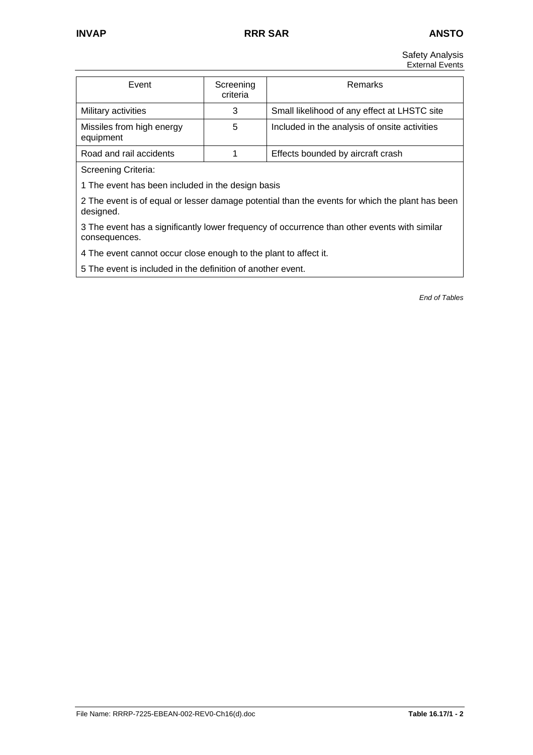Safety Analysis External Events

| Event                                  | Screening<br>criteria | <b>Remarks</b>                                |
|----------------------------------------|-----------------------|-----------------------------------------------|
| Military activities                    | 3                     | Small likelihood of any effect at LHSTC site  |
| Missiles from high energy<br>equipment | 5                     | Included in the analysis of onsite activities |
| Road and rail accidents                |                       | Effects bounded by aircraft crash             |

Screening Criteria:

1 The event has been included in the design basis

2 The event is of equal or lesser damage potential than the events for which the plant has been designed.

3 The event has a significantly lower frequency of occurrence than other events with similar consequences.

4 The event cannot occur close enough to the plant to affect it.

5 The event is included in the definition of another event.

*End of Tables*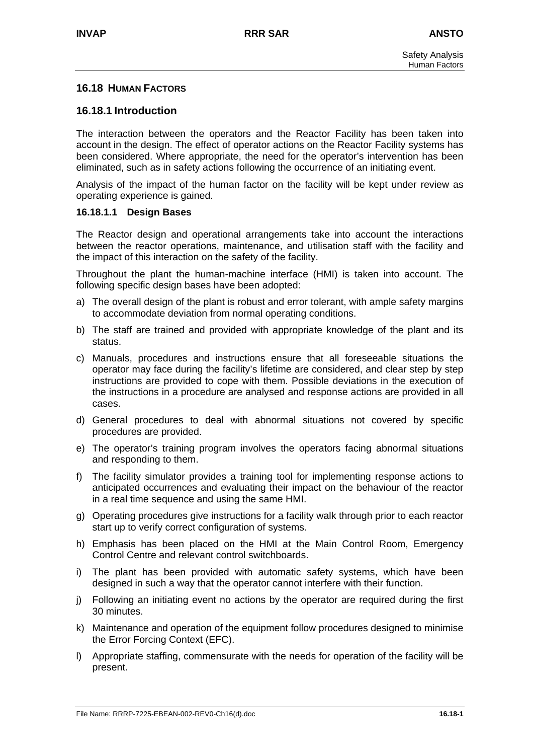## **16.18 HUMAN FACTORS**

## **16.18.1 Introduction**

The interaction between the operators and the Reactor Facility has been taken into account in the design. The effect of operator actions on the Reactor Facility systems has been considered. Where appropriate, the need for the operator's intervention has been eliminated, such as in safety actions following the occurrence of an initiating event.

Analysis of the impact of the human factor on the facility will be kept under review as operating experience is gained.

#### **16.18.1.1 Design Bases**

The Reactor design and operational arrangements take into account the interactions between the reactor operations, maintenance, and utilisation staff with the facility and the impact of this interaction on the safety of the facility.

Throughout the plant the human-machine interface (HMI) is taken into account. The following specific design bases have been adopted:

- a) The overall design of the plant is robust and error tolerant, with ample safety margins to accommodate deviation from normal operating conditions.
- b) The staff are trained and provided with appropriate knowledge of the plant and its status.
- c) Manuals, procedures and instructions ensure that all foreseeable situations the operator may face during the facility's lifetime are considered, and clear step by step instructions are provided to cope with them. Possible deviations in the execution of the instructions in a procedure are analysed and response actions are provided in all cases.
- d) General procedures to deal with abnormal situations not covered by specific procedures are provided.
- e) The operator's training program involves the operators facing abnormal situations and responding to them.
- f) The facility simulator provides a training tool for implementing response actions to anticipated occurrences and evaluating their impact on the behaviour of the reactor in a real time sequence and using the same HMI.
- g) Operating procedures give instructions for a facility walk through prior to each reactor start up to verify correct configuration of systems.
- h) Emphasis has been placed on the HMI at the Main Control Room, Emergency Control Centre and relevant control switchboards.
- i) The plant has been provided with automatic safety systems, which have been designed in such a way that the operator cannot interfere with their function.
- j) Following an initiating event no actions by the operator are required during the first 30 minutes.
- k) Maintenance and operation of the equipment follow procedures designed to minimise the Error Forcing Context (EFC).
- l) Appropriate staffing, commensurate with the needs for operation of the facility will be present.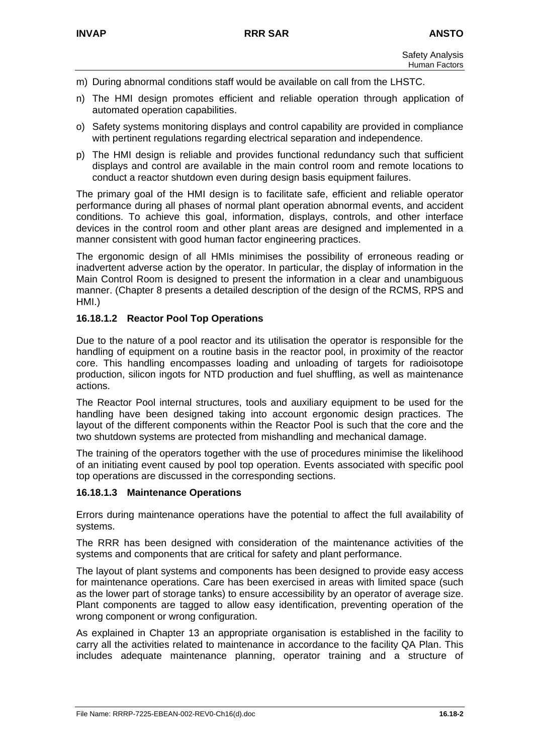- m) During abnormal conditions staff would be available on call from the LHSTC.
- n) The HMI design promotes efficient and reliable operation through application of automated operation capabilities.
- o) Safety systems monitoring displays and control capability are provided in compliance with pertinent regulations regarding electrical separation and independence.
- p) The HMI design is reliable and provides functional redundancy such that sufficient displays and control are available in the main control room and remote locations to conduct a reactor shutdown even during design basis equipment failures.

The primary goal of the HMI design is to facilitate safe, efficient and reliable operator performance during all phases of normal plant operation abnormal events, and accident conditions. To achieve this goal, information, displays, controls, and other interface devices in the control room and other plant areas are designed and implemented in a manner consistent with good human factor engineering practices.

The ergonomic design of all HMIs minimises the possibility of erroneous reading or inadvertent adverse action by the operator. In particular, the display of information in the Main Control Room is designed to present the information in a clear and unambiguous manner. (Chapter 8 presents a detailed description of the design of the RCMS, RPS and HMI.)

## **16.18.1.2 Reactor Pool Top Operations**

Due to the nature of a pool reactor and its utilisation the operator is responsible for the handling of equipment on a routine basis in the reactor pool, in proximity of the reactor core. This handling encompasses loading and unloading of targets for radioisotope production, silicon ingots for NTD production and fuel shuffling, as well as maintenance actions.

The Reactor Pool internal structures, tools and auxiliary equipment to be used for the handling have been designed taking into account ergonomic design practices. The layout of the different components within the Reactor Pool is such that the core and the two shutdown systems are protected from mishandling and mechanical damage.

The training of the operators together with the use of procedures minimise the likelihood of an initiating event caused by pool top operation. Events associated with specific pool top operations are discussed in the corresponding sections.

### **16.18.1.3 Maintenance Operations**

Errors during maintenance operations have the potential to affect the full availability of systems.

The RRR has been designed with consideration of the maintenance activities of the systems and components that are critical for safety and plant performance.

The layout of plant systems and components has been designed to provide easy access for maintenance operations. Care has been exercised in areas with limited space (such as the lower part of storage tanks) to ensure accessibility by an operator of average size. Plant components are tagged to allow easy identification, preventing operation of the wrong component or wrong configuration.

As explained in Chapter 13 an appropriate organisation is established in the facility to carry all the activities related to maintenance in accordance to the facility QA Plan. This includes adequate maintenance planning, operator training and a structure of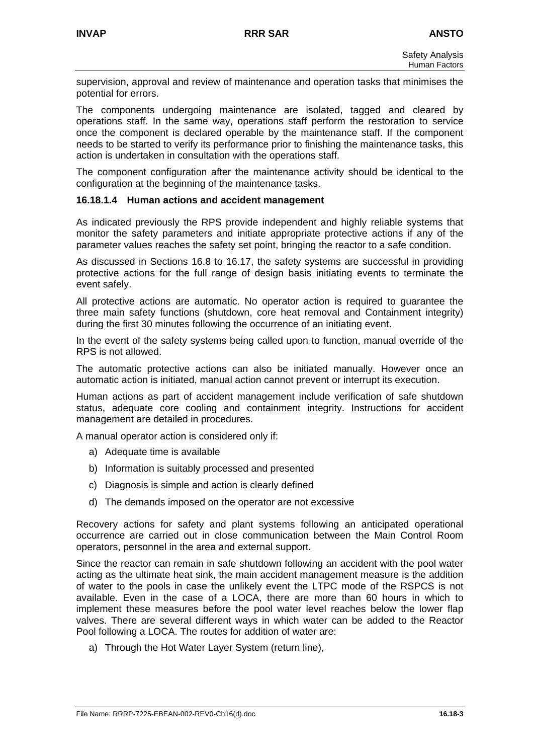supervision, approval and review of maintenance and operation tasks that minimises the potential for errors.

The components undergoing maintenance are isolated, tagged and cleared by operations staff. In the same way, operations staff perform the restoration to service once the component is declared operable by the maintenance staff. If the component needs to be started to verify its performance prior to finishing the maintenance tasks, this action is undertaken in consultation with the operations staff.

The component configuration after the maintenance activity should be identical to the configuration at the beginning of the maintenance tasks.

### **16.18.1.4 Human actions and accident management**

As indicated previously the RPS provide independent and highly reliable systems that monitor the safety parameters and initiate appropriate protective actions if any of the parameter values reaches the safety set point, bringing the reactor to a safe condition.

As discussed in Sections 16.8 to 16.17, the safety systems are successful in providing protective actions for the full range of design basis initiating events to terminate the event safely.

All protective actions are automatic. No operator action is required to guarantee the three main safety functions (shutdown, core heat removal and Containment integrity) during the first 30 minutes following the occurrence of an initiating event.

In the event of the safety systems being called upon to function, manual override of the RPS is not allowed.

The automatic protective actions can also be initiated manually. However once an automatic action is initiated, manual action cannot prevent or interrupt its execution.

Human actions as part of accident management include verification of safe shutdown status, adequate core cooling and containment integrity. Instructions for accident management are detailed in procedures.

A manual operator action is considered only if:

- a) Adequate time is available
- b) Information is suitably processed and presented
- c) Diagnosis is simple and action is clearly defined
- d) The demands imposed on the operator are not excessive

Recovery actions for safety and plant systems following an anticipated operational occurrence are carried out in close communication between the Main Control Room operators, personnel in the area and external support.

Since the reactor can remain in safe shutdown following an accident with the pool water acting as the ultimate heat sink, the main accident management measure is the addition of water to the pools in case the unlikely event the LTPC mode of the RSPCS is not available. Even in the case of a LOCA, there are more than 60 hours in which to implement these measures before the pool water level reaches below the lower flap valves. There are several different ways in which water can be added to the Reactor Pool following a LOCA. The routes for addition of water are:

a) Through the Hot Water Layer System (return line),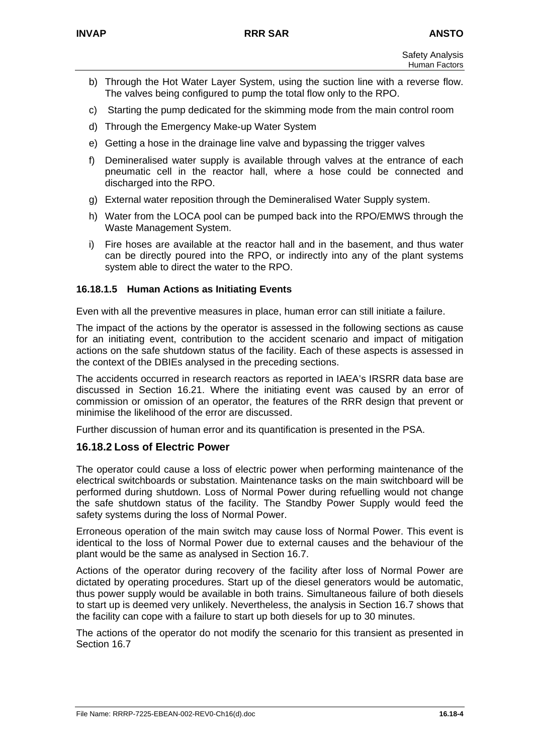- b) Through the Hot Water Layer System, using the suction line with a reverse flow. The valves being configured to pump the total flow only to the RPO.
- c) Starting the pump dedicated for the skimming mode from the main control room
- d) Through the Emergency Make-up Water System
- e) Getting a hose in the drainage line valve and bypassing the trigger valves
- f) Demineralised water supply is available through valves at the entrance of each pneumatic cell in the reactor hall, where a hose could be connected and discharged into the RPO.
- g) External water reposition through the Demineralised Water Supply system.
- h) Water from the LOCA pool can be pumped back into the RPO/EMWS through the Waste Management System.
- i) Fire hoses are available at the reactor hall and in the basement, and thus water can be directly poured into the RPO, or indirectly into any of the plant systems system able to direct the water to the RPO.

## **16.18.1.5 Human Actions as Initiating Events**

Even with all the preventive measures in place, human error can still initiate a failure.

The impact of the actions by the operator is assessed in the following sections as cause for an initiating event, contribution to the accident scenario and impact of mitigation actions on the safe shutdown status of the facility. Each of these aspects is assessed in the context of the DBIEs analysed in the preceding sections.

The accidents occurred in research reactors as reported in IAEA's IRSRR data base are discussed in Section 16.21. Where the initiating event was caused by an error of commission or omission of an operator, the features of the RRR design that prevent or minimise the likelihood of the error are discussed.

Further discussion of human error and its quantification is presented in the PSA.

### **16.18.2 Loss of Electric Power**

The operator could cause a loss of electric power when performing maintenance of the electrical switchboards or substation. Maintenance tasks on the main switchboard will be performed during shutdown. Loss of Normal Power during refuelling would not change the safe shutdown status of the facility. The Standby Power Supply would feed the safety systems during the loss of Normal Power.

Erroneous operation of the main switch may cause loss of Normal Power. This event is identical to the loss of Normal Power due to external causes and the behaviour of the plant would be the same as analysed in Section 16.7.

Actions of the operator during recovery of the facility after loss of Normal Power are dictated by operating procedures. Start up of the diesel generators would be automatic, thus power supply would be available in both trains. Simultaneous failure of both diesels to start up is deemed very unlikely. Nevertheless, the analysis in Section 16.7 shows that the facility can cope with a failure to start up both diesels for up to 30 minutes.

The actions of the operator do not modify the scenario for this transient as presented in Section 16.7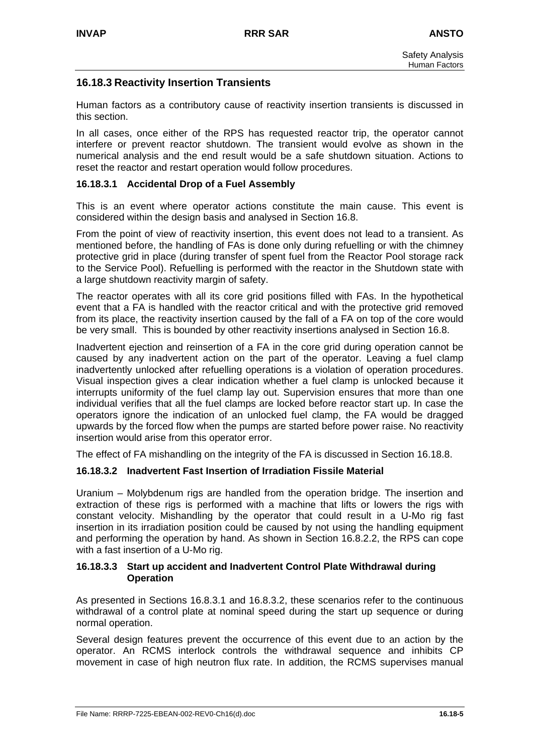# **16.18.3 Reactivity Insertion Transients**

Human factors as a contributory cause of reactivity insertion transients is discussed in this section.

In all cases, once either of the RPS has requested reactor trip, the operator cannot interfere or prevent reactor shutdown. The transient would evolve as shown in the numerical analysis and the end result would be a safe shutdown situation. Actions to reset the reactor and restart operation would follow procedures.

## **16.18.3.1 Accidental Drop of a Fuel Assembly**

This is an event where operator actions constitute the main cause. This event is considered within the design basis and analysed in Section 16.8.

From the point of view of reactivity insertion, this event does not lead to a transient. As mentioned before, the handling of FAs is done only during refuelling or with the chimney protective grid in place (during transfer of spent fuel from the Reactor Pool storage rack to the Service Pool). Refuelling is performed with the reactor in the Shutdown state with a large shutdown reactivity margin of safety.

The reactor operates with all its core grid positions filled with FAs. In the hypothetical event that a FA is handled with the reactor critical and with the protective grid removed from its place, the reactivity insertion caused by the fall of a FA on top of the core would be very small. This is bounded by other reactivity insertions analysed in Section 16.8.

Inadvertent ejection and reinsertion of a FA in the core grid during operation cannot be caused by any inadvertent action on the part of the operator. Leaving a fuel clamp inadvertently unlocked after refuelling operations is a violation of operation procedures. Visual inspection gives a clear indication whether a fuel clamp is unlocked because it interrupts uniformity of the fuel clamp lay out. Supervision ensures that more than one individual verifies that all the fuel clamps are locked before reactor start up. In case the operators ignore the indication of an unlocked fuel clamp, the FA would be dragged upwards by the forced flow when the pumps are started before power raise. No reactivity insertion would arise from this operator error.

The effect of FA mishandling on the integrity of the FA is discussed in Section 16.18.8.

### **16.18.3.2 Inadvertent Fast Insertion of Irradiation Fissile Material**

Uranium – Molybdenum rigs are handled from the operation bridge. The insertion and extraction of these rigs is performed with a machine that lifts or lowers the rigs with constant velocity. Mishandling by the operator that could result in a U-Mo rig fast insertion in its irradiation position could be caused by not using the handling equipment and performing the operation by hand. As shown in Section 16.8.2.2, the RPS can cope with a fast insertion of a U-Mo rig.

#### **16.18.3.3 Start up accident and Inadvertent Control Plate Withdrawal during Operation**

As presented in Sections 16.8.3.1 and 16.8.3.2, these scenarios refer to the continuous withdrawal of a control plate at nominal speed during the start up sequence or during normal operation.

Several design features prevent the occurrence of this event due to an action by the operator. An RCMS interlock controls the withdrawal sequence and inhibits CP movement in case of high neutron flux rate. In addition, the RCMS supervises manual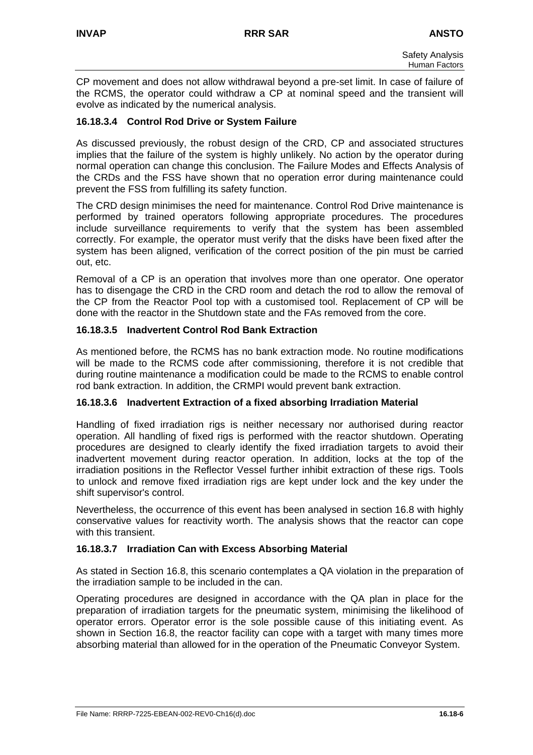CP movement and does not allow withdrawal beyond a pre-set limit. In case of failure of the RCMS, the operator could withdraw a CP at nominal speed and the transient will evolve as indicated by the numerical analysis.

## **16.18.3.4 Control Rod Drive or System Failure**

As discussed previously, the robust design of the CRD, CP and associated structures implies that the failure of the system is highly unlikely. No action by the operator during normal operation can change this conclusion. The Failure Modes and Effects Analysis of the CRDs and the FSS have shown that no operation error during maintenance could prevent the FSS from fulfilling its safety function.

The CRD design minimises the need for maintenance. Control Rod Drive maintenance is performed by trained operators following appropriate procedures. The procedures include surveillance requirements to verify that the system has been assembled correctly. For example, the operator must verify that the disks have been fixed after the system has been aligned, verification of the correct position of the pin must be carried out, etc.

Removal of a CP is an operation that involves more than one operator. One operator has to disengage the CRD in the CRD room and detach the rod to allow the removal of the CP from the Reactor Pool top with a customised tool. Replacement of CP will be done with the reactor in the Shutdown state and the FAs removed from the core.

## **16.18.3.5 Inadvertent Control Rod Bank Extraction**

As mentioned before, the RCMS has no bank extraction mode. No routine modifications will be made to the RCMS code after commissioning, therefore it is not credible that during routine maintenance a modification could be made to the RCMS to enable control rod bank extraction. In addition, the CRMPI would prevent bank extraction.

### **16.18.3.6 Inadvertent Extraction of a fixed absorbing Irradiation Material**

Handling of fixed irradiation rigs is neither necessary nor authorised during reactor operation. All handling of fixed rigs is performed with the reactor shutdown. Operating procedures are designed to clearly identify the fixed irradiation targets to avoid their inadvertent movement during reactor operation. In addition, locks at the top of the irradiation positions in the Reflector Vessel further inhibit extraction of these rigs. Tools to unlock and remove fixed irradiation rigs are kept under lock and the key under the shift supervisor's control.

Nevertheless, the occurrence of this event has been analysed in section 16.8 with highly conservative values for reactivity worth. The analysis shows that the reactor can cope with this transient.

### **16.18.3.7 Irradiation Can with Excess Absorbing Material**

As stated in Section 16.8, this scenario contemplates a QA violation in the preparation of the irradiation sample to be included in the can.

Operating procedures are designed in accordance with the QA plan in place for the preparation of irradiation targets for the pneumatic system, minimising the likelihood of operator errors. Operator error is the sole possible cause of this initiating event. As shown in Section 16.8, the reactor facility can cope with a target with many times more absorbing material than allowed for in the operation of the Pneumatic Conveyor System.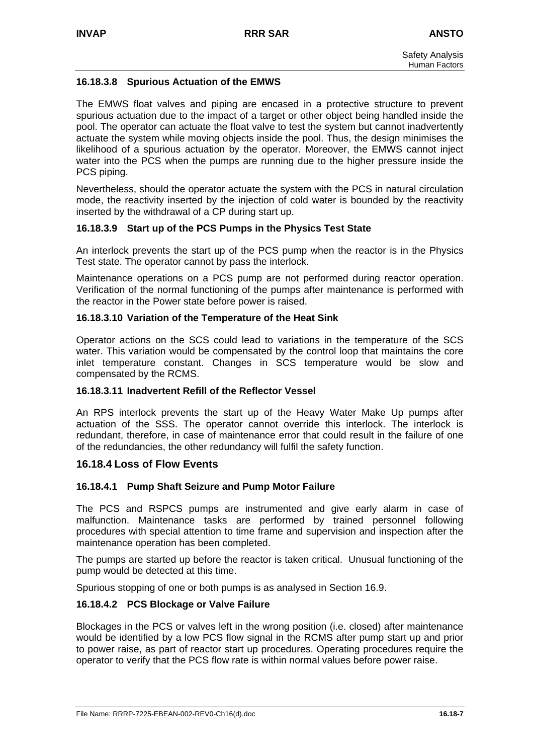## **16.18.3.8 Spurious Actuation of the EMWS**

The EMWS float valves and piping are encased in a protective structure to prevent spurious actuation due to the impact of a target or other object being handled inside the pool. The operator can actuate the float valve to test the system but cannot inadvertently actuate the system while moving objects inside the pool. Thus, the design minimises the likelihood of a spurious actuation by the operator. Moreover, the EMWS cannot inject water into the PCS when the pumps are running due to the higher pressure inside the PCS piping.

Nevertheless, should the operator actuate the system with the PCS in natural circulation mode, the reactivity inserted by the injection of cold water is bounded by the reactivity inserted by the withdrawal of a CP during start up.

## **16.18.3.9 Start up of the PCS Pumps in the Physics Test State**

An interlock prevents the start up of the PCS pump when the reactor is in the Physics Test state. The operator cannot by pass the interlock.

Maintenance operations on a PCS pump are not performed during reactor operation. Verification of the normal functioning of the pumps after maintenance is performed with the reactor in the Power state before power is raised.

### **16.18.3.10 Variation of the Temperature of the Heat Sink**

Operator actions on the SCS could lead to variations in the temperature of the SCS water. This variation would be compensated by the control loop that maintains the core inlet temperature constant. Changes in SCS temperature would be slow and compensated by the RCMS.

### **16.18.3.11 Inadvertent Refill of the Reflector Vessel**

An RPS interlock prevents the start up of the Heavy Water Make Up pumps after actuation of the SSS. The operator cannot override this interlock. The interlock is redundant, therefore, in case of maintenance error that could result in the failure of one of the redundancies, the other redundancy will fulfil the safety function.

### **16.18.4 Loss of Flow Events**

### **16.18.4.1 Pump Shaft Seizure and Pump Motor Failure**

The PCS and RSPCS pumps are instrumented and give early alarm in case of malfunction. Maintenance tasks are performed by trained personnel following procedures with special attention to time frame and supervision and inspection after the maintenance operation has been completed.

The pumps are started up before the reactor is taken critical. Unusual functioning of the pump would be detected at this time.

Spurious stopping of one or both pumps is as analysed in Section 16.9.

### **16.18.4.2 PCS Blockage or Valve Failure**

Blockages in the PCS or valves left in the wrong position (i.e. closed) after maintenance would be identified by a low PCS flow signal in the RCMS after pump start up and prior to power raise, as part of reactor start up procedures. Operating procedures require the operator to verify that the PCS flow rate is within normal values before power raise.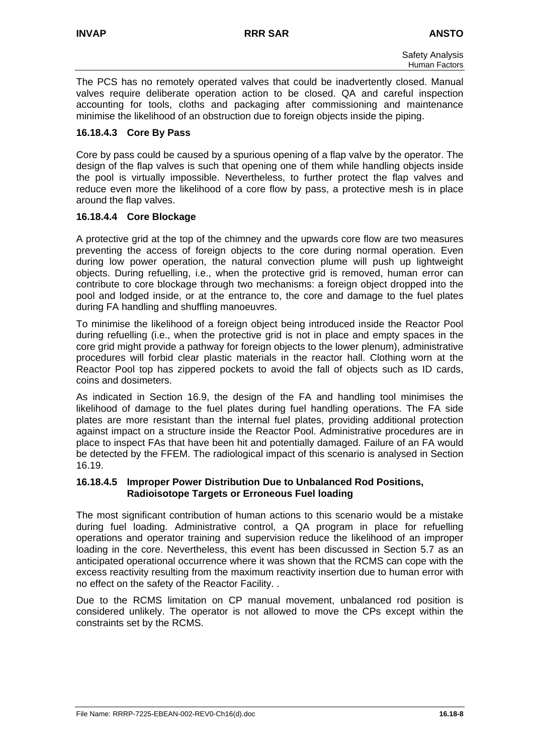The PCS has no remotely operated valves that could be inadvertently closed. Manual valves require deliberate operation action to be closed. QA and careful inspection accounting for tools, cloths and packaging after commissioning and maintenance minimise the likelihood of an obstruction due to foreign objects inside the piping.

### **16.18.4.3 Core By Pass**

Core by pass could be caused by a spurious opening of a flap valve by the operator. The design of the flap valves is such that opening one of them while handling objects inside the pool is virtually impossible. Nevertheless, to further protect the flap valves and reduce even more the likelihood of a core flow by pass, a protective mesh is in place around the flap valves.

## **16.18.4.4 Core Blockage**

A protective grid at the top of the chimney and the upwards core flow are two measures preventing the access of foreign objects to the core during normal operation. Even during low power operation, the natural convection plume will push up lightweight objects. During refuelling, i.e., when the protective grid is removed, human error can contribute to core blockage through two mechanisms: a foreign object dropped into the pool and lodged inside, or at the entrance to, the core and damage to the fuel plates during FA handling and shuffling manoeuvres.

To minimise the likelihood of a foreign object being introduced inside the Reactor Pool during refuelling (i.e., when the protective grid is not in place and empty spaces in the core grid might provide a pathway for foreign objects to the lower plenum), administrative procedures will forbid clear plastic materials in the reactor hall. Clothing worn at the Reactor Pool top has zippered pockets to avoid the fall of objects such as ID cards, coins and dosimeters.

As indicated in Section 16.9, the design of the FA and handling tool minimises the likelihood of damage to the fuel plates during fuel handling operations. The FA side plates are more resistant than the internal fuel plates, providing additional protection against impact on a structure inside the Reactor Pool. Administrative procedures are in place to inspect FAs that have been hit and potentially damaged. Failure of an FA would be detected by the FFEM. The radiological impact of this scenario is analysed in Section 16.19.

### **16.18.4.5 Improper Power Distribution Due to Unbalanced Rod Positions, Radioisotope Targets or Erroneous Fuel loading**

The most significant contribution of human actions to this scenario would be a mistake during fuel loading. Administrative control, a QA program in place for refuelling operations and operator training and supervision reduce the likelihood of an improper loading in the core. Nevertheless, this event has been discussed in Section 5.7 as an anticipated operational occurrence where it was shown that the RCMS can cope with the excess reactivity resulting from the maximum reactivity insertion due to human error with no effect on the safety of the Reactor Facility. .

Due to the RCMS limitation on CP manual movement, unbalanced rod position is considered unlikely. The operator is not allowed to move the CPs except within the constraints set by the RCMS.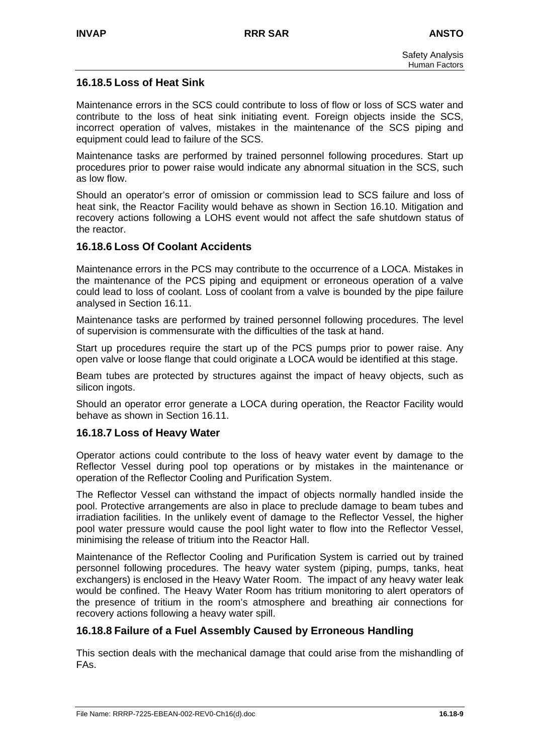# **16.18.5 Loss of Heat Sink**

Maintenance errors in the SCS could contribute to loss of flow or loss of SCS water and contribute to the loss of heat sink initiating event. Foreign objects inside the SCS, incorrect operation of valves, mistakes in the maintenance of the SCS piping and equipment could lead to failure of the SCS.

Maintenance tasks are performed by trained personnel following procedures. Start up procedures prior to power raise would indicate any abnormal situation in the SCS, such as low flow.

Should an operator's error of omission or commission lead to SCS failure and loss of heat sink, the Reactor Facility would behave as shown in Section 16.10. Mitigation and recovery actions following a LOHS event would not affect the safe shutdown status of the reactor.

## **16.18.6 Loss Of Coolant Accidents**

Maintenance errors in the PCS may contribute to the occurrence of a LOCA. Mistakes in the maintenance of the PCS piping and equipment or erroneous operation of a valve could lead to loss of coolant. Loss of coolant from a valve is bounded by the pipe failure analysed in Section 16.11.

Maintenance tasks are performed by trained personnel following procedures. The level of supervision is commensurate with the difficulties of the task at hand.

Start up procedures require the start up of the PCS pumps prior to power raise. Any open valve or loose flange that could originate a LOCA would be identified at this stage.

Beam tubes are protected by structures against the impact of heavy objects, such as silicon ingots.

Should an operator error generate a LOCA during operation, the Reactor Facility would behave as shown in Section 16.11.

### **16.18.7 Loss of Heavy Water**

Operator actions could contribute to the loss of heavy water event by damage to the Reflector Vessel during pool top operations or by mistakes in the maintenance or operation of the Reflector Cooling and Purification System.

The Reflector Vessel can withstand the impact of objects normally handled inside the pool. Protective arrangements are also in place to preclude damage to beam tubes and irradiation facilities. In the unlikely event of damage to the Reflector Vessel, the higher pool water pressure would cause the pool light water to flow into the Reflector Vessel, minimising the release of tritium into the Reactor Hall.

Maintenance of the Reflector Cooling and Purification System is carried out by trained personnel following procedures. The heavy water system (piping, pumps, tanks, heat exchangers) is enclosed in the Heavy Water Room. The impact of any heavy water leak would be confined. The Heavy Water Room has tritium monitoring to alert operators of the presence of tritium in the room's atmosphere and breathing air connections for recovery actions following a heavy water spill.

### **16.18.8 Failure of a Fuel Assembly Caused by Erroneous Handling**

This section deals with the mechanical damage that could arise from the mishandling of FAs.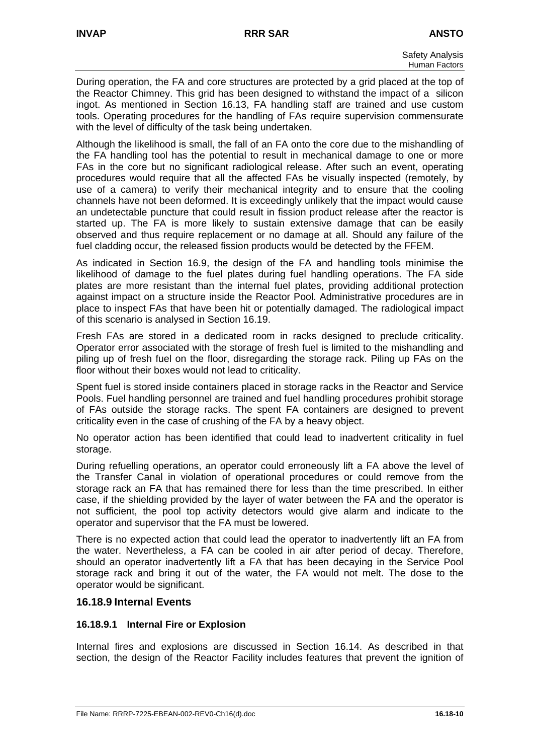During operation, the FA and core structures are protected by a grid placed at the top of the Reactor Chimney. This grid has been designed to withstand the impact of a silicon ingot. As mentioned in Section 16.13, FA handling staff are trained and use custom tools. Operating procedures for the handling of FAs require supervision commensurate with the level of difficulty of the task being undertaken.

Although the likelihood is small, the fall of an FA onto the core due to the mishandling of the FA handling tool has the potential to result in mechanical damage to one or more FAs in the core but no significant radiological release. After such an event, operating procedures would require that all the affected FAs be visually inspected (remotely, by use of a camera) to verify their mechanical integrity and to ensure that the cooling channels have not been deformed. It is exceedingly unlikely that the impact would cause an undetectable puncture that could result in fission product release after the reactor is started up. The FA is more likely to sustain extensive damage that can be easily observed and thus require replacement or no damage at all. Should any failure of the fuel cladding occur, the released fission products would be detected by the FFEM.

As indicated in Section 16.9, the design of the FA and handling tools minimise the likelihood of damage to the fuel plates during fuel handling operations. The FA side plates are more resistant than the internal fuel plates, providing additional protection against impact on a structure inside the Reactor Pool. Administrative procedures are in place to inspect FAs that have been hit or potentially damaged. The radiological impact of this scenario is analysed in Section 16.19.

Fresh FAs are stored in a dedicated room in racks designed to preclude criticality. Operator error associated with the storage of fresh fuel is limited to the mishandling and piling up of fresh fuel on the floor, disregarding the storage rack. Piling up FAs on the floor without their boxes would not lead to criticality.

Spent fuel is stored inside containers placed in storage racks in the Reactor and Service Pools. Fuel handling personnel are trained and fuel handling procedures prohibit storage of FAs outside the storage racks. The spent FA containers are designed to prevent criticality even in the case of crushing of the FA by a heavy object.

No operator action has been identified that could lead to inadvertent criticality in fuel storage.

During refuelling operations, an operator could erroneously lift a FA above the level of the Transfer Canal in violation of operational procedures or could remove from the storage rack an FA that has remained there for less than the time prescribed. In either case, if the shielding provided by the layer of water between the FA and the operator is not sufficient, the pool top activity detectors would give alarm and indicate to the operator and supervisor that the FA must be lowered.

There is no expected action that could lead the operator to inadvertently lift an FA from the water. Nevertheless, a FA can be cooled in air after period of decay. Therefore, should an operator inadvertently lift a FA that has been decaying in the Service Pool storage rack and bring it out of the water, the FA would not melt. The dose to the operator would be significant.

# **16.18.9 Internal Events**

### **16.18.9.1 Internal Fire or Explosion**

Internal fires and explosions are discussed in Section 16.14. As described in that section, the design of the Reactor Facility includes features that prevent the ignition of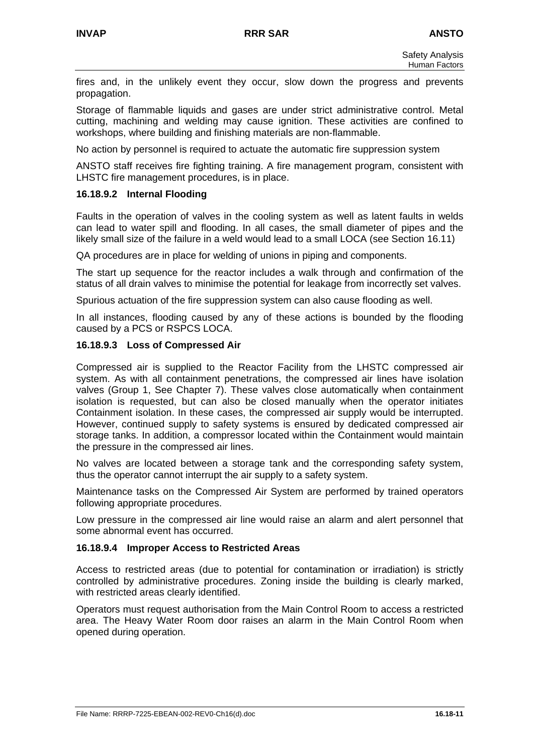fires and, in the unlikely event they occur, slow down the progress and prevents propagation.

Storage of flammable liquids and gases are under strict administrative control. Metal cutting, machining and welding may cause ignition. These activities are confined to workshops, where building and finishing materials are non-flammable.

No action by personnel is required to actuate the automatic fire suppression system

ANSTO staff receives fire fighting training. A fire management program, consistent with LHSTC fire management procedures, is in place.

## **16.18.9.2 Internal Flooding**

Faults in the operation of valves in the cooling system as well as latent faults in welds can lead to water spill and flooding. In all cases, the small diameter of pipes and the likely small size of the failure in a weld would lead to a small LOCA (see Section 16.11)

QA procedures are in place for welding of unions in piping and components.

The start up sequence for the reactor includes a walk through and confirmation of the status of all drain valves to minimise the potential for leakage from incorrectly set valves.

Spurious actuation of the fire suppression system can also cause flooding as well.

In all instances, flooding caused by any of these actions is bounded by the flooding caused by a PCS or RSPCS LOCA.

## **16.18.9.3 Loss of Compressed Air**

Compressed air is supplied to the Reactor Facility from the LHSTC compressed air system. As with all containment penetrations, the compressed air lines have isolation valves (Group 1, See Chapter 7). These valves close automatically when containment isolation is requested, but can also be closed manually when the operator initiates Containment isolation. In these cases, the compressed air supply would be interrupted. However, continued supply to safety systems is ensured by dedicated compressed air storage tanks. In addition, a compressor located within the Containment would maintain the pressure in the compressed air lines.

No valves are located between a storage tank and the corresponding safety system, thus the operator cannot interrupt the air supply to a safety system.

Maintenance tasks on the Compressed Air System are performed by trained operators following appropriate procedures.

Low pressure in the compressed air line would raise an alarm and alert personnel that some abnormal event has occurred.

### **16.18.9.4 Improper Access to Restricted Areas**

Access to restricted areas (due to potential for contamination or irradiation) is strictly controlled by administrative procedures. Zoning inside the building is clearly marked, with restricted areas clearly identified.

Operators must request authorisation from the Main Control Room to access a restricted area. The Heavy Water Room door raises an alarm in the Main Control Room when opened during operation.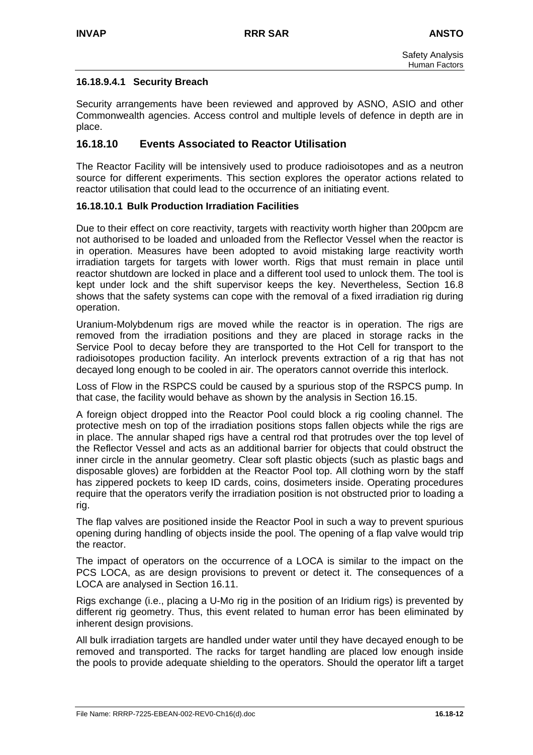## **16.18.9.4.1 Security Breach**

Security arrangements have been reviewed and approved by ASNO, ASIO and other Commonwealth agencies. Access control and multiple levels of defence in depth are in place.

## **16.18.10 Events Associated to Reactor Utilisation**

The Reactor Facility will be intensively used to produce radioisotopes and as a neutron source for different experiments. This section explores the operator actions related to reactor utilisation that could lead to the occurrence of an initiating event.

### **16.18.10.1 Bulk Production Irradiation Facilities**

Due to their effect on core reactivity, targets with reactivity worth higher than 200pcm are not authorised to be loaded and unloaded from the Reflector Vessel when the reactor is in operation. Measures have been adopted to avoid mistaking large reactivity worth irradiation targets for targets with lower worth. Rigs that must remain in place until reactor shutdown are locked in place and a different tool used to unlock them. The tool is kept under lock and the shift supervisor keeps the key. Nevertheless, Section 16.8 shows that the safety systems can cope with the removal of a fixed irradiation rig during operation.

Uranium-Molybdenum rigs are moved while the reactor is in operation. The rigs are removed from the irradiation positions and they are placed in storage racks in the Service Pool to decay before they are transported to the Hot Cell for transport to the radioisotopes production facility. An interlock prevents extraction of a rig that has not decayed long enough to be cooled in air. The operators cannot override this interlock.

Loss of Flow in the RSPCS could be caused by a spurious stop of the RSPCS pump. In that case, the facility would behave as shown by the analysis in Section 16.15.

A foreign object dropped into the Reactor Pool could block a rig cooling channel. The protective mesh on top of the irradiation positions stops fallen objects while the rigs are in place. The annular shaped rigs have a central rod that protrudes over the top level of the Reflector Vessel and acts as an additional barrier for objects that could obstruct the inner circle in the annular geometry. Clear soft plastic objects (such as plastic bags and disposable gloves) are forbidden at the Reactor Pool top. All clothing worn by the staff has zippered pockets to keep ID cards, coins, dosimeters inside. Operating procedures require that the operators verify the irradiation position is not obstructed prior to loading a rig.

The flap valves are positioned inside the Reactor Pool in such a way to prevent spurious opening during handling of objects inside the pool. The opening of a flap valve would trip the reactor.

The impact of operators on the occurrence of a LOCA is similar to the impact on the PCS LOCA, as are design provisions to prevent or detect it. The consequences of a LOCA are analysed in Section 16.11.

Rigs exchange (i.e., placing a U-Mo rig in the position of an Iridium rigs) is prevented by different rig geometry. Thus, this event related to human error has been eliminated by inherent design provisions.

All bulk irradiation targets are handled under water until they have decayed enough to be removed and transported. The racks for target handling are placed low enough inside the pools to provide adequate shielding to the operators. Should the operator lift a target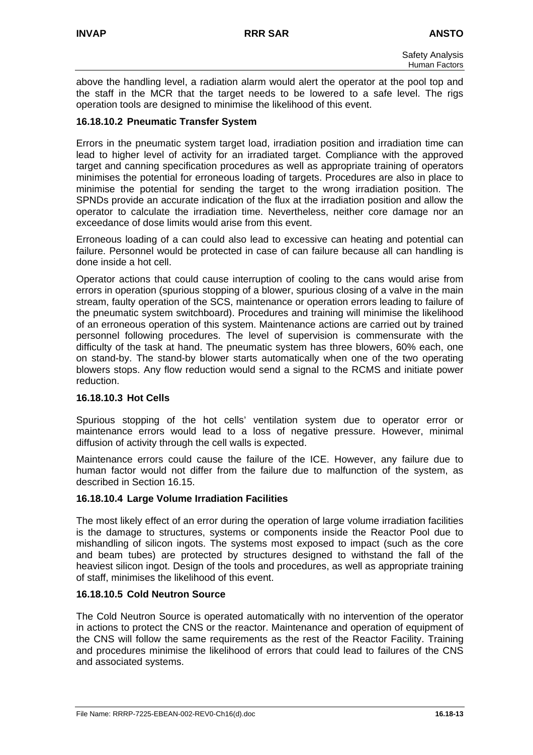above the handling level, a radiation alarm would alert the operator at the pool top and the staff in the MCR that the target needs to be lowered to a safe level. The rigs operation tools are designed to minimise the likelihood of this event.

### **16.18.10.2 Pneumatic Transfer System**

Errors in the pneumatic system target load, irradiation position and irradiation time can lead to higher level of activity for an irradiated target. Compliance with the approved target and canning specification procedures as well as appropriate training of operators minimises the potential for erroneous loading of targets. Procedures are also in place to minimise the potential for sending the target to the wrong irradiation position. The SPNDs provide an accurate indication of the flux at the irradiation position and allow the operator to calculate the irradiation time. Nevertheless, neither core damage nor an exceedance of dose limits would arise from this event.

Erroneous loading of a can could also lead to excessive can heating and potential can failure. Personnel would be protected in case of can failure because all can handling is done inside a hot cell.

Operator actions that could cause interruption of cooling to the cans would arise from errors in operation (spurious stopping of a blower, spurious closing of a valve in the main stream, faulty operation of the SCS, maintenance or operation errors leading to failure of the pneumatic system switchboard). Procedures and training will minimise the likelihood of an erroneous operation of this system. Maintenance actions are carried out by trained personnel following procedures. The level of supervision is commensurate with the difficulty of the task at hand. The pneumatic system has three blowers, 60% each, one on stand-by. The stand-by blower starts automatically when one of the two operating blowers stops. Any flow reduction would send a signal to the RCMS and initiate power reduction.

### **16.18.10.3 Hot Cells**

Spurious stopping of the hot cells' ventilation system due to operator error or maintenance errors would lead to a loss of negative pressure. However, minimal diffusion of activity through the cell walls is expected.

Maintenance errors could cause the failure of the ICE. However, any failure due to human factor would not differ from the failure due to malfunction of the system, as described in Section 16.15.

### **16.18.10.4 Large Volume Irradiation Facilities**

The most likely effect of an error during the operation of large volume irradiation facilities is the damage to structures, systems or components inside the Reactor Pool due to mishandling of silicon ingots. The systems most exposed to impact (such as the core and beam tubes) are protected by structures designed to withstand the fall of the heaviest silicon ingot. Design of the tools and procedures, as well as appropriate training of staff, minimises the likelihood of this event.

### **16.18.10.5 Cold Neutron Source**

The Cold Neutron Source is operated automatically with no intervention of the operator in actions to protect the CNS or the reactor. Maintenance and operation of equipment of the CNS will follow the same requirements as the rest of the Reactor Facility. Training and procedures minimise the likelihood of errors that could lead to failures of the CNS and associated systems.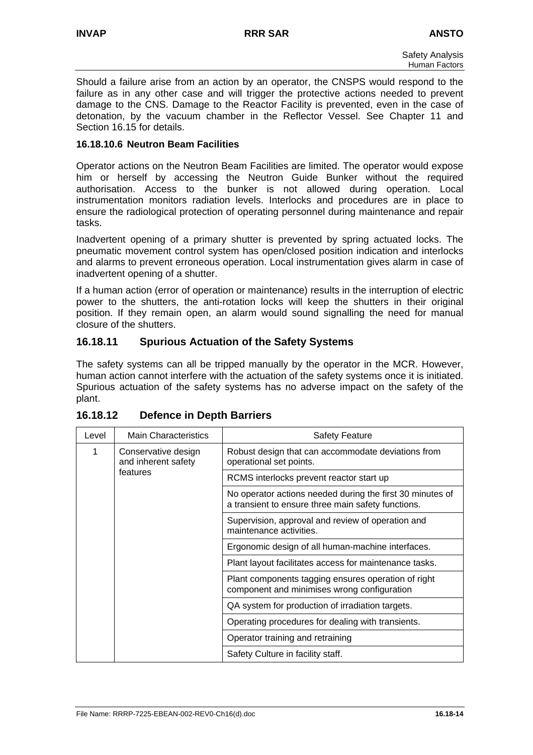Should a failure arise from an action by an operator, the CNSPS would respond to the failure as in any other case and will trigger the protective actions needed to prevent damage to the CNS. Damage to the Reactor Facility is prevented, even in the case of detonation, by the vacuum chamber in the Reflector Vessel. See Chapter 11 and Section 16.15 for details.

### **16.18.10.6 Neutron Beam Facilities**

Operator actions on the Neutron Beam Facilities are limited. The operator would expose him or herself by accessing the Neutron Guide Bunker without the required authorisation. Access to the bunker is not allowed during operation. Local instrumentation monitors radiation levels. Interlocks and procedures are in place to ensure the radiological protection of operating personnel during maintenance and repair tasks.

Inadvertent opening of a primary shutter is prevented by spring actuated locks. The pneumatic movement control system has open/closed position indication and interlocks and alarms to prevent erroneous operation. Local instrumentation gives alarm in case of inadvertent opening of a shutter.

If a human action (error of operation or maintenance) results in the interruption of electric power to the shutters, the anti-rotation locks will keep the shutters in their original position. If they remain open, an alarm would sound signalling the need for manual closure of the shutters.

# **16.18.11 Spurious Actuation of the Safety Systems**

The safety systems can all be tripped manually by the operator in the MCR. However, human action cannot interfere with the actuation of the safety systems once it is initiated. Spurious actuation of the safety systems has no adverse impact on the safety of the plant.

| Level | <b>Main Characteristics</b>                | <b>Safety Feature</b>                                                                                           |
|-------|--------------------------------------------|-----------------------------------------------------------------------------------------------------------------|
| 1     | Conservative design<br>and inherent safety | Robust design that can accommodate deviations from<br>operational set points.                                   |
|       | features                                   | RCMS interlocks prevent reactor start up                                                                        |
|       |                                            | No operator actions needed during the first 30 minutes of<br>a transient to ensure three main safety functions. |
|       |                                            | Supervision, approval and review of operation and<br>maintenance activities.                                    |
|       |                                            | Ergonomic design of all human-machine interfaces.                                                               |
|       |                                            | Plant layout facilitates access for maintenance tasks.                                                          |
|       |                                            | Plant components tagging ensures operation of right<br>component and minimises wrong configuration              |
|       |                                            | QA system for production of irradiation targets.                                                                |
|       |                                            | Operating procedures for dealing with transients.                                                               |
|       |                                            | Operator training and retraining                                                                                |
|       |                                            | Safety Culture in facility staff.                                                                               |

## **16.18.12 Defence in Depth Barriers**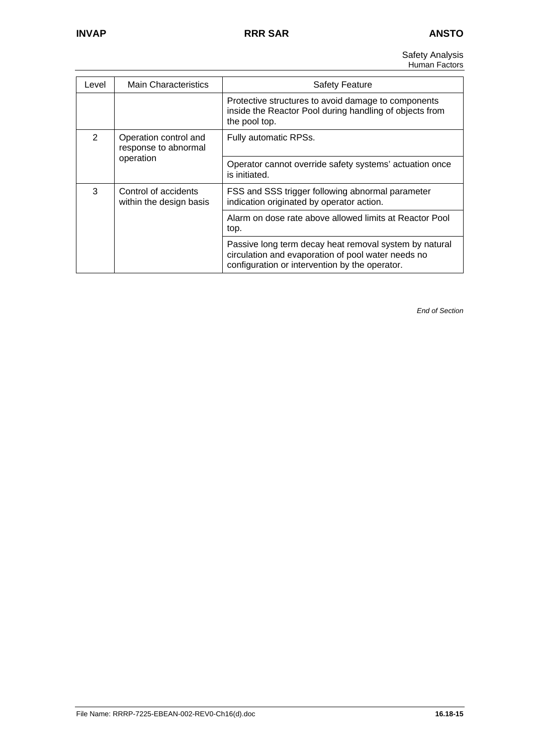Safety Analysis Human Factors

| Level                                                           | <b>Main Characteristics</b>                     | <b>Safety Feature</b>                                                                                                                                          |
|-----------------------------------------------------------------|-------------------------------------------------|----------------------------------------------------------------------------------------------------------------------------------------------------------------|
|                                                                 |                                                 | Protective structures to avoid damage to components<br>inside the Reactor Pool during handling of objects from<br>the pool top.                                |
| $\overline{2}$<br>Operation control and<br>response to abnormal |                                                 | Fully automatic RPSs.                                                                                                                                          |
|                                                                 | operation                                       | Operator cannot override safety systems' actuation once<br>is initiated.                                                                                       |
| 3                                                               | Control of accidents<br>within the design basis | FSS and SSS trigger following abnormal parameter<br>indication originated by operator action.                                                                  |
|                                                                 |                                                 | Alarm on dose rate above allowed limits at Reactor Pool<br>top.                                                                                                |
|                                                                 |                                                 | Passive long term decay heat removal system by natural<br>circulation and evaporation of pool water needs no<br>configuration or intervention by the operator. |

*End of Section*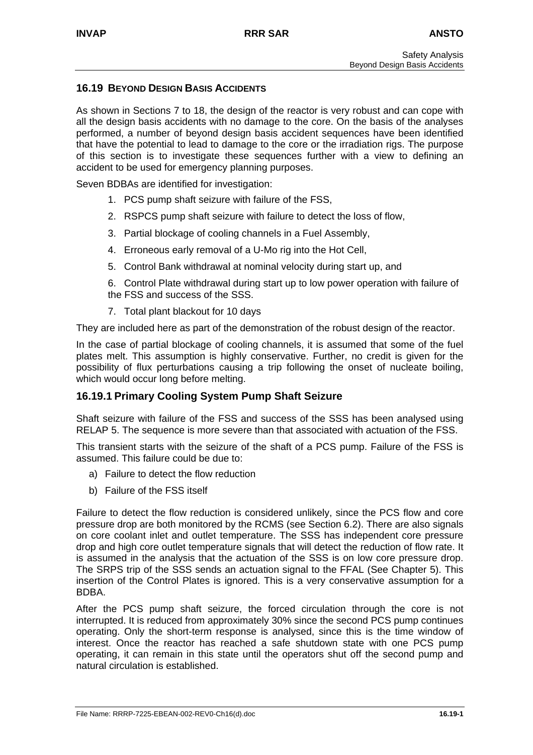## **16.19 BEYOND DESIGN BASIS ACCIDENTS**

As shown in Sections 7 to 18, the design of the reactor is very robust and can cope with all the design basis accidents with no damage to the core. On the basis of the analyses performed, a number of beyond design basis accident sequences have been identified that have the potential to lead to damage to the core or the irradiation rigs. The purpose of this section is to investigate these sequences further with a view to defining an accident to be used for emergency planning purposes.

Seven BDBAs are identified for investigation:

- 1. PCS pump shaft seizure with failure of the FSS,
- 2. RSPCS pump shaft seizure with failure to detect the loss of flow,
- 3. Partial blockage of cooling channels in a Fuel Assembly,
- 4. Erroneous early removal of a U-Mo rig into the Hot Cell,
- 5. Control Bank withdrawal at nominal velocity during start up, and

6. Control Plate withdrawal during start up to low power operation with failure of the FSS and success of the SSS.

7. Total plant blackout for 10 days

They are included here as part of the demonstration of the robust design of the reactor.

In the case of partial blockage of cooling channels, it is assumed that some of the fuel plates melt. This assumption is highly conservative. Further, no credit is given for the possibility of flux perturbations causing a trip following the onset of nucleate boiling, which would occur long before melting.

## **16.19.1 Primary Cooling System Pump Shaft Seizure**

Shaft seizure with failure of the FSS and success of the SSS has been analysed using RELAP 5. The sequence is more severe than that associated with actuation of the FSS.

This transient starts with the seizure of the shaft of a PCS pump. Failure of the FSS is assumed. This failure could be due to:

- a) Failure to detect the flow reduction
- b) Failure of the FSS itself

Failure to detect the flow reduction is considered unlikely, since the PCS flow and core pressure drop are both monitored by the RCMS (see Section 6.2). There are also signals on core coolant inlet and outlet temperature. The SSS has independent core pressure drop and high core outlet temperature signals that will detect the reduction of flow rate. It is assumed in the analysis that the actuation of the SSS is on low core pressure drop. The SRPS trip of the SSS sends an actuation signal to the FFAL (See Chapter 5). This insertion of the Control Plates is ignored. This is a very conservative assumption for a BDBA.

After the PCS pump shaft seizure, the forced circulation through the core is not interrupted. It is reduced from approximately 30% since the second PCS pump continues operating. Only the short-term response is analysed, since this is the time window of interest. Once the reactor has reached a safe shutdown state with one PCS pump operating, it can remain in this state until the operators shut off the second pump and natural circulation is established.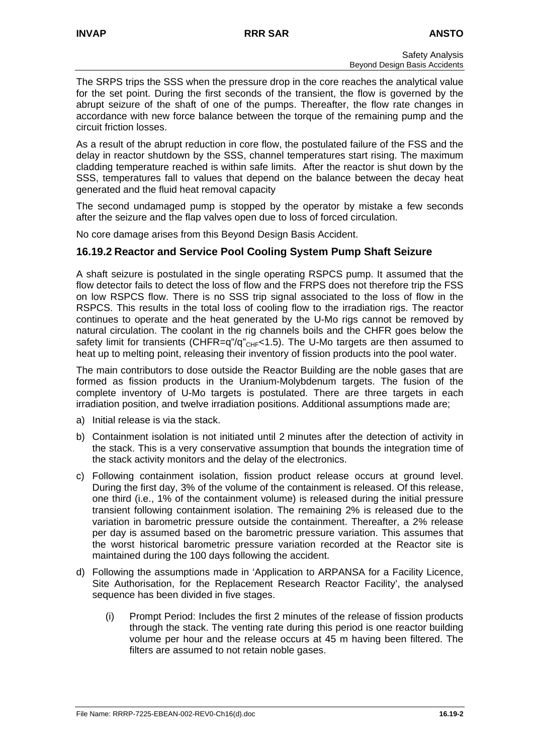The SRPS trips the SSS when the pressure drop in the core reaches the analytical value for the set point. During the first seconds of the transient, the flow is governed by the abrupt seizure of the shaft of one of the pumps. Thereafter, the flow rate changes in accordance with new force balance between the torque of the remaining pump and the circuit friction losses.

As a result of the abrupt reduction in core flow, the postulated failure of the FSS and the delay in reactor shutdown by the SSS, channel temperatures start rising. The maximum cladding temperature reached is within safe limits. After the reactor is shut down by the SSS, temperatures fall to values that depend on the balance between the decay heat generated and the fluid heat removal capacity

The second undamaged pump is stopped by the operator by mistake a few seconds after the seizure and the flap valves open due to loss of forced circulation.

No core damage arises from this Beyond Design Basis Accident.

### **16.19.2 Reactor and Service Pool Cooling System Pump Shaft Seizure**

A shaft seizure is postulated in the single operating RSPCS pump. It assumed that the flow detector fails to detect the loss of flow and the FRPS does not therefore trip the FSS on low RSPCS flow. There is no SSS trip signal associated to the loss of flow in the RSPCS. This results in the total loss of cooling flow to the irradiation rigs. The reactor continues to operate and the heat generated by the U-Mo rigs cannot be removed by natural circulation. The coolant in the rig channels boils and the CHFR goes below the safety limit for transients (CHFR=q"/q"<sub>CHF</sub><1.5). The U-Mo targets are then assumed to heat up to melting point, releasing their inventory of fission products into the pool water.

The main contributors to dose outside the Reactor Building are the noble gases that are formed as fission products in the Uranium-Molybdenum targets. The fusion of the complete inventory of U-Mo targets is postulated. There are three targets in each irradiation position, and twelve irradiation positions. Additional assumptions made are;

- a) Initial release is via the stack.
- b) Containment isolation is not initiated until 2 minutes after the detection of activity in the stack. This is a very conservative assumption that bounds the integration time of the stack activity monitors and the delay of the electronics.
- c) Following containment isolation, fission product release occurs at ground level. During the first day, 3% of the volume of the containment is released. Of this release, one third (i.e., 1% of the containment volume) is released during the initial pressure transient following containment isolation. The remaining 2% is released due to the variation in barometric pressure outside the containment. Thereafter, a 2% release per day is assumed based on the barometric pressure variation. This assumes that the worst historical barometric pressure variation recorded at the Reactor site is maintained during the 100 days following the accident.
- d) Following the assumptions made in 'Application to ARPANSA for a Facility Licence, Site Authorisation, for the Replacement Research Reactor Facility', the analysed sequence has been divided in five stages.
	- (i) Prompt Period: Includes the first 2 minutes of the release of fission products through the stack. The venting rate during this period is one reactor building volume per hour and the release occurs at 45 m having been filtered. The filters are assumed to not retain noble gases.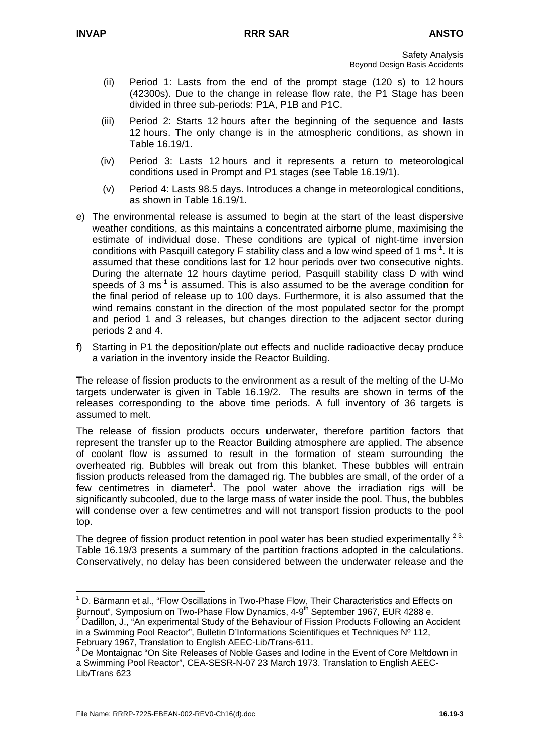- (ii) Period 1: Lasts from the end of the prompt stage (120 s) to 12 hours (42300s). Due to the change in release flow rate, the P1 Stage has been divided in three sub-periods: P1A, P1B and P1C.
- (iii) Period 2: Starts 12 hours after the beginning of the sequence and lasts 12 hours. The only change is in the atmospheric conditions, as shown in Table 16.19/1.
- (iv) Period 3: Lasts 12 hours and it represents a return to meteorological conditions used in Prompt and P1 stages (see Table 16.19/1).
- (v) Period 4: Lasts 98.5 days. Introduces a change in meteorological conditions, as shown in Table 16.19/1.
- e) The environmental release is assumed to begin at the start of the least dispersive weather conditions, as this maintains a concentrated airborne plume, maximising the estimate of individual dose. These conditions are typical of night-time inversion conditions with Pasquill category F stability class and a low wind speed of 1 ms<sup>-1</sup>. It is assumed that these conditions last for 12 hour periods over two consecutive nights. During the alternate 12 hours daytime period, Pasquill stability class D with wind speeds of 3  $\text{ms}$ <sup>1</sup> is assumed. This is also assumed to be the average condition for the final period of release up to 100 days. Furthermore, it is also assumed that the wind remains constant in the direction of the most populated sector for the prompt and period 1 and 3 releases, but changes direction to the adjacent sector during periods 2 and 4.
- f) Starting in P1 the deposition/plate out effects and nuclide radioactive decay produce a variation in the inventory inside the Reactor Building.

The release of fission products to the environment as a result of the melting of the U-Mo targets underwater is given in Table 16.19/2. The results are shown in terms of the releases corresponding to the above time periods. A full inventory of 36 targets is assumed to melt.

The release of fission products occurs underwater, therefore partition factors that represent the transfer up to the Reactor Building atmosphere are applied. The absence of coolant flow is assumed to result in the formation of steam surrounding the overheated rig. Bubbles will break out from this blanket. These bubbles will entrain fission products released from the damaged rig. The bubbles are small, of the order of a few centimetres in diameter<sup>1</sup>[.](#page-76-0) The pool water above the irradiation rigs will be significantly subcooled, due to the large mass of water inside the pool. Thus, the bubbles will condense over a few centimetres and will not transport fission products to the pool top.

The degree of fission product retention in pool water has been studied experimentally  $23$  $23$ . Table 16.19/3 presents a summary of the partition fractions adopted in the calculations. Conservatively, no delay has been considered between the underwater release and the

<span id="page-76-0"></span> $\frac{1}{1}$  D. Bärmann et al., "Flow Oscillations in Two-Phase Flow, Their Characteristics and Effects on Burnout", Symposium on Two-Phase Flow Dynamics, 4-9<sup>th</sup> September 1967, EUR 4288 e.

<span id="page-76-1"></span> $2$  Dadillon, J., "An experimental Study of the Behaviour of Fission Products Following an Accident in a Swimming Pool Reactor", Bulletin D'Informations Scientifiques et Techniques Nº 112, February 1967, Translation to English AEEC-Lib/Trans-611.

<span id="page-76-2"></span><sup>&</sup>lt;sup>3</sup> De Montaignac "On Site Releases of Noble Gases and Iodine in the Event of Core Meltdown in a Swimming Pool Reactor", CEA-SESR-N-07 23 March 1973. Translation to English AEEC-Lib/Trans 623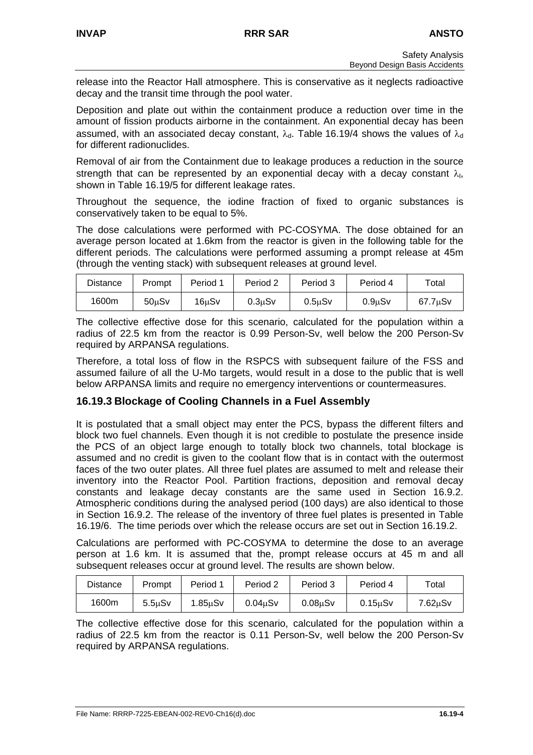release into the Reactor Hall atmosphere. This is conservative as it neglects radioactive decay and the transit time through the pool water.

Deposition and plate out within the containment produce a reduction over time in the amount of fission products airborne in the containment. An exponential decay has been assumed, with an associated decay constant,  $\lambda_d$ . Table 16.19/4 shows the values of  $\lambda_d$ for different radionuclides.

Removal of air from the Containment due to leakage produces a reduction in the source strength that can be represented by an exponential decay with a decay constant  $\lambda_i$ , shown in Table 16.19/5 for different leakage rates.

Throughout the sequence, the iodine fraction of fixed to organic substances is conservatively taken to be equal to 5%.

The dose calculations were performed with PC-COSYMA. The dose obtained for an average person located at 1.6km from the reactor is given in the following table for the different periods. The calculations were performed assuming a prompt release at 45m (through the venting stack) with subsequent releases at ground level.

| Distance | Prompt             | Period 1    | Period 2     | Period 3     | Period 4     | Total         |
|----------|--------------------|-------------|--------------|--------------|--------------|---------------|
| 1600m    | 50 <sub>u</sub> Sv | $16 \mu Sv$ | $0.3 \mu Sv$ | $0.5 \mu Sv$ | $0.9 \mu Sv$ | $67.7 \mu Sv$ |

The collective effective dose for this scenario, calculated for the population within a radius of 22.5 km from the reactor is 0.99 Person-Sv, well below the 200 Person-Sv required by ARPANSA regulations.

Therefore, a total loss of flow in the RSPCS with subsequent failure of the FSS and assumed failure of all the U-Mo targets, would result in a dose to the public that is well below ARPANSA limits and require no emergency interventions or countermeasures.

# **16.19.3 Blockage of Cooling Channels in a Fuel Assembly**

It is postulated that a small object may enter the PCS, bypass the different filters and block two fuel channels. Even though it is not credible to postulate the presence inside the PCS of an object large enough to totally block two channels, total blockage is assumed and no credit is given to the coolant flow that is in contact with the outermost faces of the two outer plates. All three fuel plates are assumed to melt and release their inventory into the Reactor Pool. Partition fractions, deposition and removal decay constants and leakage decay constants are the same used in Section 16.9.2. Atmospheric conditions during the analysed period (100 days) are also identical to those in Section 16.9.2. The release of the inventory of three fuel plates is presented in Table 16.19/6. The time periods over which the release occurs are set out in Section 16.19.2.

Calculations are performed with PC-COSYMA to determine the dose to an average person at 1.6 km. It is assumed that the, prompt release occurs at 45 m and all subsequent releases occur at ground level. The results are shown below.

| <b>Distance</b> | Prompt              | Period               | Period 2 | Period 3 | Period 4             | Total               |
|-----------------|---------------------|----------------------|----------|----------|----------------------|---------------------|
| 1600m           | 5.5 <sub>u</sub> Sv | 1.85 <sub>u</sub> Sv | 0.04uSv  | 0.08uSv  | 0.15 <sub>u</sub> Sv | <sup>7</sup> .62µSv |

The collective effective dose for this scenario, calculated for the population within a radius of 22.5 km from the reactor is 0.11 Person-Sv, well below the 200 Person-Sv required by ARPANSA regulations.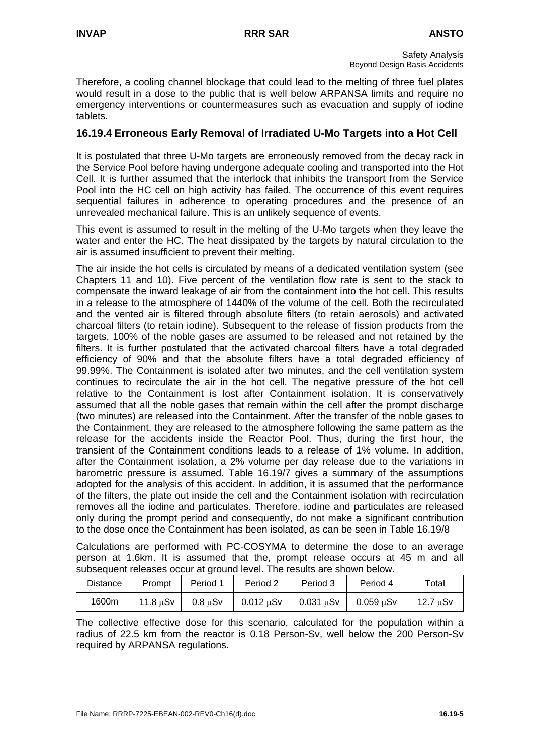Therefore, a cooling channel blockage that could lead to the melting of three fuel plates would result in a dose to the public that is well below ARPANSA limits and require no emergency interventions or countermeasures such as evacuation and supply of iodine tablets.

# **16.19.4 Erroneous Early Removal of Irradiated U-Mo Targets into a Hot Cell**

It is postulated that three U-Mo targets are erroneously removed from the decay rack in the Service Pool before having undergone adequate cooling and transported into the Hot Cell. It is further assumed that the interlock that inhibits the transport from the Service Pool into the HC cell on high activity has failed. The occurrence of this event requires sequential failures in adherence to operating procedures and the presence of an unrevealed mechanical failure. This is an unlikely sequence of events.

This event is assumed to result in the melting of the U-Mo targets when they leave the water and enter the HC. The heat dissipated by the targets by natural circulation to the air is assumed insufficient to prevent their melting.

The air inside the hot cells is circulated by means of a dedicated ventilation system (see Chapters 11 and 10). Five percent of the ventilation flow rate is sent to the stack to compensate the inward leakage of air from the containment into the hot cell. This results in a release to the atmosphere of 1440% of the volume of the cell. Both the recirculated and the vented air is filtered through absolute filters (to retain aerosols) and activated charcoal filters (to retain iodine). Subsequent to the release of fission products from the targets, 100% of the noble gases are assumed to be released and not retained by the filters. It is further postulated that the activated charcoal filters have a total degraded efficiency of 90% and that the absolute filters have a total degraded efficiency of 99.99%. The Containment is isolated after two minutes, and the cell ventilation system continues to recirculate the air in the hot cell. The negative pressure of the hot cell relative to the Containment is lost after Containment isolation. It is conservatively assumed that all the noble gases that remain within the cell after the prompt discharge (two minutes) are released into the Containment. After the transfer of the noble gases to the Containment, they are released to the atmosphere following the same pattern as the release for the accidents inside the Reactor Pool. Thus, during the first hour, the transient of the Containment conditions leads to a release of 1% volume. In addition, after the Containment isolation, a 2% volume per day release due to the variations in barometric pressure is assumed. Table 16.19/7 gives a summary of the assumptions adopted for the analysis of this accident. In addition, it is assumed that the performance of the filters, the plate out inside the cell and the Containment isolation with recirculation removes all the iodine and particulates. Therefore, iodine and particulates are released only during the prompt period and consequently, do not make a significant contribution to the dose once the Containment has been isolated, as can be seen in Table 16.19/8

Calculations are performed with PC-COSYMA to determine the dose to an average person at 1.6km. It is assumed that the, prompt release occurs at 45 m and all subsequent releases occur at ground level. The results are shown below.

| <b>Distance</b> | Prompt                      | Period 1     | Period 2         | Period 3       | Period 4    | Total         |
|-----------------|-----------------------------|--------------|------------------|----------------|-------------|---------------|
| 1600m           | $11.8 \text{ }\mu\text{S}v$ | $0.8 \mu Sv$ | $0.012$ $\mu$ Sv | $0.031 \mu Sv$ | $0.059$ uSv | $12.7 \mu Sv$ |

The collective effective dose for this scenario, calculated for the population within a radius of 22.5 km from the reactor is 0.18 Person-Sv, well below the 200 Person-Sv required by ARPANSA regulations.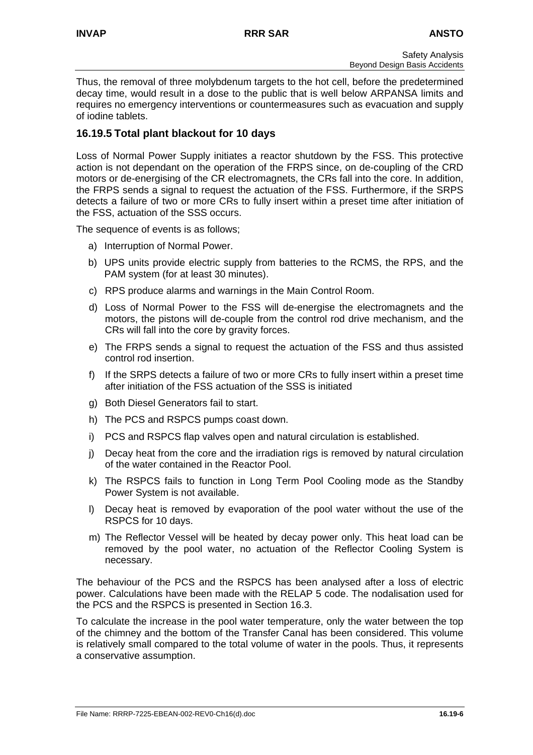Thus, the removal of three molybdenum targets to the hot cell, before the predetermined decay time, would result in a dose to the public that is well below ARPANSA limits and requires no emergency interventions or countermeasures such as evacuation and supply of iodine tablets.

# **16.19.5 Total plant blackout for 10 days**

Loss of Normal Power Supply initiates a reactor shutdown by the FSS. This protective action is not dependant on the operation of the FRPS since, on de-coupling of the CRD motors or de-energising of the CR electromagnets, the CRs fall into the core. In addition, the FRPS sends a signal to request the actuation of the FSS. Furthermore, if the SRPS detects a failure of two or more CRs to fully insert within a preset time after initiation of the FSS, actuation of the SSS occurs.

The sequence of events is as follows;

- a) Interruption of Normal Power.
- b) UPS units provide electric supply from batteries to the RCMS, the RPS, and the PAM system (for at least 30 minutes).
- c) RPS produce alarms and warnings in the Main Control Room.
- d) Loss of Normal Power to the FSS will de-energise the electromagnets and the motors, the pistons will de-couple from the control rod drive mechanism, and the CRs will fall into the core by gravity forces.
- e) The FRPS sends a signal to request the actuation of the FSS and thus assisted control rod insertion.
- f) If the SRPS detects a failure of two or more CRs to fully insert within a preset time after initiation of the FSS actuation of the SSS is initiated
- g) Both Diesel Generators fail to start.
- h) The PCS and RSPCS pumps coast down.
- i) PCS and RSPCS flap valves open and natural circulation is established.
- j) Decay heat from the core and the irradiation rigs is removed by natural circulation of the water contained in the Reactor Pool.
- k) The RSPCS fails to function in Long Term Pool Cooling mode as the Standby Power System is not available.
- l) Decay heat is removed by evaporation of the pool water without the use of the RSPCS for 10 days.
- m) The Reflector Vessel will be heated by decay power only. This heat load can be removed by the pool water, no actuation of the Reflector Cooling System is necessary.

The behaviour of the PCS and the RSPCS has been analysed after a loss of electric power. Calculations have been made with the RELAP 5 code. The nodalisation used for the PCS and the RSPCS is presented in Section 16.3.

To calculate the increase in the pool water temperature, only the water between the top of the chimney and the bottom of the Transfer Canal has been considered. This volume is relatively small compared to the total volume of water in the pools. Thus, it represents a conservative assumption.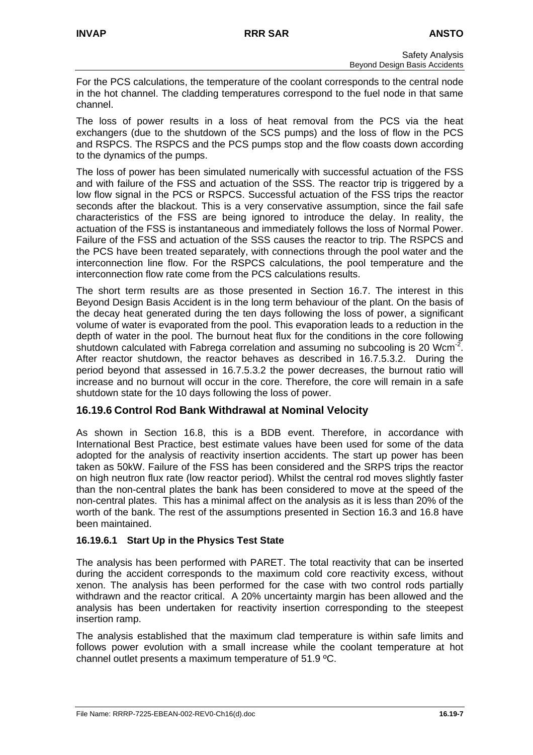For the PCS calculations, the temperature of the coolant corresponds to the central node in the hot channel. The cladding temperatures correspond to the fuel node in that same channel.

The loss of power results in a loss of heat removal from the PCS via the heat exchangers (due to the shutdown of the SCS pumps) and the loss of flow in the PCS and RSPCS. The RSPCS and the PCS pumps stop and the flow coasts down according to the dynamics of the pumps.

The loss of power has been simulated numerically with successful actuation of the FSS and with failure of the FSS and actuation of the SSS. The reactor trip is triggered by a low flow signal in the PCS or RSPCS. Successful actuation of the FSS trips the reactor seconds after the blackout. This is a very conservative assumption, since the fail safe characteristics of the FSS are being ignored to introduce the delay. In reality, the actuation of the FSS is instantaneous and immediately follows the loss of Normal Power. Failure of the FSS and actuation of the SSS causes the reactor to trip. The RSPCS and the PCS have been treated separately, with connections through the pool water and the interconnection line flow. For the RSPCS calculations, the pool temperature and the interconnection flow rate come from the PCS calculations results.

The short term results are as those presented in Section 16.7. The interest in this Beyond Design Basis Accident is in the long term behaviour of the plant. On the basis of the decay heat generated during the ten days following the loss of power, a significant volume of water is evaporated from the pool. This evaporation leads to a reduction in the depth of water in the pool. The burnout heat flux for the conditions in the core following shutdown calculated with Fabrega correlation and assuming no subcooling is 20 Wcm<sup>-2</sup>. After reactor shutdown, the reactor behaves as described in 16.7.5.3.2. During the period beyond that assessed in 16.7.5.3.2 the power decreases, the burnout ratio will increase and no burnout will occur in the core. Therefore, the core will remain in a safe shutdown state for the 10 days following the loss of power.

## **16.19.6 Control Rod Bank Withdrawal at Nominal Velocity**

As shown in Section 16.8, this is a BDB event. Therefore, in accordance with International Best Practice, best estimate values have been used for some of the data adopted for the analysis of reactivity insertion accidents. The start up power has been taken as 50kW. Failure of the FSS has been considered and the SRPS trips the reactor on high neutron flux rate (low reactor period). Whilst the central rod moves slightly faster than the non-central plates the bank has been considered to move at the speed of the non-central plates. This has a minimal affect on the analysis as it is less than 20% of the worth of the bank. The rest of the assumptions presented in Section 16.3 and 16.8 have been maintained.

## **16.19.6.1 Start Up in the Physics Test State**

The analysis has been performed with PARET. The total reactivity that can be inserted during the accident corresponds to the maximum cold core reactivity excess, without xenon. The analysis has been performed for the case with two control rods partially withdrawn and the reactor critical. A 20% uncertainty margin has been allowed and the analysis has been undertaken for reactivity insertion corresponding to the steepest insertion ramp.

The analysis established that the maximum clad temperature is within safe limits and follows power evolution with a small increase while the coolant temperature at hot channel outlet presents a maximum temperature of 51.9 ºC.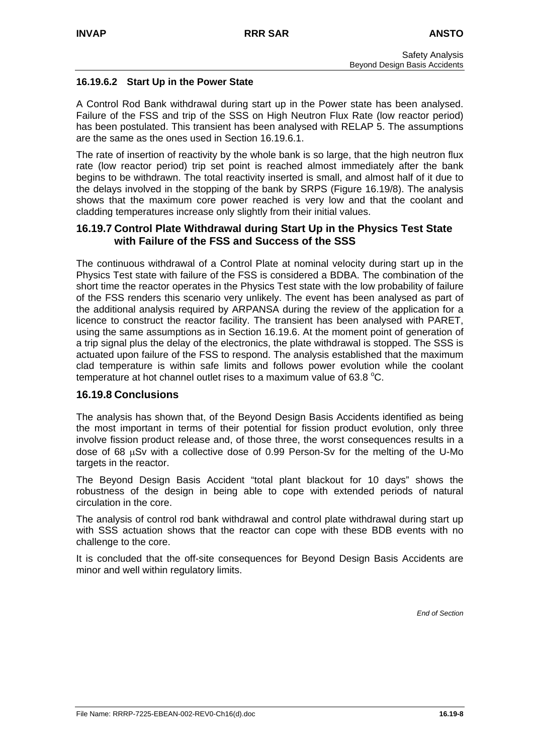### **16.19.6.2 Start Up in the Power State**

A Control Rod Bank withdrawal during start up in the Power state has been analysed. Failure of the FSS and trip of the SSS on High Neutron Flux Rate (low reactor period) has been postulated. This transient has been analysed with RELAP 5. The assumptions are the same as the ones used in Section 16.19.6.1.

The rate of insertion of reactivity by the whole bank is so large, that the high neutron flux rate (low reactor period) trip set point is reached almost immediately after the bank begins to be withdrawn. The total reactivity inserted is small, and almost half of it due to the delays involved in the stopping of the bank by SRPS (Figure 16.19/8). The analysis shows that the maximum core power reached is very low and that the coolant and cladding temperatures increase only slightly from their initial values.

## **16.19.7 Control Plate Withdrawal during Start Up in the Physics Test State with Failure of the FSS and Success of the SSS**

The continuous withdrawal of a Control Plate at nominal velocity during start up in the Physics Test state with failure of the FSS is considered a BDBA. The combination of the short time the reactor operates in the Physics Test state with the low probability of failure of the FSS renders this scenario very unlikely. The event has been analysed as part of the additional analysis required by ARPANSA during the review of the application for a licence to construct the reactor facility. The transient has been analysed with PARET, using the same assumptions as in Section 16.19.6. At the moment point of generation of a trip signal plus the delay of the electronics, the plate withdrawal is stopped. The SSS is actuated upon failure of the FSS to respond. The analysis established that the maximum clad temperature is within safe limits and follows power evolution while the coolant temperature at hot channel outlet rises to a maximum value of 63.8  $^{\circ}$ C.

## **16.19.8 Conclusions**

The analysis has shown that, of the Beyond Design Basis Accidents identified as being the most important in terms of their potential for fission product evolution, only three involve fission product release and, of those three, the worst consequences results in a dose of 68 µSv with a collective dose of 0.99 Person-Sv for the melting of the U-Mo targets in the reactor.

The Beyond Design Basis Accident "total plant blackout for 10 days" shows the robustness of the design in being able to cope with extended periods of natural circulation in the core.

The analysis of control rod bank withdrawal and control plate withdrawal during start up with SSS actuation shows that the reactor can cope with these BDB events with no challenge to the core.

It is concluded that the off-site consequences for Beyond Design Basis Accidents are minor and well within regulatory limits.

*End of Section*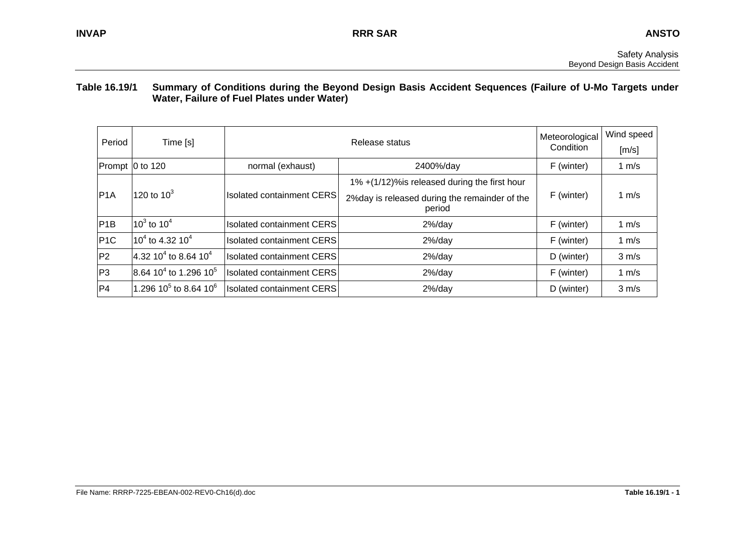#### **Table 16.19/1 Summary of Conditions during the Beyond Design Basis Accident Sequences (Failure of U-Mo Targets under Water, Failure of Fuel Plates under Water)**

| Period                       | Time [s]                                      |                                  | Meteorological                                          | Wind speed |                   |
|------------------------------|-----------------------------------------------|----------------------------------|---------------------------------------------------------|------------|-------------------|
|                              |                                               |                                  | Release status                                          | Condition  | [m/s]             |
|                              | Prompt 0 to 120                               | normal (exhaust)                 | 2400%/day                                               | F (winter) | 1 $m/s$           |
|                              |                                               |                                  | 1% +(1/12)% is released during the first hour           |            |                   |
| 120 to 10 <sup>3</sup><br>PA |                                               | <b>Isolated containment CERS</b> | 2%day is released during the remainder of the<br>period | F (winter) | 1 $m/s$           |
| P1B                          | $10^3$ to $10^4$                              | <b>Isolated containment CERS</b> | $2\%$ /day                                              | F (winter) | 1 m/s             |
| P1C                          | $10^4$ to 4.32 10 <sup>4</sup>                | <b>Isolated containment CERS</b> | $2\%$ /day                                              | F (winter) | 1 m/s             |
| P <sub>2</sub>               | 4.32 10 <sup>4</sup> to 8.64 10 <sup>4</sup>  | <b>Isolated containment CERS</b> | $2\%$ /day                                              | D (winter) | $3 \, \text{m/s}$ |
| P3                           | 8.64 10 <sup>4</sup> to 1.296 10 <sup>5</sup> | <b>Isolated containment CERS</b> | $2\%$ /day                                              | F (winter) | 1 m/s             |
| P4                           | 1.296 10 <sup>5</sup> to 8.64 10 <sup>6</sup> | <b>Isolated containment CERS</b> | $2\%$ /day                                              | D (winter) | $3 \text{ m/s}$   |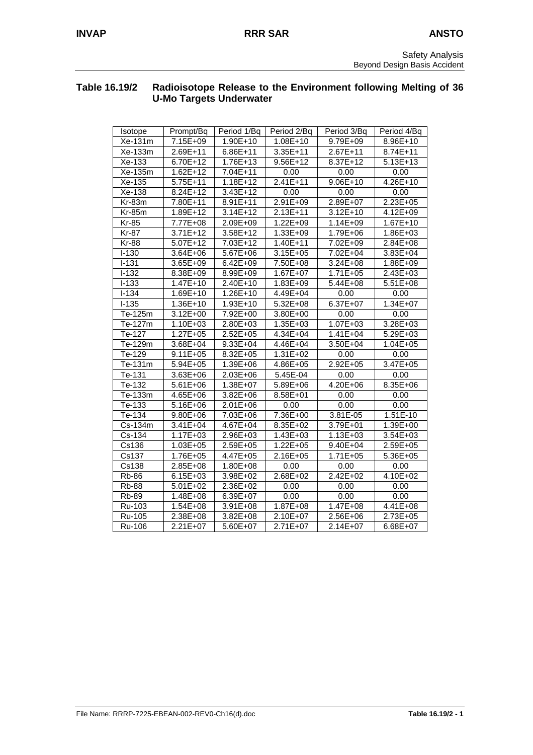#### **Table 16.19/2 Radioisotope Release to the Environment following Melting of 36 U-Mo Targets Underwater**

| Isotope      | Prompt/Bq    | Period 1/Bq  | Period 2/Bq  | Period 3/Bq  | Period 4/Bq  |
|--------------|--------------|--------------|--------------|--------------|--------------|
| Xe-131m      | 7.15E+09     | 1.90E+10     | 1.08E+10     | 9.79E+09     | 8.96E+10     |
| Xe-133m      | 2.69E+11     | 6.86E+11     | $3.35E + 11$ | 2.67E+11     | 8.74E+11     |
| Xe-133       | 6.70E+12     | 1.76E+13     | $9.56E+12$   | 8.37E+12     | $5.13E+13$   |
| Xe-135m      | $1.62E + 12$ | 7.04E+11     | 0.00         | 0.00         | 0.00         |
| Xe-135       | 5.75E+11     | $1.18E + 12$ | $2.41E+11$   | $9.06E + 10$ | $4.26E+10$   |
| Xe-138       | 8.24E+12     | 3.43E+12     | 0.00         | 0.00         | 0.00         |
| Kr-83m       | 7.80E+11     | 8.91E+11     | 2.91E+09     | 2.89E+07     | 2.23E+05     |
| $Kr-85m$     | 1.89E+12     | $3.14E + 12$ | 2.13E+11     | 3.12E+10     | 4.12E+09     |
| <b>Kr-85</b> | 7.77E+08     | 2.09E+09     | 1.22E+09     | 1.14E+09     | 1.67E+10     |
| Kr-87        | $3.71E + 12$ | 3.58E+12     | 1.33E+09     | 1.79E+06     | 1.86E+03     |
| <b>Kr-88</b> | 5.07E+12     | 7.03E+12     | 1.40E+11     | 7.02E+09     | 2.84E+08     |
| $I-130$      | $3.64E + 06$ | 5.67E+06     | 3.15E+05     | 7.02E+04     | 3.83E+04     |
| $I - 131$    | 3.65E+09     | $6.42E + 09$ | 7.50E+08     | $3.24E + 08$ | 1.88E+09     |
| $I-132$      | 8.38E+09     | 8.99E+09     | 1.67E+07     | $1.71E + 05$ | 2.43E+03     |
| $I-133$      | $1.47E + 10$ | 2.40E+10     | 1.83E+09     | $5.44E + 08$ | $5.51E+08$   |
| $I - 134$    | 1.69E+10     | 1.26E+10     | 4.49E+04     | 0.00         | 0.00         |
| $I - 135$    | 1.36E+10     | $1.93E+10$   | 5.32E+08     | 6.37E+07     | $1.34E + 07$ |
| Te-125m      | 3.12E+00     | 7.92E+00     | 3.80E+00     | 0.00         | 0.00         |
| Te-127m      | $1.10E + 03$ | 2.80E+03     | 1.35E+03     | 1.07E+03     | 3.28E+03     |
| Te-127       | $1.27E + 05$ | $2.52E + 05$ | $4.34E + 04$ | $1.41E + 04$ | 5.29E+03     |
| Te-129m      | 3.68E+04     | 9.33E+04     | 4.46E+04     | 3.50E+04     | $1.04E + 05$ |
| Te-129       | $9.11E + 05$ | 8.32E+05     | $1.31E + 02$ | 0.00         | 0.00         |
| Te-131m      | 5.94E+05     | 1.39E+06     | 4.86E+05     | 2.92E+05     | 3.47E+05     |
| Te-131       | $3.63E + 06$ | 2.03E+06     | 5.45E-04     | 0.00         | 0.00         |
| Te-132       | 5.61E+06     | 1.38E+07     | 5.89E+06     | 4.20E+06     | 8.35E+06     |
| Te-133m      | $4.65E + 06$ | $3.82E + 06$ | 8.58E+01     | 0.00         | 0.00         |
| Te-133       | 5.16E+06     | 2.01E+06     | 0.00         | 0.00         | 0.00         |
| Te-134       | 9.80E+06     | 7.03E+06     | 7.36E+00     | 3.81E-05     | 1.51E-10     |
| Cs-134m      | $3.41E + 04$ | 4.67E+04     | 8.35E+02     | 3.79E+01     | 1.39E+00     |
| Cs-134       | 1.17E+03     | 2.96E+03     | 1.43E+03     | 1.13E+03     | 3.54E+03     |
| Cs136        | $1.03E + 05$ | 2.59E+05     | $1.22E + 05$ | 9.40E+04     | 2.59E+05     |
| Cs137        | 1.76E+05     | 4.47E+05     | 2.16E+05     | $1.71E + 05$ | 5.36E+05     |
| Cs138        | 2.85E+08     | 1.80E+08     | 0.00         | 0.00         | 0.00         |
| <b>Rb-86</b> | $6.15E + 03$ | 3.98E+02     | $2.68E + 02$ | $2.42E + 02$ | 4.10E+02     |
| <b>Rb-88</b> | $5.01E + 02$ | 2.36E+02     | 0.00         | 0.00         | 0.00         |
| <b>Rb-89</b> | 1.48E+08     | 6.39E+07     | 0.00         | 0.00         | 0.00         |
| Ru-103       | 1.54E+08     | 3.91E+08     | 1.87E+08     | 1.47E+08     | 4.41E+08     |
| Ru-105       | 2.38E+08     | 3.82E+08     | 2.10E+07     | 2.56E+06     | 2.73E+05     |
| Ru-106       | $2.21E+07$   | 5.60E+07     | 2.71E+07     | $2.14E + 07$ | 6.68E+07     |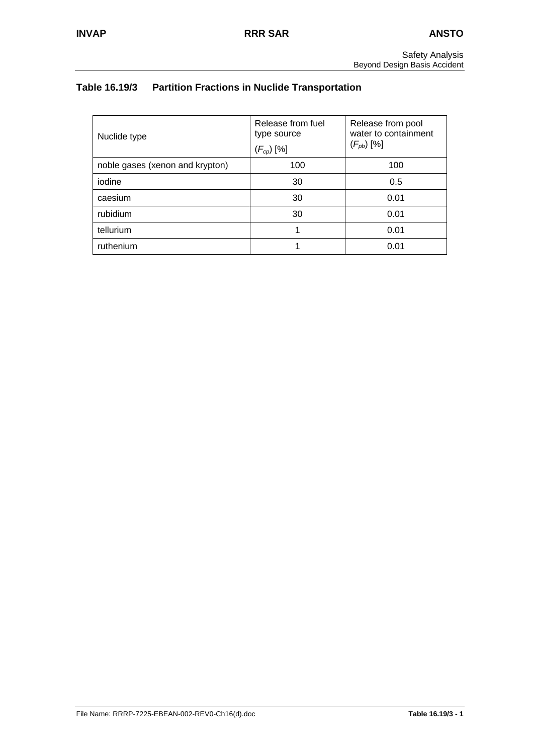# **Table 16.19/3 Partition Fractions in Nuclide Transportation**

| Nuclide type                    | Release from fuel<br>type source<br>$(F_{cp})$ [%] | Release from pool<br>water to containment<br>$(F_{pb})$ [%] |
|---------------------------------|----------------------------------------------------|-------------------------------------------------------------|
| noble gases (xenon and krypton) | 100                                                | 100                                                         |
| iodine                          | 30                                                 | 0.5                                                         |
| caesium                         | 30                                                 | 0.01                                                        |
| rubidium                        | 30                                                 | 0.01                                                        |
| tellurium                       |                                                    | 0.01                                                        |
| ruthenium                       |                                                    | 0.01                                                        |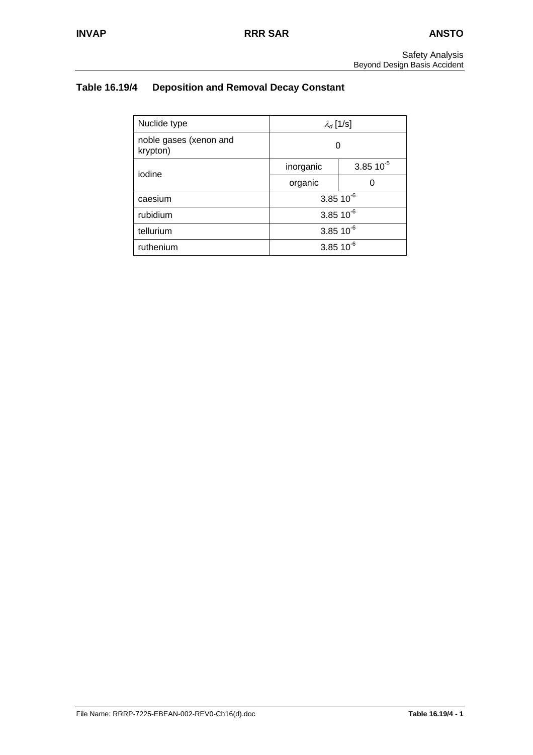# **Table 16.19/4 Deposition and Removal Decay Constant**

| Nuclide type                       | $\lambda_d$ [1/s] |                |
|------------------------------------|-------------------|----------------|
| noble gases (xenon and<br>krypton) | O                 |                |
| iodine                             | inorganic         | $3.85 10^{-5}$ |
|                                    | organic           | O              |
| caesium                            | $3.85 10^{-6}$    |                |
| rubidium                           | $3.85 10^{-6}$    |                |
| tellurium                          | $3.85 10^{-6}$    |                |
| ruthenium                          |                   | $3.85 10^{-6}$ |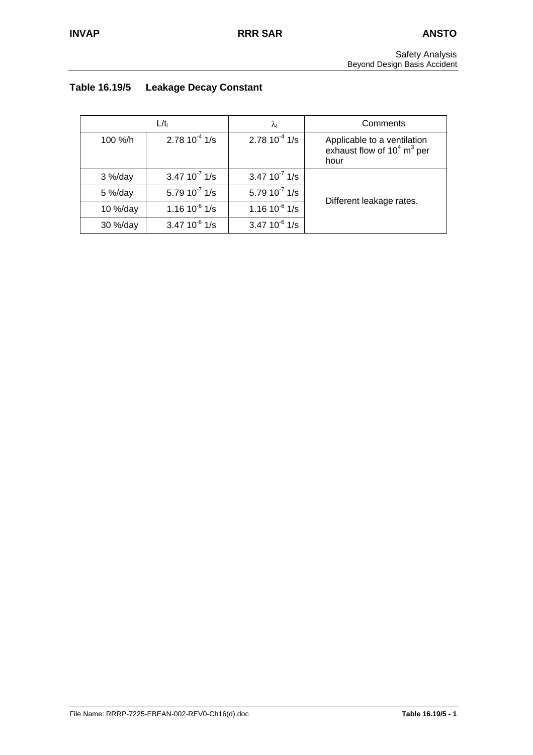# **Table 16.19/5 Leakage Decay Constant**

|            | L/tı               | λι                 | Comments                                                                         |
|------------|--------------------|--------------------|----------------------------------------------------------------------------------|
| 100 %/h    | $2.7810^{-4}$ 1/s  | $2.7810^{-4}$ 1/s  | Applicable to a ventilation<br>exhaust flow of $10^4$ m <sup>3</sup> per<br>hour |
| $3\%$ /day | $3.47 10^{-7}$ 1/s | $3.47 10^{-7}$ 1/s |                                                                                  |
| $5\%$ /day | 5.79 $10^{-7}$ 1/s | 5.79 $10^{7}$ 1/s  |                                                                                  |
| 10 %/day   | $1.16 10^{-6}$ 1/s | $1.1610^{6}$ 1/s   | Different leakage rates.                                                         |
| 30 %/day   | $3.47 10^{-6}$ 1/s | $3.47 10^{-6}$ 1/s |                                                                                  |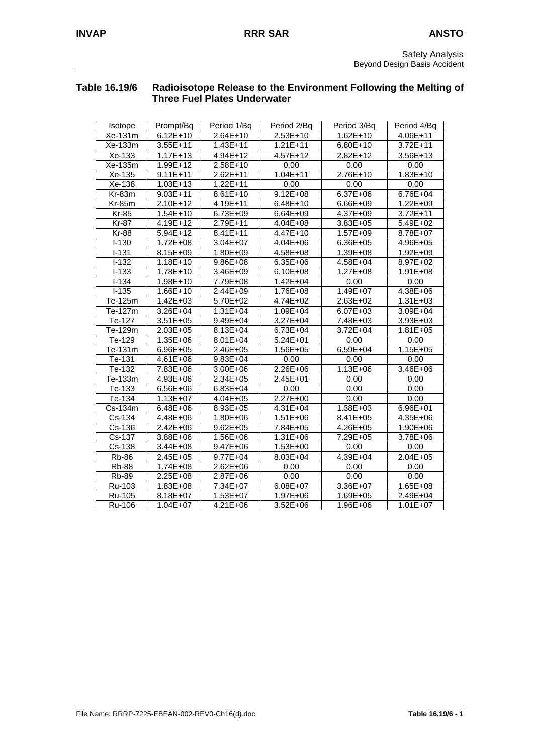## **Table 16.19/6 Radioisotope Release to the Environment Following the Melting of Three Fuel Plates Underwater**

| Isotope       | Prompt/Bq    | Period 1/Bq  | Period 2/Bq  | Period 3/Bq  | Period 4/Bq  |
|---------------|--------------|--------------|--------------|--------------|--------------|
| Xe-131m       | $6.12E+10$   | $2.64E+10$   | 2.53E+10     | $1.62E+10$   | 4.06E+11     |
| Xe-133m       | $3.55E + 11$ | $1.43E + 11$ | $1.21E + 11$ | $6.80E+10$   | $3.72E + 11$ |
| Xe-133        | $1.17E + 13$ | $4.94E+12$   | 4.57E+12     | $2.82E+12$   | 3.56E+13     |
| Xe-135m       | 1.99E+12     | 2.58E+10     | 0.00         | 0.00         | 0.00         |
| Xe-135        | $9.11E + 11$ | $2.62E+11$   | $1.04E + 11$ | 2.76E+10     | $1.83E+10$   |
| Xe-138        | $1.03E + 13$ | $1.22E + 11$ | 0.00         | 0.00         | 0.00         |
| Kr-83m        | $9.03E + 11$ | $8.61E+10$   | $9.12E + 08$ | 6.37E+06     | 6.76E+04     |
| <b>Kr-85m</b> | 2.10E+12     | 4.19E+11     | 6.48E+10     | 6.66E+09     | 1.22E+09     |
| <b>Kr-85</b>  | $1.54E+10$   | 6.73E+09     | 6.64E+09     | 4.37E+09     | $3.72E + 11$ |
| <b>Kr-87</b>  | 4.19E+12     | 2.79E+11     | $4.04E + 08$ | 3.83E+05     | 5.49E+02     |
| <b>Kr-88</b>  | $5.94E+12$   | 8.41E+11     | 4.47E+10     | 1.57E+09     | 8.78E+07     |
| $I-130$       | 1.72E+08     | $3.04E + 07$ | $4.04E + 06$ | $6.36E + 05$ | 4.96E+05     |
| $I-131$       | 8.15E+09     | 1.80E+09     | 4.58E+08     | 1.39E+08     | $1.92E + 09$ |
| $I-132$       | $1.18E + 10$ | $9.86E + 08$ | $6.35E + 06$ | 4.58E+04     | 8.97E+02     |
| $I-133$       | 1.78E+10     | 3.46E+09     | 6.10E+08     | 1.27E+08     | 1.91E+08     |
| $I-134$       | 1.98E+10     | 7.79E+08     | $1.42E + 04$ | 0.00         | 0.00         |
| $I-135$       | 1.66E+10     | 2.44E+09     | 1.76E+08     | 1.49E+07     | 4.38E+06     |
| Te-125m       | $1.42E + 03$ | 5.70E+02     | 4.74E+02     | 2.63E+02     | 1.31E+03     |
| Te-127m       | 3.26E+04     | $1.31E + 04$ | 1.09E+04     | 6.07E+03     | 3.09E+04     |
| Te-127        | $3.51E + 05$ | 9.49E+04     | $3.27E + 04$ | 7.48E+03     | 3.93E+03     |
| Te-129m       | 2.03E+05     | 8.13E+04     | 6.73E+04     | $3.72E + 04$ | $1.81E + 05$ |
| Te-129        | 1.35E+06     | $8.01E + 04$ | $5.24E + 01$ | 0.00         | 0.00         |
| Te-131m       | 6.96E+05     | 2.46E+05     | 1.56E+05     | 6.59E+04     | $1.15E + 05$ |
| Te-131        | 4.61E+06     | $9.83E + 04$ | 0.00         | 0.00         | 0.00         |
| Te-132        | 7.83E+06     | 3.00E+06     | $2.26E + 06$ | $1.13E + 06$ | 3.46E+06     |
| Te-133m       | $4.93E + 06$ | 2.34E+05     | 2.45E+01     | 0.00         | 0.00         |
| Te-133        | 6.56E+06     | $6.83E + 04$ | 0.00         | 0.00         | 0.00         |
| Te-134        | $1.13E + 07$ | 4.04E+05     | 2.27E+00     | 0.00         | 0.00         |
| Cs-134m       | 6.48E+06     | 8.93E+05     | 4.31E+04     | 1.38E+03     | 6.96E+01     |
| Cs-134        | 4.48E+06     | 1.80E+06     | $1.51E + 06$ | 8.41E+05     | 4.35E+06     |
| Cs-136        | 2.42E+06     | $9.62E + 05$ | 7.84E+05     | $4.26E + 05$ | 1.90E+06     |
| Cs-137        | 3.88E+06     | 1.56E+06     | 1.31E+06     | 7.29E+05     | 3.78E+06     |
| Cs-138        | $3.44E + 08$ | 9.47E+06     | $1.53E + 00$ | 0.00         | 0.00         |
| <b>Rb-86</b>  | $2.45E + 05$ | $9.77E + 04$ | 8.03E+04     | 4.39E+04     | $2.04E + 05$ |
| <b>Rb-88</b>  | $1.74E + 08$ | $2.62E + 06$ | 0.00         | 0.00         | 0.00         |
| <b>Rb-89</b>  | 2.25E+08     | 2.87E+06     | 0.00         | 0.00         | 0.00         |
| Ru-103        | $1.83E + 08$ | 7.34E+07     | 6.08E+07     | 3.36E+07     | 1.65E+08     |
| Ru-105        | 8.18E+07     | $1.53E + 07$ | 1.97E+06     | 1.69E+05     | 2.49E+04     |
| Ru-106        | $1.04E + 07$ | $4.21E + 06$ | 3.52E+06     | 1.96E+06     | $1.01E + 07$ |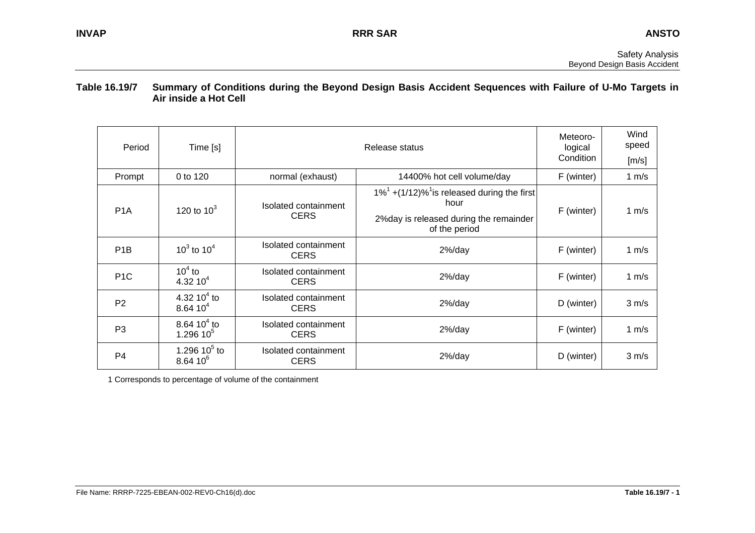#### **Table 16.19/7 Summary of Conditions during the Beyond Design Basis Accident Sequences with Failure of U-Mo Targets in Air inside a Hot Cell**

| Period           | Time [s]                          |                                     | Meteoro-<br>logical<br>Condition                                                                                               | Wind<br>speed<br>[m/s] |                   |
|------------------|-----------------------------------|-------------------------------------|--------------------------------------------------------------------------------------------------------------------------------|------------------------|-------------------|
| Prompt           | 0 to 120                          | normal (exhaust)                    | 14400% hot cell volume/day                                                                                                     | F (winter)             | 1 $m/s$           |
| P <sub>1</sub> A | 120 to $10^3$                     | Isolated containment<br><b>CERS</b> | $1\%^1$ +(1/12)% <sup>1</sup> is released during the first<br>hour<br>2% day is released during the remainder<br>of the period | F (winter)             | 1 $m/s$           |
| P <sub>1</sub> B | $10^3$ to $10^4$                  | Isolated containment<br><b>CERS</b> | $2\%$ /day                                                                                                                     | F (winter)             | 1 $m/s$           |
| P <sub>1</sub> C | $104$ to<br>4.32 $10^4$           | Isolated containment<br><b>CERS</b> | $2\%$ /day                                                                                                                     | F (winter)             | 1 $m/s$           |
| P <sub>2</sub>   | 4.32 10 $^{4}$ to<br>$8.6410^{4}$ | Isolated containment<br><b>CERS</b> | $2\%$ /day                                                                                                                     | D (winter)             | $3 \, \text{m/s}$ |
| P <sub>3</sub>   | 8.64 $10^4$ to<br>1.296 $10^5$    | Isolated containment<br><b>CERS</b> | $2\%$ /day                                                                                                                     | F (winter)             | 1 $m/s$           |
| P4               | 1.296 10 $5$ to<br>$8.6410^{6}$   | Isolated containment<br><b>CERS</b> | $2\%$ /day                                                                                                                     | D (winter)             | $3 \, \text{m/s}$ |

1 Corresponds to percentage of volume of the containment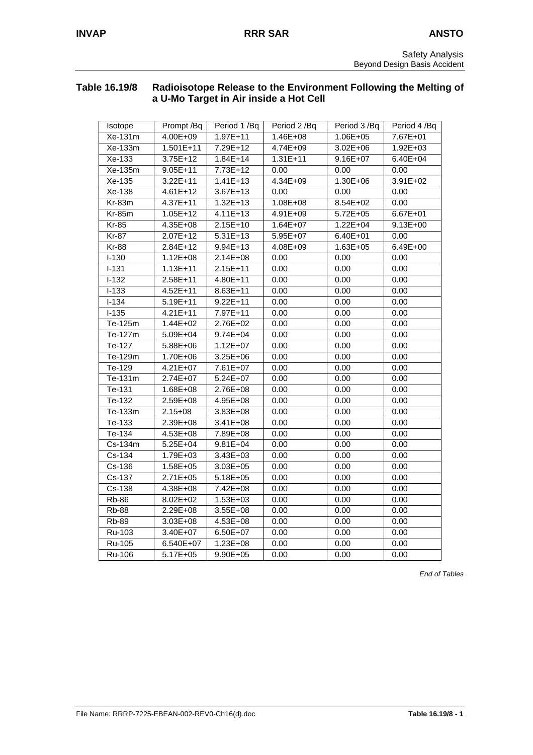## **Table 16.19/8 Radioisotope Release to the Environment Following the Melting of a U-Mo Target in Air inside a Hot Cell**

| Isotope              | Prompt /Bq   | Period 1/Bq  | Period 2 /Bq | Period 3 /Bq | Period 4 /Bq |
|----------------------|--------------|--------------|--------------|--------------|--------------|
| Xe-131m              | $4.00E + 09$ | $1.97E + 11$ | $1.46E + 08$ | 1.06E+05     | 7.67E+01     |
| Xe-133m              | $1.501E+11$  | 7.29E+12     | $4.74E + 09$ | $3.02E + 06$ | $1.92E + 03$ |
| Xe-133               | $3.75E+12$   | $1.84E+14$   | $1.31E+11$   | $9.16E + 07$ | $6.40E + 04$ |
| Xe-135m              | $9.05E + 11$ | 7.73E+12     | 0.00         | 0.00         | 0.00         |
| Xe-135               | $3.22E+11$   | $1.41E+13$   | $4.34E + 09$ | 1.30E+06     | $3.91E + 02$ |
| Xe-138               | 4.61E+12     | 3.67E+13     | 0.00         | 0.00         | 0.00         |
| Kr-83m               | 4.37E+11     | $1.32E+13$   | 1.08E+08     | 8.54E+02     | 0.00         |
| Kr-85m               | $1.05E + 12$ | $4.11E + 13$ | 4.91E+09     | 5.72E+05     | 6.67E+01     |
| $Kr-85$              | 4.35E+08     | $2.15E+10$   | $1.64E + 07$ | $1.22E + 04$ | $9.13E + 00$ |
| Kr-87                | 2.07E+12     | 5.31E+13     | 5.95E+07     | 6.40E+01     | 0.00         |
| <b>Kr-88</b>         | 2.84E+12     | $9.94E + 13$ | 4.08E+09     | 1.63E+05     | 6.49E+00     |
| $1 - 130$            | $1.12E + 08$ | $2.14E + 08$ | 0.00         | 0.00         | 0.00         |
| $1 - 131$            | $1.13E + 11$ | $2.15E+11$   | 0.00         | 0.00         | 0.00         |
| $1 - 132$            | 2.58E+11     | 4.80E+11     | 0.00         | 0.00         | 0.00         |
| $1 - 133$            | $4.52E+11$   | 8.63E+11     | 0.00         | 0.00         | 0.00         |
| $I-134$              | $5.19E + 11$ | $9.22E + 11$ | 0.00         | 0.00         | 0.00         |
| $I-135$              | $4.21E + 11$ | 7.97E+11     | 0.00         | 0.00         | 0.00         |
| Te-125m              | $1.44E + 02$ | 2.76E+02     | 0.00         | 0.00         | 0.00         |
| Te-127m              | $5.09E + 04$ | $9.74E + 04$ | 0.00         | 0.00         | 0.00         |
| Te-127               | 5.88E+06     | $1.12E + 07$ | 0.00         | 0.00         | 0.00         |
| Te-129m              | $1.70E + 06$ | 3.25E+06     | 0.00         | 0.00         | 0.00         |
| $\overline{Te}$ -129 | 4.21E+07     | 7.61E+07     | 0.00         | 0.00         | 0.00         |
| Te-131m              | 2.74E+07     | 5.24E+07     | 0.00         | 0.00         | 0.00         |
| Te-131               | 1.68E+08     | 2.76E+08     | 0.00         | 0.00         | 0.00         |
| Te-132               | 2.59E+08     | $4.95E + 08$ | 0.00         | 0.00         | 0.00         |
| Te-133m              | $2.15 + 08$  | $3.83E + 08$ | 0.00         | 0.00         | 0.00         |
| Te-133               | 2.39E+08     | $3.41E + 08$ | 0.00         | 0.00         | 0.00         |
| Te-134               | 4.53E+08     | 7.89E+08     | 0.00         | 0.00         | 0.00         |
| Cs-134m              | $5.25E + 04$ | $9.81E + 04$ | 0.00         | 0.00         | 0.00         |
| $Cs-134$             | 1.79E+03     | 3.43E+03     | 0.00         | 0.00         | 0.00         |
| Cs-136               | 1.58E+05     | $3.03E + 05$ | 0.00         | 0.00         | 0.00         |
| Cs-137               | $2.71E + 05$ | $5.18E + 05$ | 0.00         | 0.00         | 0.00         |
| $Cs-138$             | 4.38E+08     | 7.42E+08     | 0.00         | 0.00         | 0.00         |
| <b>Rb-86</b>         | 8.02E+02     | 1.53E+03     | 0.00         | 0.00         | 0.00         |
| <b>Rb-88</b>         | $2.29E + 08$ | 3.55E+08     | 0.00         | 0.00         | 0.00         |
| <b>Rb-89</b>         | 3.03E+08     | 4.53E+08     | 0.00         | 0.00         | 0.00         |
| Ru-103               | 3.40E+07     | 6.50E+07     | 0.00         | 0.00         | 0.00         |
| Ru-105               | 6.540E+07    | 1.23E+08     | 0.00         | 0.00         | 0.00         |
| Ru-106               | $5.17E + 05$ | 9.90E+05     | 0.00         | 0.00         | 0.00         |

*End of Tables*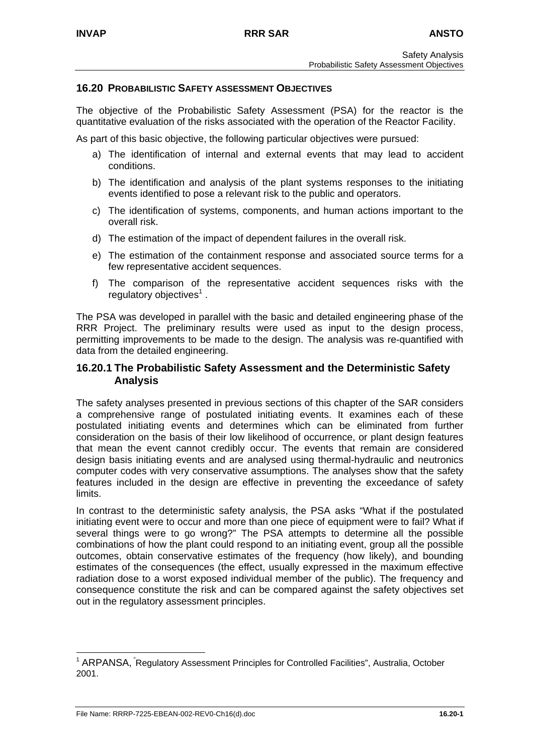#### **16.20 PROBABILISTIC SAFETY ASSESSMENT OBJECTIVES**

The objective of the Probabilistic Safety Assessment (PSA) for the reactor is the quantitative evaluation of the risks associated with the operation of the Reactor Facility.

As part of this basic objective, the following particular objectives were pursued:

- a) The identification of internal and external events that may lead to accident conditions.
- b) The identification and analysis of the plant systems responses to the initiating events identified to pose a relevant risk to the public and operators.
- c) The identification of systems, components, and human actions important to the overall risk.
- d) The estimation of the impact of dependent failures in the overall risk.
- e) The estimation of the containment response and associated source terms for a few representative accident sequences.
- f) The comparison of the representative accident sequences risks with the regulatory objectives<sup>[1](#page-90-0)</sup>.

The PSA was developed in parallel with the basic and detailed engineering phase of the RRR Project. The preliminary results were used as input to the design process, permitting improvements to be made to the design. The analysis was re-quantified with data from the detailed engineering.

#### **16.20.1 The Probabilistic Safety Assessment and the Deterministic Safety Analysis**

The safety analyses presented in previous sections of this chapter of the SAR considers a comprehensive range of postulated initiating events. It examines each of these postulated initiating events and determines which can be eliminated from further consideration on the basis of their low likelihood of occurrence, or plant design features that mean the event cannot credibly occur. The events that remain are considered design basis initiating events and are analysed using thermal-hydraulic and neutronics computer codes with very conservative assumptions. The analyses show that the safety features included in the design are effective in preventing the exceedance of safety limits.

In contrast to the deterministic safety analysis, the PSA asks "What if the postulated initiating event were to occur and more than one piece of equipment were to fail? What if several things were to go wrong?" The PSA attempts to determine all the possible combinations of how the plant could respond to an initiating event, group all the possible outcomes, obtain conservative estimates of the frequency (how likely), and bounding estimates of the consequences (the effect, usually expressed in the maximum effective radiation dose to a worst exposed individual member of the public). The frequency and consequence constitute the risk and can be compared against the safety objectives set out in the regulatory assessment principles.

<span id="page-90-0"></span> $1$  ARPANSA,  $\degree$ Regulatory Assessment Principles for Controlled Facilities", Australia, October 2001.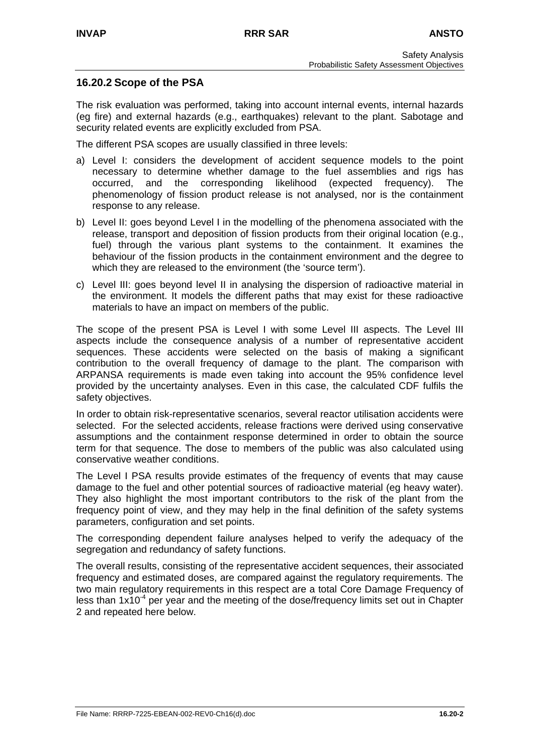## **16.20.2 Scope of the PSA**

The risk evaluation was performed, taking into account internal events, internal hazards (eg fire) and external hazards (e.g., earthquakes) relevant to the plant. Sabotage and security related events are explicitly excluded from PSA.

The different PSA scopes are usually classified in three levels:

- a) Level I: considers the development of accident sequence models to the point necessary to determine whether damage to the fuel assemblies and rigs has occurred, and the corresponding likelihood (expected frequency). The phenomenology of fission product release is not analysed, nor is the containment response to any release.
- b) Level II: goes beyond Level I in the modelling of the phenomena associated with the release, transport and deposition of fission products from their original location (e.g., fuel) through the various plant systems to the containment. It examines the behaviour of the fission products in the containment environment and the degree to which they are released to the environment (the 'source term').
- c) Level III: goes beyond level II in analysing the dispersion of radioactive material in the environment. It models the different paths that may exist for these radioactive materials to have an impact on members of the public.

The scope of the present PSA is Level I with some Level III aspects. The Level III aspects include the consequence analysis of a number of representative accident sequences. These accidents were selected on the basis of making a significant contribution to the overall frequency of damage to the plant. The comparison with ARPANSA requirements is made even taking into account the 95% confidence level provided by the uncertainty analyses. Even in this case, the calculated CDF fulfils the safety objectives.

In order to obtain risk-representative scenarios, several reactor utilisation accidents were selected. For the selected accidents, release fractions were derived using conservative assumptions and the containment response determined in order to obtain the source term for that sequence. The dose to members of the public was also calculated using conservative weather conditions.

The Level I PSA results provide estimates of the frequency of events that may cause damage to the fuel and other potential sources of radioactive material (eg heavy water). They also highlight the most important contributors to the risk of the plant from the frequency point of view, and they may help in the final definition of the safety systems parameters, configuration and set points.

The corresponding dependent failure analyses helped to verify the adequacy of the segregation and redundancy of safety functions.

The overall results, consisting of the representative accident sequences, their associated frequency and estimated doses, are compared against the regulatory requirements. The two main regulatory requirements in this respect are a total Core Damage Frequency of less than  $1x10^4$  per year and the meeting of the dose/frequency limits set out in Chapter 2 and repeated here below.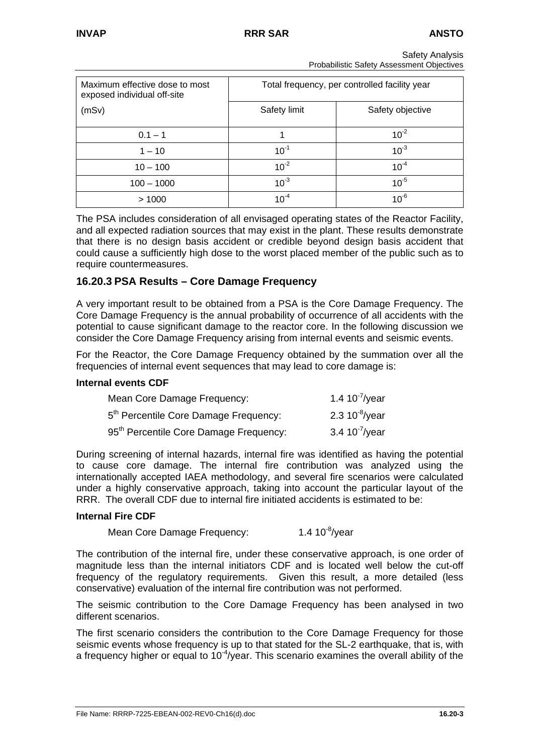| Maximum effective dose to most<br>exposed individual off-site | Total frequency, per controlled facility year |                  |  |
|---------------------------------------------------------------|-----------------------------------------------|------------------|--|
| (mSv)                                                         | Safety limit                                  | Safety objective |  |
| $0.1 - 1$                                                     |                                               | $10^{-2}$        |  |
| $1 - 10$                                                      | $10^{-1}$                                     | $10^{-3}$        |  |
| $10 - 100$                                                    | $10^{-2}$                                     | $10^{-4}$        |  |
| $100 - 1000$                                                  | $10^{-3}$                                     | $10^{-5}$        |  |
| >1000                                                         | $10^{-4}$                                     | $10^{-6}$        |  |

Safety Analysis Probabilistic Safety Assessment Objectives

The PSA includes consideration of all envisaged operating states of the Reactor Facility, and all expected radiation sources that may exist in the plant. These results demonstrate that there is no design basis accident or credible beyond design basis accident that could cause a sufficiently high dose to the worst placed member of the public such as to require countermeasures.

## **16.20.3 PSA Results – Core Damage Frequency**

A very important result to be obtained from a PSA is the Core Damage Frequency. The Core Damage Frequency is the annual probability of occurrence of all accidents with the potential to cause significant damage to the reactor core. In the following discussion we consider the Core Damage Frequency arising from internal events and seismic events.

For the Reactor, the Core Damage Frequency obtained by the summation over all the frequencies of internal event sequences that may lead to core damage is:

#### **Internal events CDF**

| Mean Core Damage Frequency:                        | 1.4 10 $\frac{7}{1}$ /year |
|----------------------------------------------------|----------------------------|
| 5 <sup>th</sup> Percentile Core Damage Frequency:  | 2.3 $10^{-8}$ /year        |
| 95 <sup>th</sup> Percentile Core Damage Frequency: | 3.4 $10^7$ /year           |

During screening of internal hazards, internal fire was identified as having the potential to cause core damage. The internal fire contribution was analyzed using the internationally accepted IAEA methodology, and several fire scenarios were calculated under a highly conservative approach, taking into account the particular layout of the RRR. The overall CDF due to internal fire initiated accidents is estimated to be:

#### **Internal Fire CDF**

Mean Core Damage Frequency: 1.4 10<sup>-8</sup>/year

The contribution of the internal fire, under these conservative approach, is one order of magnitude less than the internal initiators CDF and is located well below the cut-off frequency of the regulatory requirements. Given this result, a more detailed (less conservative) evaluation of the internal fire contribution was not performed.

The seismic contribution to the Core Damage Frequency has been analysed in two different scenarios.

The first scenario considers the contribution to the Core Damage Frequency for those seismic events whose frequency is up to that stated for the SL-2 earthquake, that is, with a frequency higher or equal to  $10^{-4}$ /year. This scenario examines the overall ability of the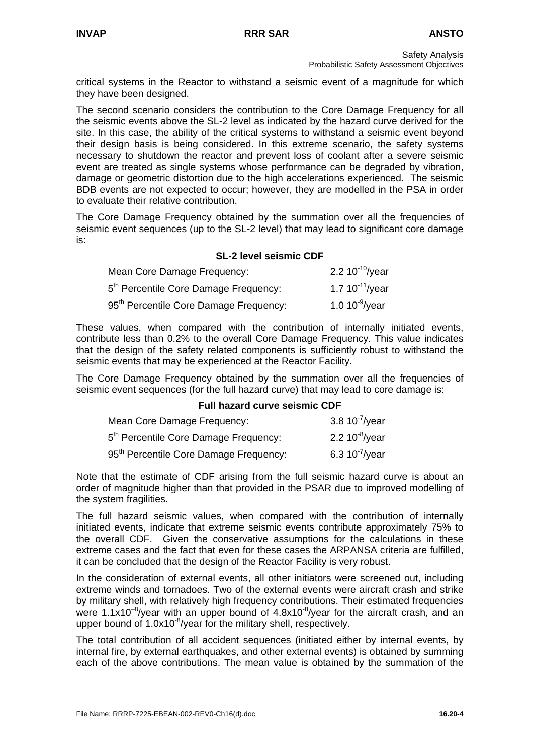critical systems in the Reactor to withstand a seismic event of a magnitude for which they have been designed.

The second scenario considers the contribution to the Core Damage Frequency for all the seismic events above the SL-2 level as indicated by the hazard curve derived for the site. In this case, the ability of the critical systems to withstand a seismic event beyond their design basis is being considered. In this extreme scenario, the safety systems necessary to shutdown the reactor and prevent loss of coolant after a severe seismic event are treated as single systems whose performance can be degraded by vibration, damage or geometric distortion due to the high accelerations experienced. The seismic BDB events are not expected to occur; however, they are modelled in the PSA in order to evaluate their relative contribution.

The Core Damage Frequency obtained by the summation over all the frequencies of seismic event sequences (up to the SL-2 level) that may lead to significant core damage is:

#### **SL-2 level seismic CDF**

| Mean Core Damage Frequency:                        | 2.2 $10^{-10}$ /year |
|----------------------------------------------------|----------------------|
| 5 <sup>th</sup> Percentile Core Damage Frequency:  | 1.7 $10^{-11}$ /year |
| 95 <sup>th</sup> Percentile Core Damage Frequency: | 1.0 $10^{9}$ /year   |

These values, when compared with the contribution of internally initiated events, contribute less than 0.2% to the overall Core Damage Frequency. This value indicates that the design of the safety related components is sufficiently robust to withstand the seismic events that may be experienced at the Reactor Facility.

The Core Damage Frequency obtained by the summation over all the frequencies of seismic event sequences (for the full hazard curve) that may lead to core damage is:

#### **Full hazard curve seismic CDF**

| Mean Core Damage Frequency:                        | 3.8 $10^{-7}$ /year |
|----------------------------------------------------|---------------------|
| 5 <sup>th</sup> Percentile Core Damage Frequency:  | 2.2 $10^{8}/year$   |
| 95 <sup>th</sup> Percentile Core Damage Frequency: | 6.3 $10^{7}/year$   |

Note that the estimate of CDF arising from the full seismic hazard curve is about an order of magnitude higher than that provided in the PSAR due to improved modelling of the system fragilities.

The full hazard seismic values, when compared with the contribution of internally initiated events, indicate that extreme seismic events contribute approximately 75% to the overall CDF. Given the conservative assumptions for the calculations in these extreme cases and the fact that even for these cases the ARPANSA criteria are fulfilled, it can be concluded that the design of the Reactor Facility is very robust.

In the consideration of external events, all other initiators were screened out, including extreme winds and tornadoes. Two of the external events were aircraft crash and strike by military shell, with relatively high frequency contributions. Their estimated frequencies were 1.1x10<sup>-8</sup>/year with an upper bound of  $4.8x10^{-8}/y$ ear for the aircraft crash, and an upper bound of  $1.0x10^{-8}$ /year for the military shell, respectively.

The total contribution of all accident sequences (initiated either by internal events, by internal fire, by external earthquakes, and other external events) is obtained by summing each of the above contributions. The mean value is obtained by the summation of the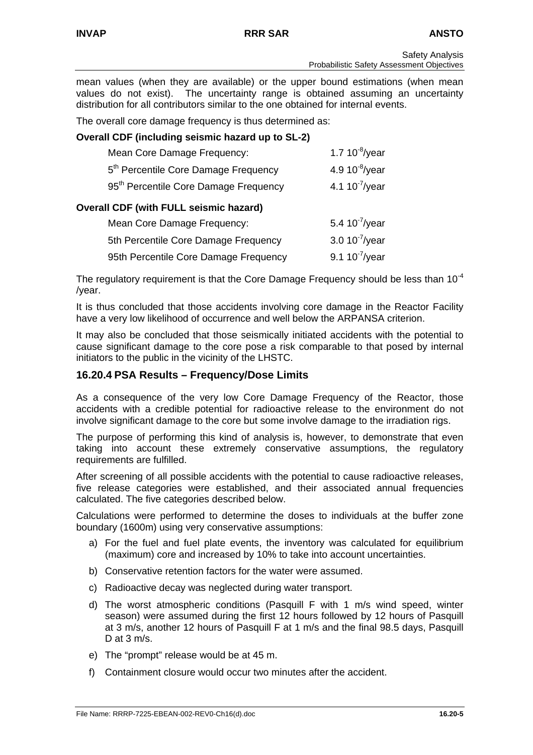mean values (when they are available) or the upper bound estimations (when mean values do not exist). The uncertainty range is obtained assuming an uncertainty distribution for all contributors similar to the one obtained for internal events.

The overall core damage frequency is thus determined as:

## **Overall CDF (including seismic hazard up to SL-2)**

| Mean Core Damage Frequency:                       | 1.7 $10^{-8}$ /year |
|---------------------------------------------------|---------------------|
| 5 <sup>th</sup> Percentile Core Damage Frequency  | 4.9 $10^{-8}$ /year |
| 95 <sup>th</sup> Percentile Core Damage Frequency | 4.1 $10^{-7}$ /year |
| <b>Overall CDF (with FULL seismic hazard)</b>     |                     |
| Mean Core Damage Frequency:                       | 5.4 $10^{7}/year$   |

| Mean Core Damage Fiequency.           | $3.4$ TV <i>T</i> and $\overline{a}$ |
|---------------------------------------|--------------------------------------|
| 5th Percentile Core Damage Frequency  | 3.0 $10^{-7}$ /year                  |
| 95th Percentile Core Damage Frequency | 9.1 $10^{-7}$ /year                  |

The regulatory requirement is that the Core Damage Frequency should be less than  $10^{-4}$ /year.

It is thus concluded that those accidents involving core damage in the Reactor Facility have a very low likelihood of occurrence and well below the ARPANSA criterion.

It may also be concluded that those seismically initiated accidents with the potential to cause significant damage to the core pose a risk comparable to that posed by internal initiators to the public in the vicinity of the LHSTC.

## **16.20.4 PSA Results – Frequency/Dose Limits**

As a consequence of the very low Core Damage Frequency of the Reactor, those accidents with a credible potential for radioactive release to the environment do not involve significant damage to the core but some involve damage to the irradiation rigs.

The purpose of performing this kind of analysis is, however, to demonstrate that even taking into account these extremely conservative assumptions, the regulatory requirements are fulfilled.

After screening of all possible accidents with the potential to cause radioactive releases, five release categories were established, and their associated annual frequencies calculated. The five categories described below.

Calculations were performed to determine the doses to individuals at the buffer zone boundary (1600m) using very conservative assumptions:

- a) For the fuel and fuel plate events, the inventory was calculated for equilibrium (maximum) core and increased by 10% to take into account uncertainties.
- b) Conservative retention factors for the water were assumed.
- c) Radioactive decay was neglected during water transport.
- d) The worst atmospheric conditions (Pasquill F with 1 m/s wind speed, winter season) were assumed during the first 12 hours followed by 12 hours of Pasquill at 3 m/s, another 12 hours of Pasquill F at 1 m/s and the final 98.5 days, Pasquill D at 3 m/s.
- e) The "prompt" release would be at 45 m.
- f) Containment closure would occur two minutes after the accident.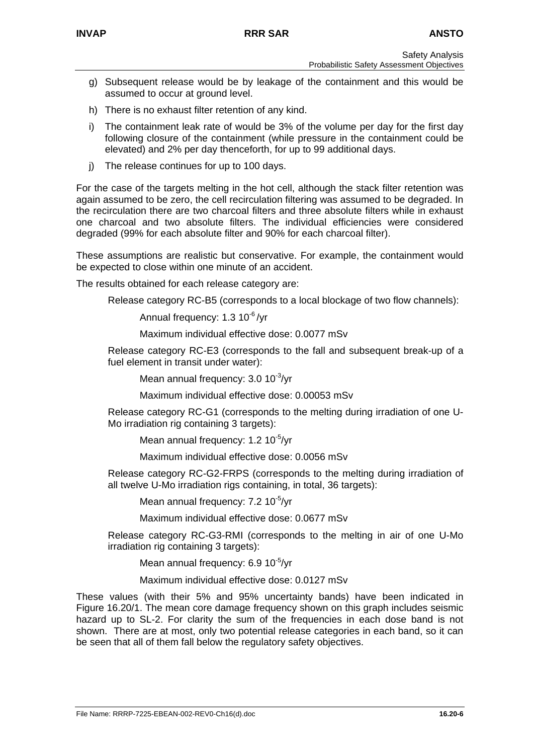- g) Subsequent release would be by leakage of the containment and this would be assumed to occur at ground level.
- h) There is no exhaust filter retention of any kind.
- i) The containment leak rate of would be 3% of the volume per day for the first day following closure of the containment (while pressure in the containment could be elevated) and 2% per day thenceforth, for up to 99 additional days.
- j) The release continues for up to 100 days.

For the case of the targets melting in the hot cell, although the stack filter retention was again assumed to be zero, the cell recirculation filtering was assumed to be degraded. In the recirculation there are two charcoal filters and three absolute filters while in exhaust one charcoal and two absolute filters. The individual efficiencies were considered degraded (99% for each absolute filter and 90% for each charcoal filter).

These assumptions are realistic but conservative. For example, the containment would be expected to close within one minute of an accident.

The results obtained for each release category are:

Release category RC-B5 (corresponds to a local blockage of two flow channels):

Annual frequency: 1.3 10<sup>-6</sup>/yr

Maximum individual effective dose: 0.0077 mSv

Release category RC-E3 (corresponds to the fall and subsequent break-up of a fuel element in transit under water):

Mean annual frequency: 3.0 10<sup>-3</sup>/vr

Maximum individual effective dose: 0.00053 mSv

Release category RC-G1 (corresponds to the melting during irradiation of one U-Mo irradiation rig containing 3 targets):

Mean annual frequency: 1.2 10<sup>-5</sup>/vr

Maximum individual effective dose: 0.0056 mSv

Release category RC-G2-FRPS (corresponds to the melting during irradiation of all twelve U-Mo irradiation rigs containing, in total, 36 targets):

Mean annual frequency: 7.2 10<sup>-5</sup>/vr

Maximum individual effective dose: 0.0677 mSv

Release category RC-G3-RMI (corresponds to the melting in air of one U-Mo irradiation rig containing 3 targets):

Mean annual frequency: 6.9 10<sup>-5</sup>/yr

Maximum individual effective dose: 0.0127 mSv

These values (with their 5% and 95% uncertainty bands) have been indicated in Figure 16.20/1. The mean core damage frequency shown on this graph includes seismic hazard up to SL-2. For clarity the sum of the frequencies in each dose band is not shown. There are at most, only two potential release categories in each band, so it can be seen that all of them fall below the regulatory safety objectives.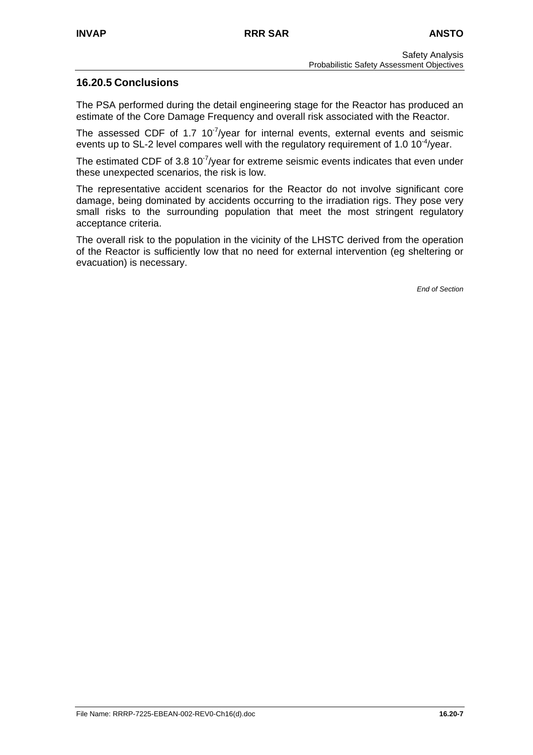## **16.20.5 Conclusions**

The PSA performed during the detail engineering stage for the Reactor has produced an estimate of the Core Damage Frequency and overall risk associated with the Reactor.

The assessed CDF of 1.7  $10<sup>-7</sup>/year$  for internal events, external events and seismic events up to SL-2 level compares well with the regulatory requirement of 1.0 10<sup>-4</sup>/year.

The estimated CDF of 3.8  $10^{-7}/y$ ear for extreme seismic events indicates that even under these unexpected scenarios, the risk is low.

The representative accident scenarios for the Reactor do not involve significant core damage, being dominated by accidents occurring to the irradiation rigs. They pose very small risks to the surrounding population that meet the most stringent regulatory acceptance criteria.

The overall risk to the population in the vicinity of the LHSTC derived from the operation of the Reactor is sufficiently low that no need for external intervention (eg sheltering or evacuation) is necessary.

*End of Section*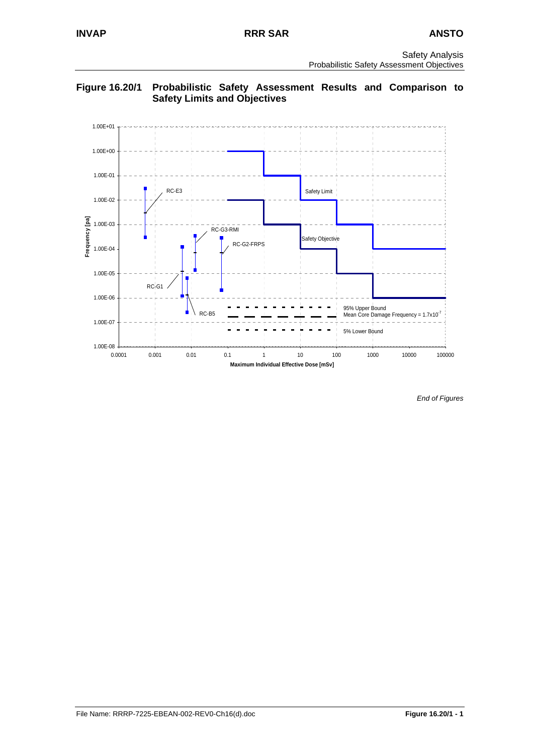

**Figure 16.20/1 Probabilistic Safety Assessment Results and Comparison to Safety Limits and Objectives** 

*End of Figures*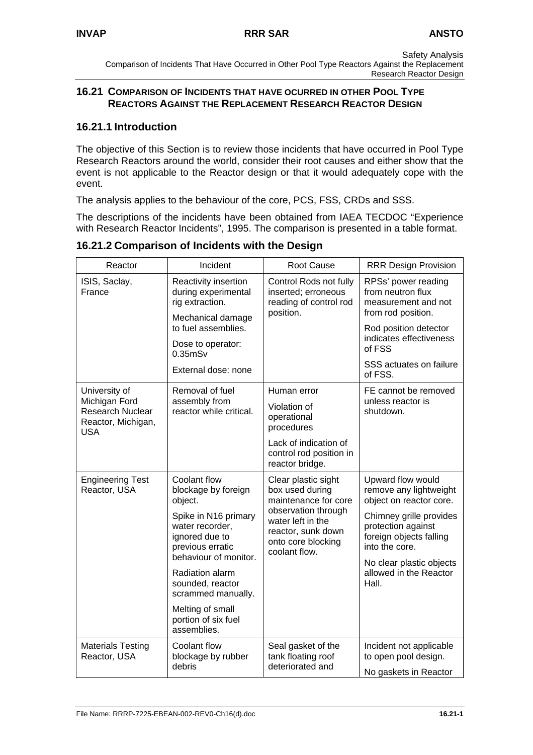Safety Analysis Comparison of Incidents That Have Occurred in Other Pool Type Reactors Against the Replacement Research Reactor Design

## **16.21 COMPARISON OF INCIDENTS THAT HAVE OCURRED IN OTHER POOL TYPE REACTORS AGAINST THE REPLACEMENT RESEARCH REACTOR DESIGN**

## **16.21.1 Introduction**

The objective of this Section is to review those incidents that have occurred in Pool Type Research Reactors around the world, consider their root causes and either show that the event is not applicable to the Reactor design or that it would adequately cope with the event.

The analysis applies to the behaviour of the core, PCS, FSS, CRDs and SSS.

The descriptions of the incidents have been obtained from IAEA TECDOC "Experience with Research Reactor Incidents", 1995. The comparison is presented in a table format.

| Reactor                                                                                                                                                                                                                                                                                | Incident                                                       | <b>Root Cause</b>                                                                          | <b>RRR Design Provision</b>                                                           |
|----------------------------------------------------------------------------------------------------------------------------------------------------------------------------------------------------------------------------------------------------------------------------------------|----------------------------------------------------------------|--------------------------------------------------------------------------------------------|---------------------------------------------------------------------------------------|
| ISIS, Saclay,<br>France                                                                                                                                                                                                                                                                | Reactivity insertion<br>during experimental<br>rig extraction. | Control Rods not fully<br>inserted; erroneous<br>reading of control rod<br>position.       | RPSs' power reading<br>from neutron flux<br>measurement and not<br>from rod position. |
|                                                                                                                                                                                                                                                                                        | Mechanical damage<br>to fuel assemblies.                       |                                                                                            | Rod position detector                                                                 |
|                                                                                                                                                                                                                                                                                        | Dose to operator:<br>$0.35$ m $Sv$                             |                                                                                            | indicates effectiveness<br>of FSS                                                     |
|                                                                                                                                                                                                                                                                                        | External dose: none                                            |                                                                                            | SSS actuates on failure<br>of FSS.                                                    |
| University of                                                                                                                                                                                                                                                                          | Removal of fuel                                                | Human error<br>Violation of<br>operational<br>procedures                                   | FE cannot be removed                                                                  |
| Michigan Ford<br>Research Nuclear<br>Reactor, Michigan,<br><b>USA</b>                                                                                                                                                                                                                  | assembly from<br>reactor while critical.                       |                                                                                            | unless reactor is<br>shutdown.                                                        |
|                                                                                                                                                                                                                                                                                        |                                                                | Lack of indication of<br>control rod position in<br>reactor bridge.                        |                                                                                       |
| Coolant flow<br><b>Engineering Test</b><br>Clear plastic sight<br>Reactor, USA<br>blockage by foreign<br>box used during<br>object.<br>observation through<br>Spike in N16 primary<br>water left in the<br>water recorder,<br>ignored due to<br>onto core blocking<br>previous erratic |                                                                | maintenance for core                                                                       | Upward flow would<br>remove any lightweight<br>object on reactor core.                |
|                                                                                                                                                                                                                                                                                        | reactor, sunk down<br>coolant flow.                            | Chimney grille provides<br>protection against<br>foreign objects falling<br>into the core. |                                                                                       |
|                                                                                                                                                                                                                                                                                        | behaviour of monitor.<br>Radiation alarm                       |                                                                                            | No clear plastic objects<br>allowed in the Reactor                                    |
|                                                                                                                                                                                                                                                                                        | sounded, reactor<br>scrammed manually.                         |                                                                                            | Hall.                                                                                 |
|                                                                                                                                                                                                                                                                                        | Melting of small<br>portion of six fuel<br>assemblies.         |                                                                                            |                                                                                       |
| <b>Materials Testing</b><br>Reactor, USA                                                                                                                                                                                                                                               | Coolant flow<br>blockage by rubber                             | Seal gasket of the<br>tank floating roof                                                   | Incident not applicable<br>to open pool design.                                       |
|                                                                                                                                                                                                                                                                                        | debris                                                         | deteriorated and                                                                           | No gaskets in Reactor                                                                 |

## **16.21.2 Comparison of Incidents with the Design**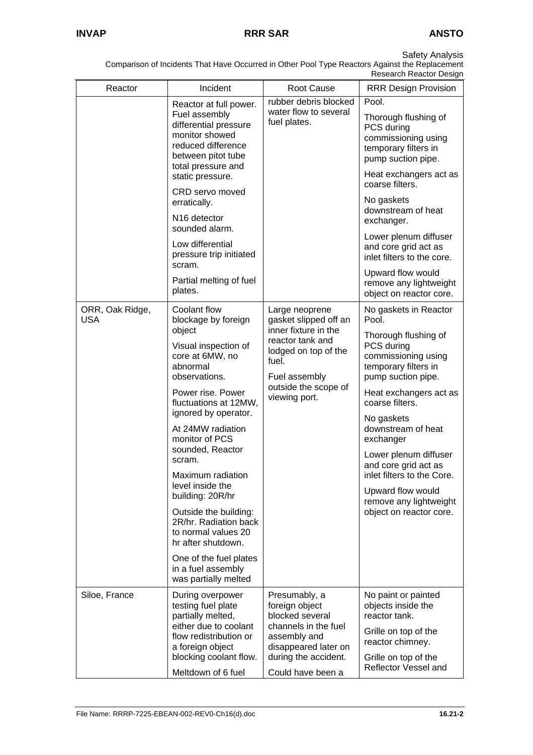Comparison of Incidents That Have Occurred in Other Pool Type Reactors Against the Replacement

|                               |                                                                                                                                                                                                                                                                                                                                                                                             |                                                                            | Research Reactor Design                                                                                 |                                                                                                                     |
|-------------------------------|---------------------------------------------------------------------------------------------------------------------------------------------------------------------------------------------------------------------------------------------------------------------------------------------------------------------------------------------------------------------------------------------|----------------------------------------------------------------------------|---------------------------------------------------------------------------------------------------------|---------------------------------------------------------------------------------------------------------------------|
| Reactor                       | Incident                                                                                                                                                                                                                                                                                                                                                                                    | <b>Root Cause</b>                                                          | <b>RRR Design Provision</b>                                                                             |                                                                                                                     |
|                               | Reactor at full power.<br>Fuel assembly<br>differential pressure<br>monitor showed<br>reduced difference<br>between pitot tube<br>total pressure and<br>static pressure.                                                                                                                                                                                                                    | rubber debris blocked<br>water flow to several<br>fuel plates.             | Pool.<br>PCS during<br>coarse filters.<br>No gaskets<br>exchanger.                                      | Thorough flushing of<br>commissioning using<br>temporary filters in<br>pump suction pipe.<br>Heat exchangers act as |
|                               | CRD servo moved<br>erratically.<br>N <sub>16</sub> detector<br>sounded alarm.                                                                                                                                                                                                                                                                                                               |                                                                            |                                                                                                         | downstream of heat                                                                                                  |
|                               | Low differential<br>pressure trip initiated<br>scram.                                                                                                                                                                                                                                                                                                                                       |                                                                            | Lower plenum diffuser<br>and core grid act as<br>inlet filters to the core.                             |                                                                                                                     |
|                               | Partial melting of fuel<br>plates.                                                                                                                                                                                                                                                                                                                                                          |                                                                            | Upward flow would<br>remove any lightweight<br>object on reactor core.                                  |                                                                                                                     |
| ORR, Oak Ridge,<br><b>USA</b> | Coolant flow<br>blockage by foreign<br>object                                                                                                                                                                                                                                                                                                                                               | Large neoprene<br>gasket slipped off an<br>inner fixture in the            | No gaskets in Reactor<br>Pool.                                                                          |                                                                                                                     |
|                               | reactor tank and<br>Visual inspection of<br>lodged on top of the<br>core at 6MW, no<br>fuel.<br>abnormal<br>Fuel assembly<br>observations.<br>outside the scope of<br>Power rise. Power<br>viewing port.<br>fluctuations at 12MW,<br>ignored by operator.<br>At 24MW radiation<br>monitor of PCS<br>sounded, Reactor<br>scram.<br>Maximum radiation<br>level inside the<br>building: 20R/hr |                                                                            | Thorough flushing of<br>PCS during<br>commissioning using<br>temporary filters in<br>pump suction pipe. |                                                                                                                     |
|                               |                                                                                                                                                                                                                                                                                                                                                                                             |                                                                            | Heat exchangers act as<br>coarse filters.                                                               |                                                                                                                     |
|                               |                                                                                                                                                                                                                                                                                                                                                                                             | No gaskets<br>downstream of heat<br>exchanger                              |                                                                                                         |                                                                                                                     |
|                               |                                                                                                                                                                                                                                                                                                                                                                                             |                                                                            | Lower plenum diffuser<br>and core grid act as<br>inlet filters to the Core.                             |                                                                                                                     |
|                               |                                                                                                                                                                                                                                                                                                                                                                                             |                                                                            | Upward flow would<br>remove any lightweight                                                             |                                                                                                                     |
|                               | Outside the building:<br>2R/hr. Radiation back<br>to normal values 20<br>hr after shutdown.                                                                                                                                                                                                                                                                                                 |                                                                            | object on reactor core.                                                                                 |                                                                                                                     |
|                               | One of the fuel plates<br>in a fuel assembly<br>was partially melted                                                                                                                                                                                                                                                                                                                        |                                                                            |                                                                                                         |                                                                                                                     |
| Siloe, France                 | During overpower<br>testing fuel plate<br>partially melted,<br>either due to coolant                                                                                                                                                                                                                                                                                                        | Presumably, a<br>foreign object<br>blocked several<br>channels in the fuel | No paint or painted<br>objects inside the<br>reactor tank.                                              |                                                                                                                     |
|                               | flow redistribution or<br>assembly and<br>a foreign object<br>blocking coolant flow.                                                                                                                                                                                                                                                                                                        | disappeared later on<br>during the accident.                               | Grille on top of the<br>reactor chimney.<br>Grille on top of the                                        |                                                                                                                     |
|                               | Meltdown of 6 fuel                                                                                                                                                                                                                                                                                                                                                                          | Could have been a                                                          | Reflector Vessel and                                                                                    |                                                                                                                     |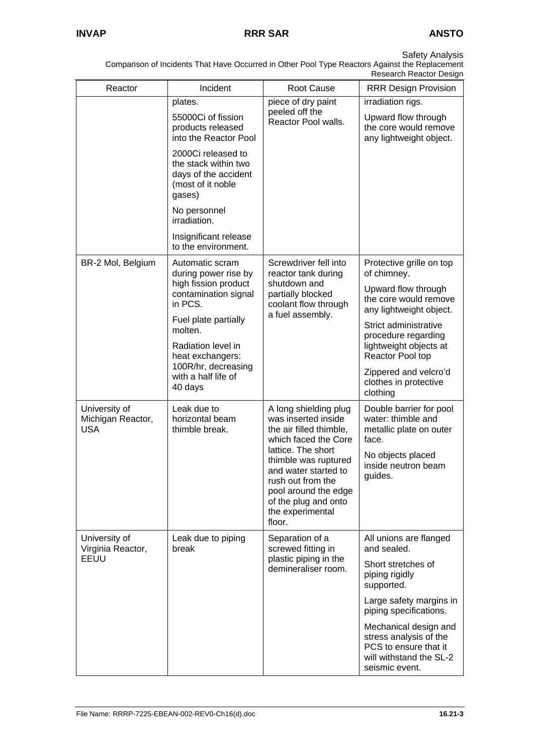Comparison of Incidents That Have Occurred in Other Pool Type Reactors Against the Replacement

|                                                  |                                                                                                                                                                                                                                                                 |                                                                                                                                                                                                                                                                          | Research Reactor Design                                                                                                                                                                                                                                                        |
|--------------------------------------------------|-----------------------------------------------------------------------------------------------------------------------------------------------------------------------------------------------------------------------------------------------------------------|--------------------------------------------------------------------------------------------------------------------------------------------------------------------------------------------------------------------------------------------------------------------------|--------------------------------------------------------------------------------------------------------------------------------------------------------------------------------------------------------------------------------------------------------------------------------|
| Reactor                                          | Incident                                                                                                                                                                                                                                                        | <b>Root Cause</b>                                                                                                                                                                                                                                                        | <b>RRR Design Provision</b>                                                                                                                                                                                                                                                    |
|                                                  | plates.<br>55000Ci of fission<br>products released<br>into the Reactor Pool<br>2000Ci released to<br>the stack within two<br>days of the accident<br>(most of it noble<br>gases)<br>No personnel<br>irradiation.<br>Insignificant release                       | piece of dry paint<br>peeled off the<br>Reactor Pool walls.                                                                                                                                                                                                              | irradiation rigs.<br>Upward flow through<br>the core would remove<br>any lightweight object.                                                                                                                                                                                   |
| BR-2 Mol, Belgium                                | to the environment.<br>Automatic scram<br>during power rise by<br>high fission product<br>contamination signal<br>in PCS.<br>Fuel plate partially<br>molten.<br>Radiation level in<br>heat exchangers:<br>100R/hr, decreasing<br>with a half life of<br>40 days | Screwdriver fell into<br>reactor tank during<br>shutdown and<br>partially blocked<br>coolant flow through<br>a fuel assembly.                                                                                                                                            | Protective grille on top<br>of chimney.<br>Upward flow through<br>the core would remove<br>any lightweight object.<br>Strict administrative<br>procedure regarding<br>lightweight objects at<br>Reactor Pool top<br>Zippered and velcro'd<br>clothes in protective<br>clothing |
| University of<br>Michigan Reactor,<br><b>USA</b> | Leak due to<br>horizontal beam<br>thimble break.                                                                                                                                                                                                                | A long shielding plug<br>was inserted inside<br>the air filled thimble,<br>which faced the Core<br>lattice. The short<br>thimble was ruptured<br>and water started to<br>rush out from the<br>pool around the edge<br>of the plug and onto<br>the experimental<br>floor. | Double barrier for pool<br>water: thimble and<br>metallic plate on outer<br>face.<br>No objects placed<br>inside neutron beam<br>guides.                                                                                                                                       |
| University of<br>Virginia Reactor,<br>EEUU       | Leak due to piping<br>break                                                                                                                                                                                                                                     | Separation of a<br>screwed fitting in<br>plastic piping in the<br>demineraliser room.                                                                                                                                                                                    | All unions are flanged<br>and sealed.<br>Short stretches of<br>piping rigidly<br>supported.<br>Large safety margins in<br>piping specifications.<br>Mechanical design and<br>stress analysis of the<br>PCS to ensure that it<br>will withstand the SL-2<br>seismic event.      |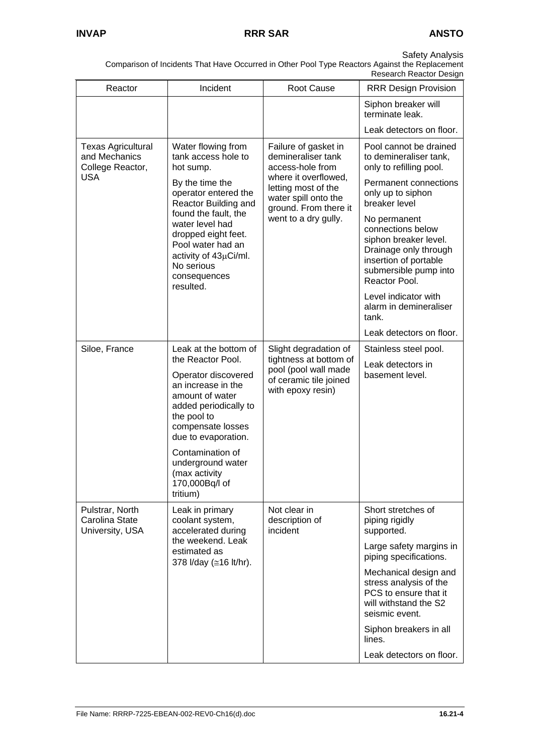|                                                                              |                                                                                                                                                                                                                                                                                        |                                                                                                                                                                                        | Research Reactor Design                                                                                                                                                                                                                                                                                                                                                                     |
|------------------------------------------------------------------------------|----------------------------------------------------------------------------------------------------------------------------------------------------------------------------------------------------------------------------------------------------------------------------------------|----------------------------------------------------------------------------------------------------------------------------------------------------------------------------------------|---------------------------------------------------------------------------------------------------------------------------------------------------------------------------------------------------------------------------------------------------------------------------------------------------------------------------------------------------------------------------------------------|
| Reactor                                                                      | Incident                                                                                                                                                                                                                                                                               | <b>Root Cause</b>                                                                                                                                                                      | <b>RRR Design Provision</b>                                                                                                                                                                                                                                                                                                                                                                 |
|                                                                              |                                                                                                                                                                                                                                                                                        |                                                                                                                                                                                        | Siphon breaker will<br>terminate leak.                                                                                                                                                                                                                                                                                                                                                      |
|                                                                              |                                                                                                                                                                                                                                                                                        |                                                                                                                                                                                        | Leak detectors on floor.                                                                                                                                                                                                                                                                                                                                                                    |
| <b>Texas Agricultural</b><br>and Mechanics<br>College Reactor,<br><b>USA</b> | Water flowing from<br>tank access hole to<br>hot sump.<br>By the time the<br>operator entered the<br>Reactor Building and<br>found the fault, the<br>water level had<br>dropped eight feet.<br>Pool water had an<br>activity of 43µCi/ml.<br>No serious<br>consequences<br>resulted.   | Failure of gasket in<br>demineraliser tank<br>access-hole from<br>where it overflowed,<br>letting most of the<br>water spill onto the<br>ground. From there it<br>went to a dry gully. | Pool cannot be drained<br>to demineraliser tank,<br>only to refilling pool.<br>Permanent connections<br>only up to siphon<br>breaker level<br>No permanent<br>connections below<br>siphon breaker level.<br>Drainage only through<br>insertion of portable<br>submersible pump into<br>Reactor Pool.<br>Level indicator with<br>alarm in demineraliser<br>tank.<br>Leak detectors on floor. |
| Siloe, France                                                                | Leak at the bottom of<br>the Reactor Pool.<br>Operator discovered<br>an increase in the<br>amount of water<br>added periodically to<br>the pool to<br>compensate losses<br>due to evaporation.<br>Contamination of<br>underground water<br>(max activity<br>170,000Bq/l of<br>tritium) | Slight degradation of<br>tightness at bottom of<br>pool (pool wall made<br>of ceramic tile joined<br>with epoxy resin)                                                                 | Stainless steel pool.<br>Leak detectors in<br>basement level.                                                                                                                                                                                                                                                                                                                               |
| Pulstrar, North<br>Carolina State<br>University, USA                         | Leak in primary<br>coolant system,<br>accelerated during<br>the weekend. Leak<br>estimated as<br>378 I/day (≅16 lt/hr).                                                                                                                                                                | Not clear in<br>description of<br>incident                                                                                                                                             | Short stretches of<br>piping rigidly<br>supported.<br>Large safety margins in<br>piping specifications.<br>Mechanical design and<br>stress analysis of the<br>PCS to ensure that it<br>will withstand the S2<br>seismic event.<br>Siphon breakers in all<br>lines.<br>Leak detectors on floor.                                                                                              |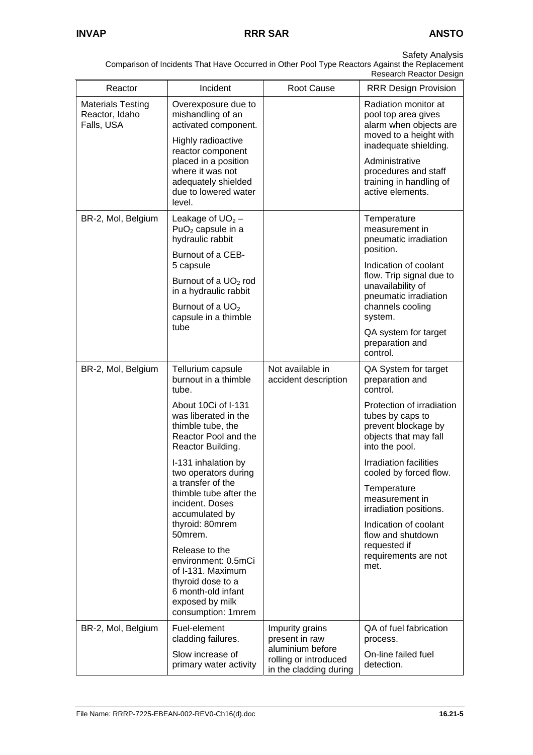| Reactor                                                  | Incident                                                                                                               | Root Cause                                                          | <b>RRR Design Provision</b>                                                                                     |
|----------------------------------------------------------|------------------------------------------------------------------------------------------------------------------------|---------------------------------------------------------------------|-----------------------------------------------------------------------------------------------------------------|
| <b>Materials Testing</b><br>Reactor, Idaho<br>Falls, USA | Overexposure due to<br>mishandling of an<br>activated component.<br>Highly radioactive                                 |                                                                     | Radiation monitor at<br>pool top area gives<br>alarm when objects are<br>moved to a height with                 |
|                                                          | reactor component<br>placed in a position<br>where it was not<br>adequately shielded<br>due to lowered water<br>level. |                                                                     | inadequate shielding.<br>Administrative<br>procedures and staff<br>training in handling of<br>active elements.  |
| BR-2, Mol, Belgium                                       | Leakage of $UO2$ –<br>$PuO2$ capsule in a<br>hydraulic rabbit                                                          |                                                                     | Temperature<br>measurement in<br>pneumatic irradiation<br>position.                                             |
|                                                          | Burnout of a CEB-<br>5 capsule                                                                                         |                                                                     | Indication of coolant                                                                                           |
|                                                          | Burnout of a UO <sub>2</sub> rod<br>in a hydraulic rabbit                                                              |                                                                     | flow. Trip signal due to<br>unavailability of<br>pneumatic irradiation                                          |
|                                                          | Burnout of a UO <sub>2</sub><br>capsule in a thimble                                                                   |                                                                     | channels cooling<br>system.                                                                                     |
|                                                          | tube                                                                                                                   |                                                                     | QA system for target<br>preparation and<br>control.                                                             |
| BR-2, Mol, Belgium                                       | Tellurium capsule<br>burnout in a thimble<br>tube.                                                                     | Not available in<br>accident description                            | QA System for target<br>preparation and<br>control.                                                             |
|                                                          | About 10Ci of I-131<br>was liberated in the<br>thimble tube, the<br>Reactor Pool and the<br>Reactor Building.          |                                                                     | Protection of irradiation<br>tubes by caps to<br>prevent blockage by<br>objects that may fall<br>into the pool. |
|                                                          | I-131 inhalation by<br>two operators during                                                                            |                                                                     | <b>Irradiation facilities</b><br>cooled by forced flow.                                                         |
|                                                          | a transfer of the<br>thimble tube after the<br>incident. Doses<br>accumulated by                                       |                                                                     | Temperature<br>measurement in<br>irradiation positions.                                                         |
|                                                          | thyroid: 80mrem<br>50mrem.                                                                                             |                                                                     | Indication of coolant<br>flow and shutdown                                                                      |
|                                                          | Release to the<br>environment: 0.5mCi<br>of I-131. Maximum<br>thyroid dose to a                                        |                                                                     | requested if<br>requirements are not<br>met.                                                                    |
|                                                          | 6 month-old infant<br>exposed by milk<br>consumption: 1mrem                                                            |                                                                     |                                                                                                                 |
| BR-2, Mol, Belgium                                       | Fuel-element<br>cladding failures.                                                                                     | Impurity grains<br>present in raw                                   | QA of fuel fabrication<br>process.                                                                              |
|                                                          | Slow increase of<br>primary water activity                                                                             | aluminium before<br>rolling or introduced<br>in the cladding during | On-line failed fuel<br>detection.                                                                               |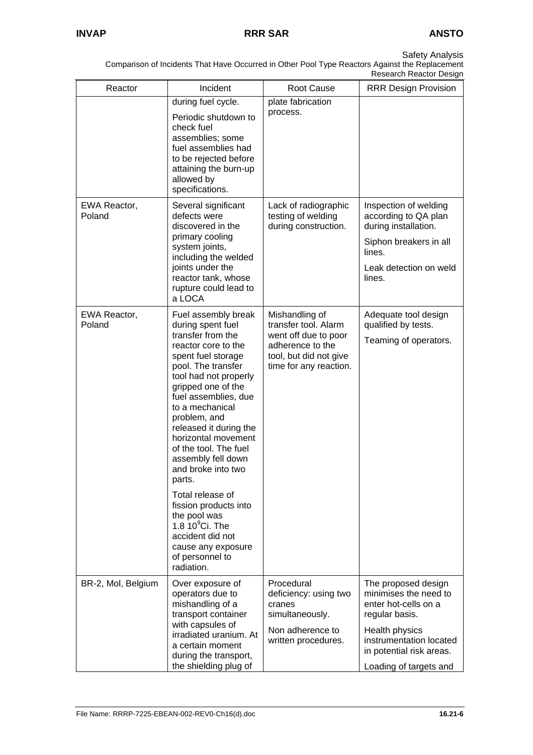| Reactor                | Incident                                                                                                                                                                                                                                                                                                                                                                                                                                                                                                                                 | Root Cause                                                                                                                             | <b>RRR Design Provision</b>                                                                                                                                                               |
|------------------------|------------------------------------------------------------------------------------------------------------------------------------------------------------------------------------------------------------------------------------------------------------------------------------------------------------------------------------------------------------------------------------------------------------------------------------------------------------------------------------------------------------------------------------------|----------------------------------------------------------------------------------------------------------------------------------------|-------------------------------------------------------------------------------------------------------------------------------------------------------------------------------------------|
|                        | during fuel cycle.                                                                                                                                                                                                                                                                                                                                                                                                                                                                                                                       | plate fabrication                                                                                                                      |                                                                                                                                                                                           |
|                        | Periodic shutdown to<br>check fuel<br>assemblies; some<br>fuel assemblies had<br>to be rejected before<br>attaining the burn-up<br>allowed by<br>specifications.                                                                                                                                                                                                                                                                                                                                                                         | process.                                                                                                                               |                                                                                                                                                                                           |
| EWA Reactor,<br>Poland | Several significant<br>defects were<br>discovered in the<br>primary cooling<br>system joints,<br>including the welded<br>joints under the<br>reactor tank, whose<br>rupture could lead to<br>a LOCA                                                                                                                                                                                                                                                                                                                                      | Lack of radiographic<br>testing of welding<br>during construction.                                                                     | Inspection of welding<br>according to QA plan<br>during installation.<br>Siphon breakers in all<br>lines.<br>Leak detection on weld<br>lines.                                             |
| EWA Reactor,<br>Poland | Fuel assembly break<br>during spent fuel<br>transfer from the<br>reactor core to the<br>spent fuel storage<br>pool. The transfer<br>tool had not properly<br>gripped one of the<br>fuel assemblies, due<br>to a mechanical<br>problem, and<br>released it during the<br>horizontal movement<br>of the tool. The fuel<br>assembly fell down<br>and broke into two<br>parts.<br>Total release of<br>fission products into<br>the pool was<br>1.8 $10^9$ Ci. The<br>accident did not<br>cause any exposure<br>of personnel to<br>radiation. | Mishandling of<br>transfer tool. Alarm<br>went off due to poor<br>adherence to the<br>tool, but did not give<br>time for any reaction. | Adequate tool design<br>qualified by tests.<br>Teaming of operators.                                                                                                                      |
| BR-2, Mol, Belgium     | Over exposure of<br>operators due to<br>mishandling of a<br>transport container<br>with capsules of<br>irradiated uranium. At<br>a certain moment<br>during the transport,<br>the shielding plug of                                                                                                                                                                                                                                                                                                                                      | Procedural<br>deficiency: using two<br>cranes<br>simultaneously.<br>Non adherence to<br>written procedures.                            | The proposed design<br>minimises the need to<br>enter hot-cells on a<br>regular basis.<br>Health physics<br>instrumentation located<br>in potential risk areas.<br>Loading of targets and |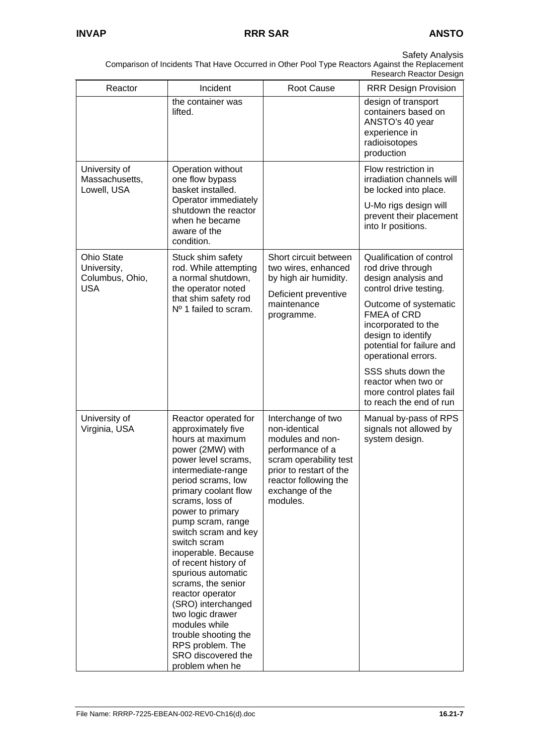|                                                                   |                                                                                                                                                                                                                                                                                                                                                                                                                                                                                                                                                  |                                                                                                                                                                                          | INGSGAIGH INGAULUI DESIYII                                                                                                                   |
|-------------------------------------------------------------------|--------------------------------------------------------------------------------------------------------------------------------------------------------------------------------------------------------------------------------------------------------------------------------------------------------------------------------------------------------------------------------------------------------------------------------------------------------------------------------------------------------------------------------------------------|------------------------------------------------------------------------------------------------------------------------------------------------------------------------------------------|----------------------------------------------------------------------------------------------------------------------------------------------|
| Reactor                                                           | Incident                                                                                                                                                                                                                                                                                                                                                                                                                                                                                                                                         | <b>Root Cause</b>                                                                                                                                                                        | <b>RRR Design Provision</b>                                                                                                                  |
|                                                                   | the container was<br>lifted.                                                                                                                                                                                                                                                                                                                                                                                                                                                                                                                     |                                                                                                                                                                                          | design of transport<br>containers based on<br>ANSTO's 40 year<br>experience in<br>radioisotopes<br>production                                |
| University of<br>Massachusetts,<br>Lowell, USA                    | Operation without<br>one flow bypass<br>basket installed.                                                                                                                                                                                                                                                                                                                                                                                                                                                                                        |                                                                                                                                                                                          | Flow restriction in<br>irradiation channels will<br>be locked into place.                                                                    |
|                                                                   | Operator immediately<br>shutdown the reactor<br>when he became<br>aware of the<br>condition.                                                                                                                                                                                                                                                                                                                                                                                                                                                     |                                                                                                                                                                                          | U-Mo rigs design will<br>prevent their placement<br>into Ir positions.                                                                       |
| <b>Ohio State</b><br>University,<br>Columbus, Ohio,<br><b>USA</b> | Stuck shim safety<br>rod. While attempting<br>a normal shutdown,<br>the operator noted                                                                                                                                                                                                                                                                                                                                                                                                                                                           | Short circuit between<br>two wires, enhanced<br>by high air humidity.<br>Deficient preventive                                                                                            | Qualification of control<br>rod drive through<br>design analysis and<br>control drive testing.                                               |
|                                                                   | that shim safety rod<br>Nº 1 failed to scram.                                                                                                                                                                                                                                                                                                                                                                                                                                                                                                    | maintenance<br>programme.                                                                                                                                                                | Outcome of systematic<br><b>FMEA of CRD</b><br>incorporated to the<br>design to identify<br>potential for failure and<br>operational errors. |
|                                                                   |                                                                                                                                                                                                                                                                                                                                                                                                                                                                                                                                                  |                                                                                                                                                                                          | SSS shuts down the<br>reactor when two or<br>more control plates fail<br>to reach the end of run                                             |
| University of<br>Virginia, USA                                    | Reactor operated for<br>approximately five<br>hours at maximum<br>power (2MW) with<br>power level scrams,<br>intermediate-range<br>period scrams, low<br>primary coolant flow<br>scrams, loss of<br>power to primary<br>pump scram, range<br>switch scram and key<br>switch scram<br>inoperable. Because<br>of recent history of<br>spurious automatic<br>scrams, the senior<br>reactor operator<br>(SRO) interchanged<br>two logic drawer<br>modules while<br>trouble shooting the<br>RPS problem. The<br>SRO discovered the<br>problem when he | Interchange of two<br>non-identical<br>modules and non-<br>performance of a<br>scram operability test<br>prior to restart of the<br>reactor following the<br>exchange of the<br>modules. | Manual by-pass of RPS<br>signals not allowed by<br>system design.                                                                            |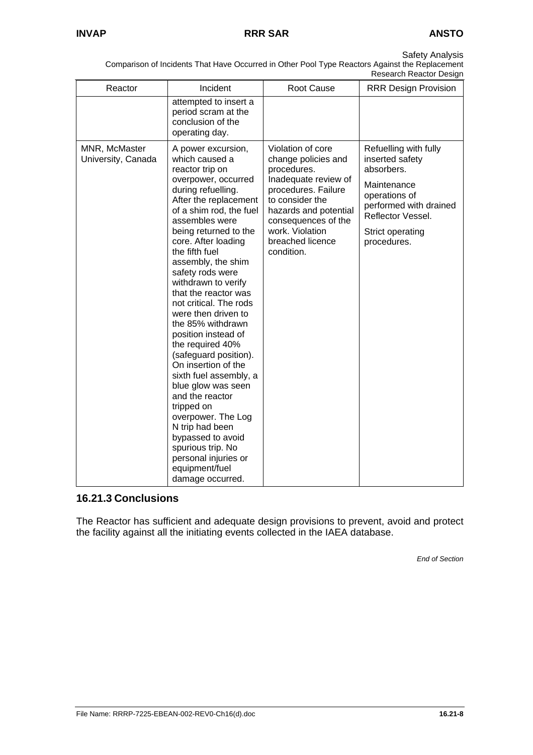Comparison of Incidents That Have Occurred in Other Pool Type Reactors Against the Replacement Research Reactor Design

| Reactor                             | Incident                                                                                                                                                                                                                                                                                                                                                                                                                                                                                                                                                                                                                                                                                                                                 | Root Cause                                                                                                                                                                                                                     | Research Reactor Design<br><b>RRR Design Provision</b>                                                                                                                   |
|-------------------------------------|------------------------------------------------------------------------------------------------------------------------------------------------------------------------------------------------------------------------------------------------------------------------------------------------------------------------------------------------------------------------------------------------------------------------------------------------------------------------------------------------------------------------------------------------------------------------------------------------------------------------------------------------------------------------------------------------------------------------------------------|--------------------------------------------------------------------------------------------------------------------------------------------------------------------------------------------------------------------------------|--------------------------------------------------------------------------------------------------------------------------------------------------------------------------|
|                                     | attempted to insert a<br>period scram at the<br>conclusion of the<br>operating day.                                                                                                                                                                                                                                                                                                                                                                                                                                                                                                                                                                                                                                                      |                                                                                                                                                                                                                                |                                                                                                                                                                          |
| MNR, McMaster<br>University, Canada | A power excursion,<br>which caused a<br>reactor trip on<br>overpower, occurred<br>during refuelling.<br>After the replacement<br>of a shim rod, the fuel<br>assembles were<br>being returned to the<br>core. After loading<br>the fifth fuel<br>assembly, the shim<br>safety rods were<br>withdrawn to verify<br>that the reactor was<br>not critical. The rods<br>were then driven to<br>the 85% withdrawn<br>position instead of<br>the required 40%<br>(safeguard position).<br>On insertion of the<br>sixth fuel assembly, a<br>blue glow was seen<br>and the reactor<br>tripped on<br>overpower. The Log<br>N trip had been<br>bypassed to avoid<br>spurious trip. No<br>personal injuries or<br>equipment/fuel<br>damage occurred. | Violation of core<br>change policies and<br>procedures.<br>Inadequate review of<br>procedures. Failure<br>to consider the<br>hazards and potential<br>consequences of the<br>work. Violation<br>breached licence<br>condition. | Refuelling with fully<br>inserted safety<br>absorbers.<br>Maintenance<br>operations of<br>performed with drained<br>Reflector Vessel.<br>Strict operating<br>procedures. |

# **16.21.3 Conclusions**

The Reactor has sufficient and adequate design provisions to prevent, avoid and protect the facility against all the initiating events collected in the IAEA database.

*End of Section*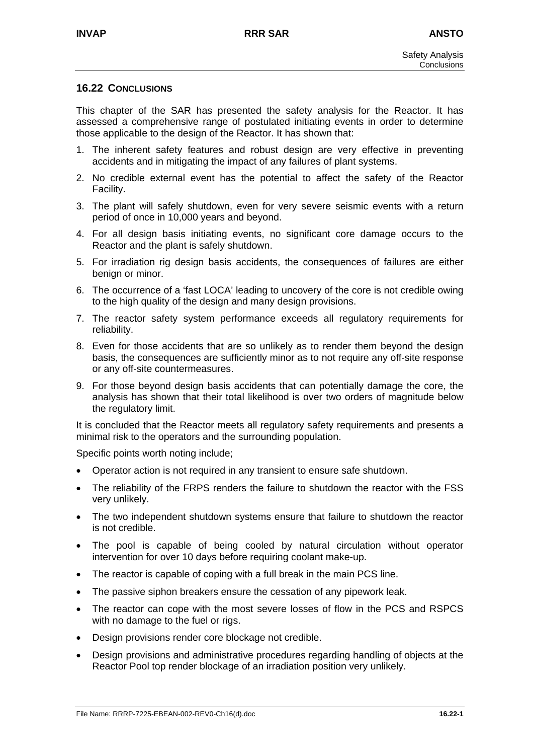### **16.22 CONCLUSIONS**

This chapter of the SAR has presented the safety analysis for the Reactor. It has assessed a comprehensive range of postulated initiating events in order to determine those applicable to the design of the Reactor. It has shown that:

- 1. The inherent safety features and robust design are very effective in preventing accidents and in mitigating the impact of any failures of plant systems.
- 2. No credible external event has the potential to affect the safety of the Reactor Facility.
- 3. The plant will safely shutdown, even for very severe seismic events with a return period of once in 10,000 years and beyond.
- 4. For all design basis initiating events, no significant core damage occurs to the Reactor and the plant is safely shutdown.
- 5. For irradiation rig design basis accidents, the consequences of failures are either benign or minor.
- 6. The occurrence of a 'fast LOCA' leading to uncovery of the core is not credible owing to the high quality of the design and many design provisions.
- 7. The reactor safety system performance exceeds all regulatory requirements for reliability.
- 8. Even for those accidents that are so unlikely as to render them beyond the design basis, the consequences are sufficiently minor as to not require any off-site response or any off-site countermeasures.
- 9. For those beyond design basis accidents that can potentially damage the core, the analysis has shown that their total likelihood is over two orders of magnitude below the regulatory limit.

It is concluded that the Reactor meets all regulatory safety requirements and presents a minimal risk to the operators and the surrounding population.

Specific points worth noting include;

- Operator action is not required in any transient to ensure safe shutdown.
- The reliability of the FRPS renders the failure to shutdown the reactor with the FSS very unlikely.
- The two independent shutdown systems ensure that failure to shutdown the reactor is not credible.
- The pool is capable of being cooled by natural circulation without operator intervention for over 10 days before requiring coolant make-up.
- The reactor is capable of coping with a full break in the main PCS line.
- The passive siphon breakers ensure the cessation of any pipework leak.
- The reactor can cope with the most severe losses of flow in the PCS and RSPCS with no damage to the fuel or rigs.
- Design provisions render core blockage not credible.
- Design provisions and administrative procedures regarding handling of objects at the Reactor Pool top render blockage of an irradiation position very unlikely.